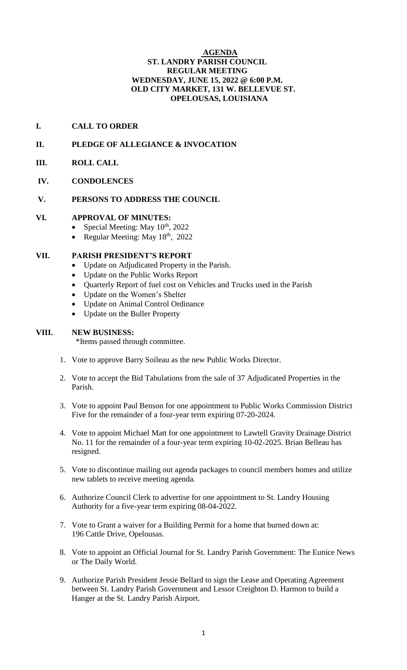#### **AGENDA ST. LANDRY PARISH COUNCIL REGULAR MEETING WEDNESDAY, JUNE 15, 2022 @ 6:00 P.M. OLD CITY MARKET, 131 W. BELLEVUE ST. OPELOUSAS, LOUISIANA**

## **I. CALL TO ORDER**

## **II. PLEDGE OF ALLEGIANCE & INVOCATION**

- **III. ROLL CALL**
- **IV. CONDOLENCES**

#### **V. PERSONS TO ADDRESS THE COUNCIL**

#### **VI. APPROVAL OF MINUTES:**

- Special Meeting: May  $10^{th}$ , 2022
- Regular Meeting: May  $18<sup>th</sup>$ , 2022

### **VII. PARISH PRESIDENT'S REPORT**

- Update on Adjudicated Property in the Parish.
- Update on the Public Works Report
- Quarterly Report of fuel cost on Vehicles and Trucks used in the Parish
- Update on the Women's Shelter
- Update on Animal Control Ordinance
- Update on the Buller Property

#### **VIII. NEW BUSINESS:**

\*Items passed through committee.

- 1. Vote to approve Barry Soileau as the new Public Works Director.
- 2. Vote to accept the Bid Tabulations from the sale of 37 Adjudicated Properties in the Parish.
- 3. Vote to appoint Paul Benson for one appointment to Public Works Commission District Five for the remainder of a four-year term expiring 07-20-2024.
- 4. Vote to appoint Michael Matt for one appointment to Lawtell Gravity Drainage District No. 11 for the remainder of a four-year term expiring 10-02-2025. Brian Belleau has resigned.
- 5. Vote to discontinue mailing out agenda packages to council members homes and utilize new tablets to receive meeting agenda.
- 6. Authorize Council Clerk to advertise for one appointment to St. Landry Housing Authority for a five-year term expiring 08-04-2022.
- 7. Vote to Grant a waiver for a Building Permit for a home that burned down at: 196 Cattle Drive, Opelousas.
- 8. Vote to appoint an Official Journal for St. Landry Parish Government: The Eunice News or The Daily World.
- 9. Authorize Parish President Jessie Bellard to sign the Lease and Operating Agreement between St. Landry Parish Government and Lessor Creighton D. Harmon to build a Hanger at the St. Landry Parish Airport.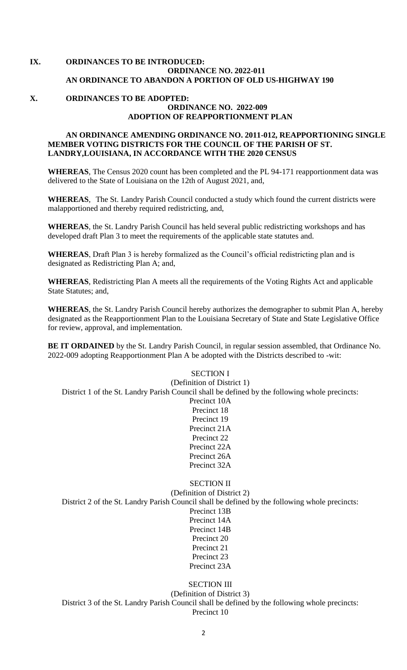## **IX. ORDINANCES TO BE INTRODUCED: ORDINANCE NO. 2022-011 AN ORDINANCE TO ABANDON A PORTION OF OLD US-HIGHWAY 190**

#### **X. ORDINANCES TO BE ADOPTED: ORDINANCE NO. 2022-009 ADOPTION OF REAPPORTIONMENT PLAN**

#### **AN ORDINANCE AMENDING ORDINANCE NO. 2011-012, REAPPORTIONING SINGLE MEMBER VOTING DISTRICTS FOR THE COUNCIL OF THE PARISH OF ST. LANDRY,LOUISIANA, IN ACCORDANCE WITH THE 2020 CENSUS**

**WHEREAS**, The Census 2020 count has been completed and the PL 94-171 reapportionment data was delivered to the State of Louisiana on the 12th of August 2021, and,

**WHEREAS**, The St. Landry Parish Council conducted a study which found the current districts were malapportioned and thereby required redistricting, and,

**WHEREAS**, the St. Landry Parish Council has held several public redistricting workshops and has developed draft Plan 3 to meet the requirements of the applicable state statutes and.

**WHEREAS**, Draft Plan 3 is hereby formalized as the Council's official redistricting plan and is designated as Redistricting Plan A; and,

**WHEREAS**, Redistricting Plan A meets all the requirements of the Voting Rights Act and applicable State Statutes; and,

**WHEREAS**, the St. Landry Parish Council hereby authorizes the demographer to submit Plan A, hereby designated as the Reapportionment Plan to the Louisiana Secretary of State and State Legislative Office for review, approval, and implementation.

**BE IT ORDAINED** by the St. Landry Parish Council, in regular session assembled, that Ordinance No. 2022-009 adopting Reapportionment Plan A be adopted with the Districts described to -wit:

# SECTION I (Definition of District 1) District 1 of the St. Landry Parish Council shall be defined by the following whole precincts: Precinct 10A Precinct 18 Precinct 19 Precinct 21A Precinct 22 Precinct 22A Precinct 26A Precinct 32A SECTION II (Definition of District 2)

District 2 of the St. Landry Parish Council shall be defined by the following whole precincts:

Precinct 13B Precinct 14A Precinct 14B Precinct 20 Precinct 21 Precinct 23 Precinct 23A

SECTION III (Definition of District 3) District 3 of the St. Landry Parish Council shall be defined by the following whole precincts: Precinct 10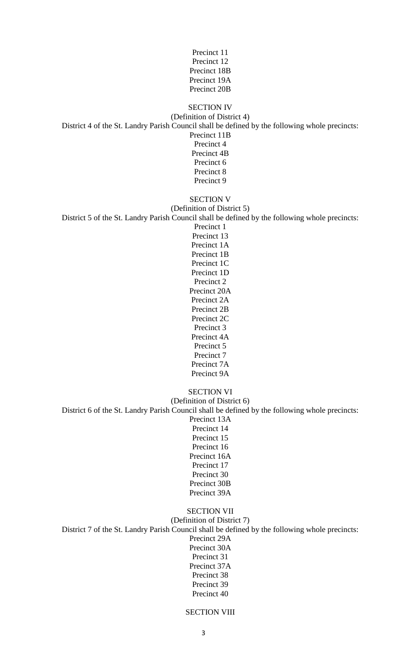| Precinct 11  |
|--------------|
| Precinct 12  |
| Precinct 18B |
| Precinct 19A |
| Precinct 20B |

#### SECTION IV (Definition of District 4) District 4 of the St. Landry Parish Council shall be defined by the following whole precincts: Precinct 11B Precinct 4 Precinct 4B Precinct 6 Precinct 8

Precinct 9

## SECTION V

(Definition of District 5) District 5 of the St. Landry Parish Council shall be defined by the following whole precincts:

Precinct 1 Precinct 13 Precinct 1A Precinct 1B Precinct 1C Precinct 1D Precinct 2 Precinct 20A Precinct 2A Precinct 2B Precinct 2C Precinct 3 Precinct 4A Precinct 5 Precinct 7 Precinct 7A Precinct 9A

#### SECTION VI (Definition of District 6) District 6 of the St. Landry Parish Council shall be defined by the following whole precincts: Precinct 13A Precinct 14 Precinct 15 Precinct 16 Precinct 16A Precinct 17

Precinct 30 Precinct 30B Precinct 39A

#### SECTION VII (Definition of District 7) District 7 of the St. Landry Parish Council shall be defined by the following whole precincts: Precinct 29A Precinct 30A Precinct 31 Precinct 37A Precinct 38 Precinct 39 Precinct 40

#### SECTION VIII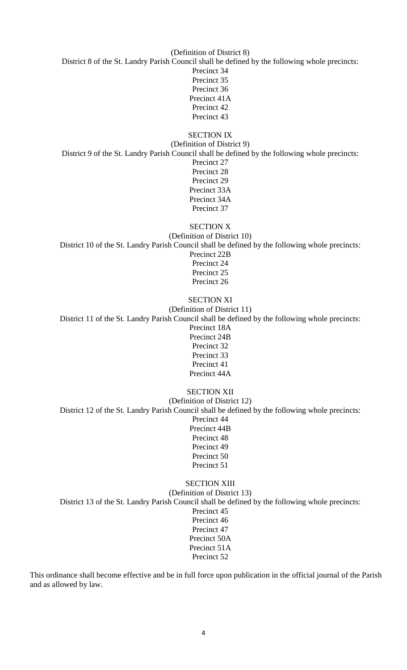(Definition of District 8) District 8 of the St. Landry Parish Council shall be defined by the following whole precincts: Precinct 34 Precinct 35 Precinct 36 Precinct 41A Precinct 42 Precinct 43

SECTION IX (Definition of District 9) District 9 of the St. Landry Parish Council shall be defined by the following whole precincts: Precinct 27 Precinct 28 Precinct 29 Precinct 33A Precinct 34A Precinct 37

SECTION X (Definition of District 10) District 10 of the St. Landry Parish Council shall be defined by the following whole precincts: Precinct 22B Precinct 24 Precinct 25 Precinct 26

SECTION XI (Definition of District 11) District 11 of the St. Landry Parish Council shall be defined by the following whole precincts: Precinct 18A Precinct 24B Precinct 32 Precinct 33 Precinct 41 Precinct 44A SECTION XII

(Definition of District 12) District 12 of the St. Landry Parish Council shall be defined by the following whole precincts: Precinct 44 Precinct 44B Precinct 48 Precinct 49 Precinct 50 Precinct 51

#### SECTION XIII

(Definition of District 13) District 13 of the St. Landry Parish Council shall be defined by the following whole precincts: Precinct 45 Precinct 46 Precinct 47 Precinct 50A Precinct 51A Precinct 52

This ordinance shall become effective and be in full force upon publication in the official journal of the Parish and as allowed by law.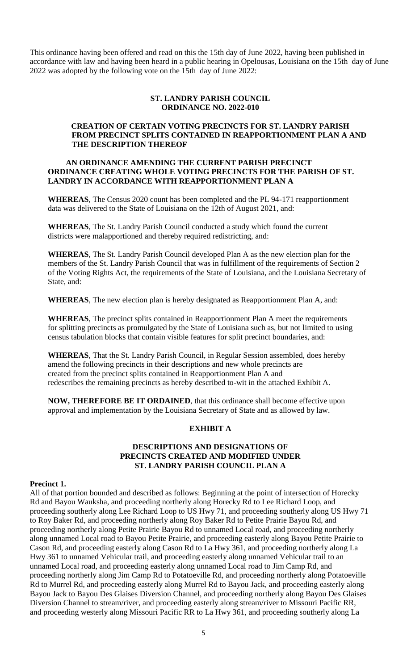This ordinance having been offered and read on this the 15th day of June 2022, having been published in accordance with law and having been heard in a public hearing in Opelousas, Louisiana on the 15th day of June 2022 was adopted by the following vote on the 15th day of June 2022:

#### **ST. LANDRY PARISH COUNCIL ORDINANCE NO. 2022-010**

### **CREATION OF CERTAIN VOTING PRECINCTS FOR ST. LANDRY PARISH FROM PRECINCT SPLITS CONTAINED IN REAPPORTIONMENT PLAN A AND THE DESCRIPTION THEREOF**

#### **AN ORDINANCE AMENDING THE CURRENT PARISH PRECINCT ORDINANCE CREATING WHOLE VOTING PRECINCTS FOR THE PARISH OF ST. LANDRY IN ACCORDANCE WITH REAPPORTIONMENT PLAN A**

**WHEREAS**, The Census 2020 count has been completed and the PL 94-171 reapportionment data was delivered to the State of Louisiana on the 12th of August 2021, and:

**WHEREAS**, The St. Landry Parish Council conducted a study which found the current districts were malapportioned and thereby required redistricting, and:

**WHEREAS**, The St. Landry Parish Council developed Plan A as the new election plan for the members of the St. Landry Parish Council that was in fulfillment of the requirements of Section 2 of the Voting Rights Act, the requirements of the State of Louisiana, and the Louisiana Secretary of State, and:

**WHEREAS**, The new election plan is hereby designated as Reapportionment Plan A, and:

**WHEREAS**, The precinct splits contained in Reapportionment Plan A meet the requirements for splitting precincts as promulgated by the State of Louisiana such as, but not limited to using census tabulation blocks that contain visible features for split precinct boundaries, and:

**WHEREAS**, That the St. Landry Parish Council, in Regular Session assembled, does hereby amend the following precincts in their descriptions and new whole precincts are created from the precinct splits contained in Reapportionment Plan A and redescribes the remaining precincts as hereby described to-wit in the attached Exhibit A.

**NOW, THEREFORE BE IT ORDAINED**, that this ordinance shall become effective upon approval and implementation by the Louisiana Secretary of State and as allowed by law.

#### **EXHIBIT A**

#### **DESCRIPTIONS AND DESIGNATIONS OF PRECINCTS CREATED AND MODIFIED UNDER ST. LANDRY PARISH COUNCIL PLAN A**

#### **Precinct 1.**

All of that portion bounded and described as follows: Beginning at the point of intersection of Horecky Rd and Bayou Wauksha, and proceeding northerly along Horecky Rd to Lee Richard Loop, and proceeding southerly along Lee Richard Loop to US Hwy 71, and proceeding southerly along US Hwy 71 to Roy Baker Rd, and proceeding northerly along Roy Baker Rd to Petite Prairie Bayou Rd, and proceeding northerly along Petite Prairie Bayou Rd to unnamed Local road, and proceeding northerly along unnamed Local road to Bayou Petite Prairie, and proceeding easterly along Bayou Petite Prairie to Cason Rd, and proceeding easterly along Cason Rd to La Hwy 361, and proceeding northerly along La Hwy 361 to unnamed Vehicular trail, and proceeding easterly along unnamed Vehicular trail to an unnamed Local road, and proceeding easterly along unnamed Local road to Jim Camp Rd, and proceeding northerly along Jim Camp Rd to Potatoeville Rd, and proceeding northerly along Potatoeville Rd to Murrel Rd, and proceeding easterly along Murrel Rd to Bayou Jack, and proceeding easterly along Bayou Jack to Bayou Des Glaises Diversion Channel, and proceeding northerly along Bayou Des Glaises Diversion Channel to stream/river, and proceeding easterly along stream/river to Missouri Pacific RR, and proceeding westerly along Missouri Pacific RR to La Hwy 361, and proceeding southerly along La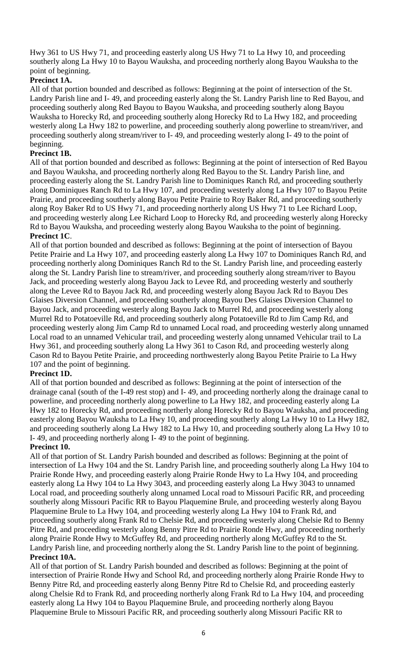Hwy 361 to US Hwy 71, and proceeding easterly along US Hwy 71 to La Hwy 10, and proceeding southerly along La Hwy 10 to Bayou Wauksha, and proceeding northerly along Bayou Wauksha to the point of beginning.

# **Precinct 1A.**

All of that portion bounded and described as follows: Beginning at the point of intersection of the St. Landry Parish line and I- 49, and proceeding easterly along the St. Landry Parish line to Red Bayou, and proceeding southerly along Red Bayou to Bayou Wauksha, and proceeding southerly along Bayou Wauksha to Horecky Rd, and proceeding southerly along Horecky Rd to La Hwy 182, and proceeding westerly along La Hwy 182 to powerline, and proceeding southerly along powerline to stream/river, and proceeding southerly along stream/river to I- 49, and proceeding westerly along I- 49 to the point of beginning.

# **Precinct 1B.**

All of that portion bounded and described as follows: Beginning at the point of intersection of Red Bayou and Bayou Wauksha, and proceeding northerly along Red Bayou to the St. Landry Parish line, and proceeding easterly along the St. Landry Parish line to Dominiques Ranch Rd, and proceeding southerly along Dominiques Ranch Rd to La Hwy 107, and proceeding westerly along La Hwy 107 to Bayou Petite Prairie, and proceeding southerly along Bayou Petite Prairie to Roy Baker Rd, and proceeding southerly along Roy Baker Rd to US Hwy 71, and proceeding northerly along US Hwy 71 to Lee Richard Loop, and proceeding westerly along Lee Richard Loop to Horecky Rd, and proceeding westerly along Horecky Rd to Bayou Wauksha, and proceeding westerly along Bayou Wauksha to the point of beginning. **Precinct 1C**.

All of that portion bounded and described as follows: Beginning at the point of intersection of Bayou Petite Prairie and La Hwy 107, and proceeding easterly along La Hwy 107 to Dominiques Ranch Rd, and proceeding northerly along Dominiques Ranch Rd to the St. Landry Parish line, and proceeding easterly along the St. Landry Parish line to stream/river, and proceeding southerly along stream/river to Bayou Jack, and proceeding westerly along Bayou Jack to Levee Rd, and proceeding westerly and southerly along the Levee Rd to Bayou Jack Rd, and proceeding westerly along Bayou Jack Rd to Bayou Des Glaises Diversion Channel, and proceeding southerly along Bayou Des Glaises Diversion Channel to Bayou Jack, and proceeding westerly along Bayou Jack to Murrel Rd, and proceeding westerly along Murrel Rd to Potatoeville Rd, and proceeding southerly along Potatoeville Rd to Jim Camp Rd, and proceeding westerly along Jim Camp Rd to unnamed Local road, and proceeding westerly along unnamed Local road to an unnamed Vehicular trail, and proceeding westerly along unnamed Vehicular trail to La Hwy 361, and proceeding southerly along La Hwy 361 to Cason Rd, and proceeding westerly along Cason Rd to Bayou Petite Prairie, and proceeding northwesterly along Bayou Petite Prairie to La Hwy 107 and the point of beginning.

# **Precinct 1D.**

All of that portion bounded and described as follows: Beginning at the point of intersection of the drainage canal (south of the I-49 rest stop) and I- 49, and proceeding northerly along the drainage canal to powerline, and proceeding northerly along powerline to La Hwy 182, and proceeding easterly along La Hwy 182 to Horecky Rd, and proceeding northerly along Horecky Rd to Bayou Wauksha, and proceeding easterly along Bayou Wauksha to La Hwy 10, and proceeding southerly along La Hwy 10 to La Hwy 182, and proceeding southerly along La Hwy 182 to La Hwy 10, and proceeding southerly along La Hwy 10 to I- 49, and proceeding northerly along I- 49 to the point of beginning.

#### **Precinct 10.**

All of that portion of St. Landry Parish bounded and described as follows: Beginning at the point of intersection of La Hwy 104 and the St. Landry Parish line, and proceeding southerly along La Hwy 104 to Prairie Ronde Hwy, and proceeding easterly along Prairie Ronde Hwy to La Hwy 104, and proceeding easterly along La Hwy 104 to La Hwy 3043, and proceeding easterly along La Hwy 3043 to unnamed Local road, and proceeding southerly along unnamed Local road to Missouri Pacific RR, and proceeding southerly along Missouri Pacific RR to Bayou Plaquemine Brule, and proceeding westerly along Bayou Plaquemine Brule to La Hwy 104, and proceeding westerly along La Hwy 104 to Frank Rd, and proceeding southerly along Frank Rd to Chelsie Rd, and proceeding westerly along Chelsie Rd to Benny Pitre Rd, and proceeding westerly along Benny Pitre Rd to Prairie Ronde Hwy, and proceeding northerly along Prairie Ronde Hwy to McGuffey Rd, and proceeding northerly along McGuffey Rd to the St. Landry Parish line, and proceeding northerly along the St. Landry Parish line to the point of beginning. **Precinct 10A.**

All of that portion of St. Landry Parish bounded and described as follows: Beginning at the point of intersection of Prairie Ronde Hwy and School Rd, and proceeding northerly along Prairie Ronde Hwy to Benny Pitre Rd, and proceeding easterly along Benny Pitre Rd to Chelsie Rd, and proceeding easterly along Chelsie Rd to Frank Rd, and proceeding northerly along Frank Rd to La Hwy 104, and proceeding easterly along La Hwy 104 to Bayou Plaquemine Brule, and proceeding northerly along Bayou Plaquemine Brule to Missouri Pacific RR, and proceeding southerly along Missouri Pacific RR to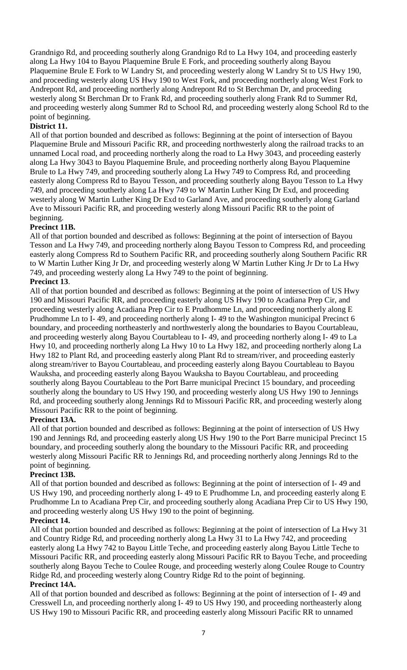Grandnigo Rd, and proceeding southerly along Grandnigo Rd to La Hwy 104, and proceeding easterly along La Hwy 104 to Bayou Plaquemine Brule E Fork, and proceeding southerly along Bayou Plaquemine Brule E Fork to W Landry St, and proceeding westerly along W Landry St to US Hwy 190, and proceeding westerly along US Hwy 190 to West Fork, and proceeding northerly along West Fork to Andrepont Rd, and proceeding northerly along Andrepont Rd to St Berchman Dr, and proceeding westerly along St Berchman Dr to Frank Rd, and proceeding southerly along Frank Rd to Summer Rd, and proceeding westerly along Summer Rd to School Rd, and proceeding westerly along School Rd to the point of beginning.

# **District 11.**

All of that portion bounded and described as follows: Beginning at the point of intersection of Bayou Plaquemine Brule and Missouri Pacific RR, and proceeding northwesterly along the railroad tracks to an unnamed Local road, and proceeding northerly along the road to La Hwy 3043, and proceeding easterly along La Hwy 3043 to Bayou Plaquemine Brule, and proceeding northerly along Bayou Plaquemine Brule to La Hwy 749, and proceeding southerly along La Hwy 749 to Compress Rd, and proceeding easterly along Compress Rd to Bayou Tesson, and proceeding southerly along Bayou Tesson to La Hwy 749, and proceeding southerly along La Hwy 749 to W Martin Luther King Dr Exd, and proceeding westerly along W Martin Luther King Dr Exd to Garland Ave, and proceeding southerly along Garland Ave to Missouri Pacific RR, and proceeding westerly along Missouri Pacific RR to the point of beginning.

## **Precinct 11B.**

All of that portion bounded and described as follows: Beginning at the point of intersection of Bayou Tesson and La Hwy 749, and proceeding northerly along Bayou Tesson to Compress Rd, and proceeding easterly along Compress Rd to Southern Pacific RR, and proceeding southerly along Southern Pacific RR to W Martin Luther King Jr Dr, and proceeding westerly along W Martin Luther King Jr Dr to La Hwy 749, and proceeding westerly along La Hwy 749 to the point of beginning.

## **Precinct 13**.

All of that portion bounded and described as follows: Beginning at the point of intersection of US Hwy 190 and Missouri Pacific RR, and proceeding easterly along US Hwy 190 to Acadiana Prep Cir, and proceeding westerly along Acadiana Prep Cir to E Prudhomme Ln, and proceeding northerly along E Prudhomme Ln to I- 49, and proceeding northerly along I- 49 to the Washington municipal Precinct 6 boundary, and proceeding northeasterly and northwesterly along the boundaries to Bayou Courtableau, and proceeding westerly along Bayou Courtableau to I- 49, and proceeding northerly along I- 49 to La Hwy 10, and proceeding northerly along La Hwy 10 to La Hwy 182, and proceeding northerly along La Hwy 182 to Plant Rd, and proceeding easterly along Plant Rd to stream/river, and proceeding easterly along stream/river to Bayou Courtableau, and proceeding easterly along Bayou Courtableau to Bayou Wauksha, and proceeding easterly along Bayou Wauksha to Bayou Courtableau, and proceeding southerly along Bayou Courtableau to the Port Barre municipal Precinct 15 boundary, and proceeding southerly along the boundary to US Hwy 190, and proceeding westerly along US Hwy 190 to Jennings Rd, and proceeding southerly along Jennings Rd to Missouri Pacific RR, and proceeding westerly along Missouri Pacific RR to the point of beginning.

# **Precinct 13A.**

All of that portion bounded and described as follows: Beginning at the point of intersection of US Hwy 190 and Jennings Rd, and proceeding easterly along US Hwy 190 to the Port Barre municipal Precinct 15 boundary, and proceeding southerly along the boundary to the Missouri Pacific RR, and proceeding westerly along Missouri Pacific RR to Jennings Rd, and proceeding northerly along Jennings Rd to the point of beginning.

#### **Precinct 13B.**

All of that portion bounded and described as follows: Beginning at the point of intersection of I- 49 and US Hwy 190, and proceeding northerly along I- 49 to E Prudhomme Ln, and proceeding easterly along E Prudhomme Ln to Acadiana Prep Cir, and proceeding southerly along Acadiana Prep Cir to US Hwy 190, and proceeding westerly along US Hwy 190 to the point of beginning.

#### **Precinct 14.**

All of that portion bounded and described as follows: Beginning at the point of intersection of La Hwy 31 and Country Ridge Rd, and proceeding northerly along La Hwy 31 to La Hwy 742, and proceeding easterly along La Hwy 742 to Bayou Little Teche, and proceeding easterly along Bayou Little Teche to Missouri Pacific RR, and proceeding easterly along Missouri Pacific RR to Bayou Teche, and proceeding southerly along Bayou Teche to Coulee Rouge, and proceeding westerly along Coulee Rouge to Country Ridge Rd, and proceeding westerly along Country Ridge Rd to the point of beginning.

#### **Precinct 14A.**

All of that portion bounded and described as follows: Beginning at the point of intersection of I- 49 and Cresswell Ln, and proceeding northerly along I- 49 to US Hwy 190, and proceeding northeasterly along US Hwy 190 to Missouri Pacific RR, and proceeding easterly along Missouri Pacific RR to unnamed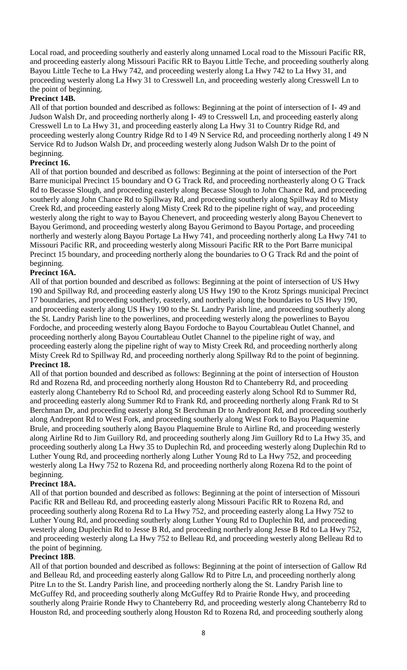Local road, and proceeding southerly and easterly along unnamed Local road to the Missouri Pacific RR, and proceeding easterly along Missouri Pacific RR to Bayou Little Teche, and proceeding southerly along Bayou Little Teche to La Hwy 742, and proceeding westerly along La Hwy 742 to La Hwy 31, and proceeding westerly along La Hwy 31 to Cresswell Ln, and proceeding westerly along Cresswell Ln to the point of beginning.

#### **Precinct 14B.**

All of that portion bounded and described as follows: Beginning at the point of intersection of I- 49 and Judson Walsh Dr, and proceeding northerly along I- 49 to Cresswell Ln, and proceeding easterly along Cresswell Ln to La Hwy 31, and proceeding easterly along La Hwy 31 to Country Ridge Rd, and proceeding westerly along Country Ridge Rd to I 49 N Service Rd, and proceeding northerly along I 49 N Service Rd to Judson Walsh Dr, and proceeding westerly along Judson Walsh Dr to the point of beginning.

## **Precinct 16.**

All of that portion bounded and described as follows: Beginning at the point of intersection of the Port Barre municipal Precinct 15 boundary and O G Track Rd, and proceeding northeasterly along O G Track Rd to Becasse Slough, and proceeding easterly along Becasse Slough to John Chance Rd, and proceeding southerly along John Chance Rd to Spillway Rd, and proceeding southerly along Spillway Rd to Misty Creek Rd, and proceeding easterly along Misty Creek Rd to the pipeline right of way, and proceeding westerly along the right to way to Bayou Chenevert, and proceeding westerly along Bayou Chenevert to Bayou Gerimond, and proceeding westerly along Bayou Gerimond to Bayou Portage, and proceeding northerly and westerly along Bayou Portage La Hwy 741, and proceeding northerly along La Hwy 741 to Missouri Pacific RR, and proceeding westerly along Missouri Pacific RR to the Port Barre municipal Precinct 15 boundary, and proceeding northerly along the boundaries to O G Track Rd and the point of beginning.

## **Precinct 16A.**

All of that portion bounded and described as follows: Beginning at the point of intersection of US Hwy 190 and Spillway Rd, and proceeding easterly along US Hwy 190 to the Krotz Springs municipal Precinct 17 boundaries, and proceeding southerly, easterly, and northerly along the boundaries to US Hwy 190, and proceeding easterly along US Hwy 190 to the St. Landry Parish line, and proceeding southerly along the St. Landry Parish line to the powerlines, and proceeding westerly along the powerlines to Bayou Fordoche, and proceeding westerly along Bayou Fordoche to Bayou Courtableau Outlet Channel, and proceeding northerly along Bayou Courtableau Outlet Channel to the pipeline right of way, and proceeding easterly along the pipeline right of way to Misty Creek Rd, and proceeding northerly along Misty Creek Rd to Spillway Rd, and proceeding northerly along Spillway Rd to the point of beginning. **Precinct 18.**

All of that portion bounded and described as follows: Beginning at the point of intersection of Houston Rd and Rozena Rd, and proceeding northerly along Houston Rd to Chanteberry Rd, and proceeding easterly along Chanteberry Rd to School Rd, and proceeding easterly along School Rd to Summer Rd, and proceeding easterly along Summer Rd to Frank Rd, and proceeding northerly along Frank Rd to St Berchman Dr, and proceeding easterly along St Berchman Dr to Andrepont Rd, and proceeding southerly along Andrepont Rd to West Fork, and proceeding southerly along West Fork to Bayou Plaquemine Brule, and proceeding southerly along Bayou Plaquemine Brule to Airline Rd, and proceeding westerly along Airline Rd to Jim Guillory Rd, and proceeding southerly along Jim Guillory Rd to La Hwy 35, and proceeding southerly along La Hwy 35 to Duplechin Rd, and proceeding westerly along Duplechin Rd to Luther Young Rd, and proceeding northerly along Luther Young Rd to La Hwy 752, and proceeding westerly along La Hwy 752 to Rozena Rd, and proceeding northerly along Rozena Rd to the point of beginning.

#### **Precinct 18A.**

All of that portion bounded and described as follows: Beginning at the point of intersection of Missouri Pacific RR and Belleau Rd, and proceeding easterly along Missouri Pacific RR to Rozena Rd, and proceeding southerly along Rozena Rd to La Hwy 752, and proceeding easterly along La Hwy 752 to Luther Young Rd, and proceeding southerly along Luther Young Rd to Duplechin Rd, and proceeding westerly along Duplechin Rd to Jesse B Rd, and proceeding northerly along Jesse B Rd to La Hwy 752, and proceeding westerly along La Hwy 752 to Belleau Rd, and proceeding westerly along Belleau Rd to the point of beginning.

### **Precinct 18B**.

All of that portion bounded and described as follows: Beginning at the point of intersection of Gallow Rd and Belleau Rd, and proceeding easterly along Gallow Rd to Pitre Ln, and proceeding northerly along Pitre Ln to the St. Landry Parish line, and proceeding northerly along the St. Landry Parish line to McGuffey Rd, and proceeding southerly along McGuffey Rd to Prairie Ronde Hwy, and proceeding southerly along Prairie Ronde Hwy to Chanteberry Rd, and proceeding westerly along Chanteberry Rd to Houston Rd, and proceeding southerly along Houston Rd to Rozena Rd, and proceeding southerly along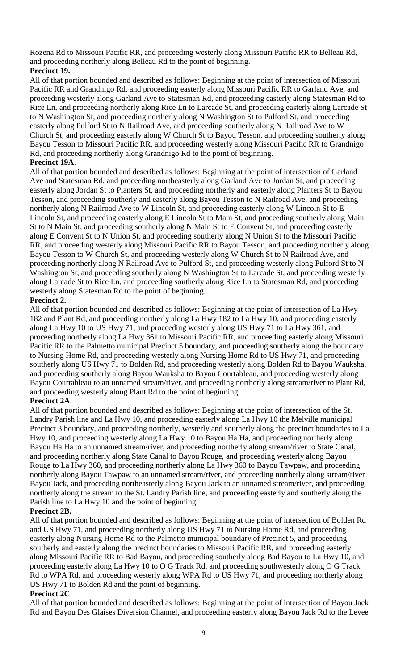Rozena Rd to Missouri Pacific RR, and proceeding westerly along Missouri Pacific RR to Belleau Rd, and proceeding northerly along Belleau Rd to the point of beginning. **Precinct 19.**

All of that portion bounded and described as follows: Beginning at the point of intersection of Missouri Pacific RR and Grandnigo Rd, and proceeding easterly along Missouri Pacific RR to Garland Ave, and proceeding westerly along Garland Ave to Statesman Rd, and proceeding easterly along Statesman Rd to Rice Ln, and proceeding northerly along Rice Ln to Larcade St, and proceeding easterly along Larcade St to N Washington St, and proceeding northerly along N Washington St to Pulford St, and proceeding easterly along Pulford St to N Railroad Ave, and proceeding southerly along N Railroad Ave to W Church St, and proceeding easterly along W Church St to Bayou Tesson, and proceeding southerly along Bayou Tesson to Missouri Pacific RR, and proceeding westerly along Missouri Pacific RR to Grandnigo Rd, and proceeding northerly along Grandnigo Rd to the point of beginning.

## **Precinct 19A**.

All of that portion bounded and described as follows: Beginning at the point of intersection of Garland Ave and Statesman Rd, and proceeding northeasterly along Garland Ave to Jordan St, and proceeding easterly along Jordan St to Planters St, and proceeding northerly and easterly along Planters St to Bayou Tesson, and proceeding southerly and easterly along Bayou Tesson to N Railroad Ave, and proceeding northerly along N Railroad Ave to W Lincoln St, and proceeding easterly along W Lincoln St to E Lincoln St, and proceeding easterly along E Lincoln St to Main St, and proceeding southerly along Main St to N Main St, and proceeding southerly along N Main St to E Convent St, and proceeding easterly along E Convent St to N Union St, and proceeding southerly along N Union St to the Missouri Pacific RR, and proceeding westerly along Missouri Pacific RR to Bayou Tesson, and proceeding northerly along Bayou Tesson to W Church St, and proceeding westerly along W Church St to N Railroad Ave, and proceeding northerly along N Railroad Ave to Pulford St, and proceeding westerly along Pulford St to N Washington St, and proceeding southerly along N Washington St to Larcade St, and proceeding westerly along Larcade St to Rice Ln, and proceeding southerly along Rice Ln to Statesman Rd, and proceeding westerly along Statesman Rd to the point of beginning.

## **Precinct 2.**

All of that portion bounded and described as follows: Beginning at the point of intersection of La Hwy 182 and Plant Rd, and proceeding northerly along La Hwy 182 to La Hwy 10, and proceeding easterly along La Hwy 10 to US Hwy 71, and proceeding westerly along US Hwy 71 to La Hwy 361, and proceeding northerly along La Hwy 361 to Missouri Pacific RR, and proceeding easterly along Missouri Pacific RR to the Palmetto municipal Precinct 5 boundary, and proceeding southerly along the boundary to Nursing Home Rd, and proceeding westerly along Nursing Home Rd to US Hwy 71, and proceeding southerly along US Hwy 71 to Bolden Rd, and proceeding westerly along Bolden Rd to Bayou Wauksha, and proceeding southerly along Bayou Wauksha to Bayou Courtableau, and proceeding westerly along Bayou Courtableau to an unnamed stream/river, and proceeding northerly along stream/river to Plant Rd, and proceeding westerly along Plant Rd to the point of beginning.

# **Precinct 2A**.

All of that portion bounded and described as follows: Beginning at the point of intersection of the St. Landry Parish line and La Hwy 10, and proceeding easterly along La Hwy 10 the Melville municipal Precinct 3 boundary, and proceeding northerly, westerly and southerly along the precinct boundaries to La Hwy 10, and proceeding westerly along La Hwy 10 to Bayou Ha Ha, and proceeding northerly along Bayou Ha Ha to an unnamed stream/river, and proceeding northerly along stream/river to State Canal, and proceeding northerly along State Canal to Bayou Rouge, and proceeding westerly along Bayou Rouge to La Hwy 360, and proceeding northerly along La Hwy 360 to Bayou Tawpaw, and proceeding northerly along Bayou Tawpaw to an unnamed stream/river, and proceeding northerly along stream/river Bayou Jack, and proceeding northeasterly along Bayou Jack to an unnamed stream/river, and proceeding northerly along the stream to the St. Landry Parish line, and proceeding easterly and southerly along the Parish line to La Hwy 10 and the point of beginning.

#### **Precinct 2B.**

All of that portion bounded and described as follows: Beginning at the point of intersection of Bolden Rd and US Hwy 71, and proceeding northerly along US Hwy 71 to Nursing Home Rd, and proceeding easterly along Nursing Home Rd to the Palmetto municipal boundary of Precinct 5, and proceeding southerly and easterly along the precinct boundaries to Missouri Pacific RR, and proceeding easterly along Missouri Pacific RR to Bad Bayou, and proceeding southerly along Bad Bayou to La Hwy 10, and proceeding easterly along La Hwy 10 to O G Track Rd, and proceeding southwesterly along O G Track Rd to WPA Rd, and proceeding westerly along WPA Rd to US Hwy 71, and proceeding northerly along US Hwy 71 to Bolden Rd and the point of beginning.

#### **Precinct 2C**.

All of that portion bounded and described as follows: Beginning at the point of intersection of Bayou Jack Rd and Bayou Des Glaises Diversion Channel, and proceeding easterly along Bayou Jack Rd to the Levee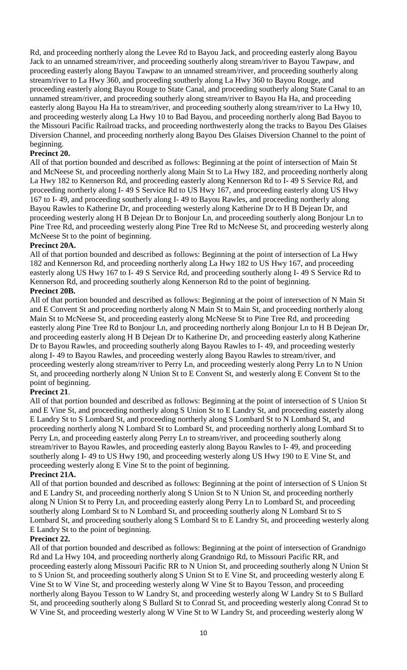Rd, and proceeding northerly along the Levee Rd to Bayou Jack, and proceeding easterly along Bayou Jack to an unnamed stream/river, and proceeding southerly along stream/river to Bayou Tawpaw, and proceeding easterly along Bayou Tawpaw to an unnamed stream/river, and proceeding southerly along stream/river to La Hwy 360, and proceeding southerly along La Hwy 360 to Bayou Rouge, and proceeding easterly along Bayou Rouge to State Canal, and proceeding southerly along State Canal to an unnamed stream/river, and proceeding southerly along stream/river to Bayou Ha Ha, and proceeding easterly along Bayou Ha Ha to stream/river, and proceeding southerly along stream/river to La Hwy 10, and proceeding westerly along La Hwy 10 to Bad Bayou, and proceeding northerly along Bad Bayou to the Missouri Pacific Railroad tracks, and proceeding northwesterly along the tracks to Bayou Des Glaises Diversion Channel, and proceeding northerly along Bayou Des Glaises Diversion Channel to the point of beginning.

## **Precinct 20.**

All of that portion bounded and described as follows: Beginning at the point of intersection of Main St and McNeese St, and proceeding northerly along Main St to La Hwy 182, and proceeding northerly along La Hwy 182 to Kennerson Rd, and proceeding easterly along Kennerson Rd to I- 49 S Service Rd, and proceeding northerly along I- 49 S Service Rd to US Hwy 167, and proceeding easterly along US Hwy 167 to I- 49, and proceeding southerly along I- 49 to Bayou Rawles, and proceeding northerly along Bayou Rawles to Katherine Dr, and proceeding westerly along Katherine Dr to H B Dejean Dr, and proceeding westerly along H B Dejean Dr to Bonjour Ln, and proceeding southerly along Bonjour Ln to Pine Tree Rd, and proceeding westerly along Pine Tree Rd to McNeese St, and proceeding westerly along McNeese St to the point of beginning.

## **Precinct 20A.**

All of that portion bounded and described as follows: Beginning at the point of intersection of La Hwy 182 and Kennerson Rd, and proceeding northerly along La Hwy 182 to US Hwy 167, and proceeding easterly along US Hwy 167 to I- 49 S Service Rd, and proceeding southerly along I- 49 S Service Rd to Kennerson Rd, and proceeding southerly along Kennerson Rd to the point of beginning.

## **Precinct 20B.**

All of that portion bounded and described as follows: Beginning at the point of intersection of N Main St and E Convent St and proceeding northerly along N Main St to Main St, and proceeding northerly along Main St to McNeese St, and proceeding easterly along McNeese St to Pine Tree Rd, and proceeding easterly along Pine Tree Rd to Bonjour Ln, and proceeding northerly along Bonjour Ln to H B Dejean Dr, and proceeding easterly along H B Dejean Dr to Katherine Dr, and proceeding easterly along Katherine Dr to Bayou Rawles, and proceeding southerly along Bayou Rawles to I- 49, and proceeding westerly along I- 49 to Bayou Rawles, and proceeding westerly along Bayou Rawles to stream/river, and proceeding westerly along stream/river to Perry Ln, and proceeding westerly along Perry Ln to N Union St, and proceeding northerly along N Union St to E Convent St, and westerly along E Convent St to the point of beginning.

# **Precinct 21**.

All of that portion bounded and described as follows: Beginning at the point of intersection of S Union St and E Vine St, and proceeding northerly along S Union St to E Landry St, and proceeding easterly along E Landry St to S Lombard St, and proceeding northerly along S Lombard St to N Lombard St, and proceeding northerly along N Lombard St to Lombard St, and proceeding northerly along Lombard St to Perry Ln, and proceeding easterly along Perry Ln to stream/river, and proceeding southerly along stream/river to Bayou Rawles, and proceeding easterly along Bayou Rawles to I- 49, and proceeding southerly along I- 49 to US Hwy 190, and proceeding westerly along US Hwy 190 to E Vine St, and proceeding westerly along E Vine St to the point of beginning.

#### **Precinct 21A.**

All of that portion bounded and described as follows: Beginning at the point of intersection of S Union St and E Landry St, and proceeding northerly along S Union St to N Union St, and proceeding northerly along N Union St to Perry Ln, and proceeding easterly along Perry Ln to Lombard St, and proceeding southerly along Lombard St to N Lombard St, and proceeding southerly along N Lombard St to S Lombard St, and proceeding southerly along S Lombard St to E Landry St, and proceeding westerly along E Landry St to the point of beginning.

#### **Precinct 22.**

All of that portion bounded and described as follows: Beginning at the point of intersection of Grandnigo Rd and La Hwy 104, and proceeding northerly along Grandnigo Rd, to Missouri Pacific RR, and proceeding easterly along Missouri Pacific RR to N Union St, and proceeding southerly along N Union St to S Union St, and proceeding southerly along S Union St to E Vine St, and proceeding westerly along E Vine St to W Vine St, and proceeding westerly along W Vine St to Bayou Tesson, and proceeding northerly along Bayou Tesson to W Landry St, and proceeding westerly along W Landry St to S Bullard St, and proceeding southerly along S Bullard St to Conrad St, and proceeding westerly along Conrad St to W Vine St, and proceeding westerly along W Vine St to W Landry St, and proceeding westerly along W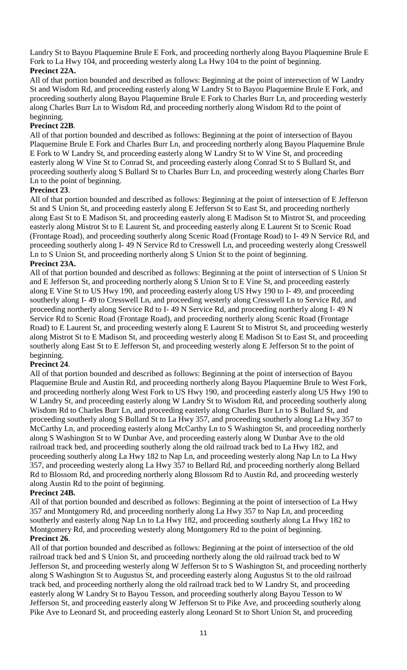Landry St to Bayou Plaquemine Brule E Fork, and proceeding northerly along Bayou Plaquemine Brule E Fork to La Hwy 104, and proceeding westerly along La Hwy 104 to the point of beginning. **Precinct 22A.**

All of that portion bounded and described as follows: Beginning at the point of intersection of W Landry St and Wisdom Rd, and proceeding easterly along W Landry St to Bayou Plaquemine Brule E Fork, and proceeding southerly along Bayou Plaquemine Brule E Fork to Charles Burr Ln, and proceeding westerly along Charles Burr Ln to Wisdom Rd, and proceeding northerly along Wisdom Rd to the point of beginning.

# **Precinct 22B**.

All of that portion bounded and described as follows: Beginning at the point of intersection of Bayou Plaquemine Brule E Fork and Charles Burr Ln, and proceeding northerly along Bayou Plaquemine Brule E Fork to W Landry St, and proceeding easterly along W Landry St to W Vine St, and proceeding easterly along W Vine St to Conrad St, and proceeding easterly along Conrad St to S Bullard St, and proceeding southerly along S Bullard St to Charles Burr Ln, and proceeding westerly along Charles Burr Ln to the point of beginning.

## **Precinct 23**.

All of that portion bounded and described as follows: Beginning at the point of intersection of E Jefferson St and S Union St, and proceeding easterly along E Jefferson St to East St, and proceeding northerly along East St to E Madison St, and proceeding easterly along E Madison St to Mistrot St, and proceeding easterly along Mistrot St to E Laurent St, and proceeding easterly along E Laurent St to Scenic Road (Frontage Road), and proceeding southerly along Scenic Road (Frontage Road) to I- 49 N Service Rd, and proceeding southerly along I- 49 N Service Rd to Cresswell Ln, and proceeding westerly along Cresswell Ln to S Union St, and proceeding northerly along S Union St to the point of beginning.

#### **Precinct 23A.**

All of that portion bounded and described as follows: Beginning at the point of intersection of S Union St and E Jefferson St, and proceeding northerly along S Union St to E Vine St, and proceeding easterly along E Vine St to US Hwy 190, and proceeding easterly along US Hwy 190 to I- 49, and proceeding southerly along I- 49 to Cresswell Ln, and proceeding westerly along Cresswell Ln to Service Rd, and proceeding northerly along Service Rd to I- 49 N Service Rd, and proceeding northerly along I- 49 N Service Rd to Scenic Road (Frontage Road), and proceeding northerly along Scenic Road (Frontage Road) to E Laurent St, and proceeding westerly along E Laurent St to Mistrot St, and proceeding westerly along Mistrot St to E Madison St, and proceeding westerly along E Madison St to East St, and proceeding southerly along East St to E Jefferson St, and proceeding westerly along E Jefferson St to the point of beginning.

#### **Precinct 24**.

All of that portion bounded and described as follows: Beginning at the point of intersection of Bayou Plaquemine Brule and Austin Rd, and proceeding northerly along Bayou Plaquemine Brule to West Fork, and proceeding northerly along West Fork to US Hwy 190, and proceeding easterly along US Hwy 190 to W Landry St, and proceeding easterly along W Landry St to Wisdom Rd, and proceeding southerly along Wisdom Rd to Charles Burr Ln, and proceeding easterly along Charles Burr Ln to S Bullard St, and proceeding southerly along S Bullard St to La Hwy 357, and proceeding southerly along La Hwy 357 to McCarthy Ln, and proceeding easterly along McCarthy Ln to S Washington St, and proceeding northerly along S Washington St to W Dunbar Ave, and proceeding easterly along W Dunbar Ave to the old railroad track bed, and proceeding southerly along the old railroad track bed to La Hwy 182, and proceeding southerly along La Hwy 182 to Nap Ln, and proceeding westerly along Nap Ln to La Hwy 357, and proceeding westerly along La Hwy 357 to Bellard Rd, and proceeding northerly along Bellard Rd to Blossom Rd, and proceeding northerly along Blossom Rd to Austin Rd, and proceeding westerly along Austin Rd to the point of beginning.

#### **Precinct 24B.**

All of that portion bounded and described as follows: Beginning at the point of intersection of La Hwy 357 and Montgomery Rd, and proceeding northerly along La Hwy 357 to Nap Ln, and proceeding southerly and easterly along Nap Ln to La Hwy 182, and proceeding southerly along La Hwy 182 to Montgomery Rd, and proceeding westerly along Montgomery Rd to the point of beginning. **Precinct 26**.

All of that portion bounded and described as follows: Beginning at the point of intersection of the old railroad track bed and S Union St, and proceeding northerly along the old railroad track bed to W Jefferson St, and proceeding westerly along W Jefferson St to S Washington St, and proceeding northerly along S Washington St to Augustus St, and proceeding easterly along Augustus St to the old railroad track bed, and proceeding northerly along the old railroad track bed to W Landry St, and proceeding easterly along W Landry St to Bayou Tesson, and proceeding southerly along Bayou Tesson to W Jefferson St, and proceeding easterly along W Jefferson St to Pike Ave, and proceeding southerly along Pike Ave to Leonard St, and proceeding easterly along Leonard St to Short Union St, and proceeding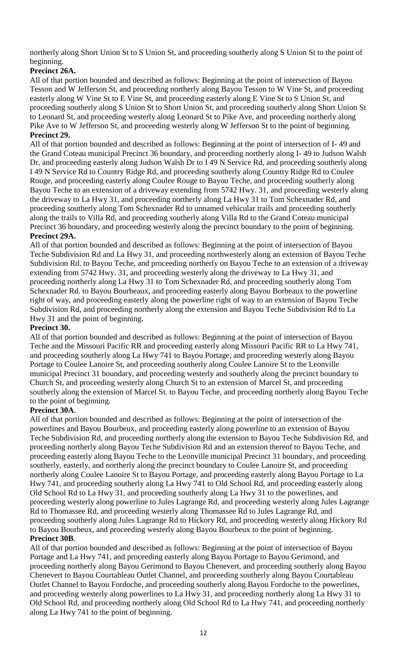northerly along Short Union St to S Union St, and proceeding southerly along S Union St to the point of beginning.

# **Precinct 26A.**

All of that portion bounded and described as follows: Beginning at the point of intersection of Bayou Tesson and W Jefferson St, and proceeding northerly along Bayou Tesson to W Vine St, and proceeding easterly along W Vine St to E Vine St, and proceeding easterly along E Vine St to S Union St, and proceeding southerly along S Union St to Short Union St, and proceeding southerly along Short Union St to Leonard St, and proceeding westerly along Leonard St to Pike Ave, and proceeding northerly along Pike Ave to W Jefferson St, and proceeding westerly along W Jefferson St to the point of beginning. **Precinct 29.**

All of that portion bounded and described as follows: Beginning at the point of intersection of I- 49 and the Grand Coteau municipal Precinct 36 boundary, and proceeding northerly along I- 49 to Judson Walsh Dr, and proceeding easterly along Judson Walsh Dr to I 49 N Service Rd, and proceeding southerly along I 49 N Service Rd to Country Ridge Rd, and proceeding southerly along Country Ridge Rd to Coulee Rouge, and proceeding easterly along Coulee Rouge to Bayou Teche, and proceeding southerly along Bayou Teche to an extension of a driveway extending from 5742 Hwy. 31, and proceeding westerly along the driveway to La Hwy 31, and proceeding northerly along La Hwy 31 to Tom Schexnader Rd, and proceeding southerly along Tom Schexnader Rd to unnamed vehicular trails and proceeding southerly along the trails to Villa Rd, and proceeding southerly along Villa Rd to the Grand Coteau municipal Precinct 36 boundary, and proceeding westerly along the precinct boundary to the point of beginning.

# **Precinct 29A.**

All of that portion bounded and described as follows: Beginning at the point of intersection of Bayou Teche Subdivision Rd and La Hwy 31, and proceeding northwesterly along an extension of Bayou Teche Subdivision Rd. to Bayou Teche, and proceeding northerly on Bayou Teche to an extension of a driveway extending from 5742 Hwy. 31, and proceeding westerly along the driveway to La Hwy 31, and proceeding northerly along La Hwy 31 to Tom Schexnader Rd, and proceeding southerly along Tom Schexnader Rd. to Bayou Bourbeaux, and proceeding easterly along Bayou Borbeaux to the powerline right of way, and proceeding easterly along the powerline right of way to an extension of Bayou Teche Subdivision Rd, and proceeding northerly along the extension and Bayou Teche Subdivision Rd to La Hwy 31 and the point of beginning.

# **Precinct 30.**

All of that portion bounded and described as follows: Beginning at the point of intersection of Bayou Teche and the Missouri Pacific RR and proceeding easterly along Missouri Pacific RR to La Hwy 741, and proceeding southerly along La Hwy 741 to Bayou Portage, and proceeding westerly along Bayou Portage to Coulee Lanoire St, and proceeding southerly along Coulee Lanoire St to the Leonville municipal Precinct 31 boundary, and proceeding westerly and southerly along the precinct boundary to Church St, and proceeding westerly along Church St to an extension of Marcel St, and proceeding southerly along the extension of Marcel St. to Bayou Teche, and proceeding northerly along Bayou Teche to the point of beginning.

# **Precinct 30A**.

All of that portion bounded and described as follows: Beginning at the point of intersection of the powerlines and Bayou Bourbeux, and proceeding easterly along powerline to an extension of Bayou Teche Subdivision Rd, and proceeding northerly along the extension to Bayou Teche Subdivision Rd, and proceeding northerly along Bayou Teche Subdivision Rd and an extension thereof to Bayou Teche, and proceeding easterly along Bayou Teche to the Leonville municipal Precinct 31 boundary, and proceeding southerly, easterly, and northerly along the precinct boundary to Coulee Lanoire St, and proceeding northerly along Coulee Lanoire St to Bayou Portage, and proceeding easterly along Bayou Portage to La Hwy 741, and proceeding southerly along La Hwy 741 to Old School Rd, and proceeding easterly along Old School Rd to La Hwy 31, and proceeding southerly along La Hwy 31 to the powerlines, and proceeding westerly along powerline to Jules Lagrange Rd, and proceeding westerly along Jules Lagrange Rd to Thomassee Rd, and proceeding westerly along Thomassee Rd to Jules Lagrange Rd, and proceeding southerly along Jules Lagrange Rd to Hickory Rd, and proceeding westerly along Hickory Rd to Bayou Bourbeux, and proceeding westerly along Bayou Bourbeux to the point of beginning. **Precinct 30B**.

All of that portion bounded and described as follows: Beginning at the point of intersection of Bayou Portage and La Hwy 741, and proceeding easterly along Bayou Portage to Bayou Gerimond, and proceeding northerly along Bayou Gerimond to Bayou Chenevert, and proceeding southerly along Bayou Chenevert to Bayou Courtableau Outlet Channel, and proceeding southerly along Bayou Courtableau Outlet Channel to Bayou Fordoche, and proceeding southerly along Bayou Fordoche to the powerlines, and proceeding westerly along powerlines to La Hwy 31, and proceeding northerly along La Hwy 31 to Old School Rd, and proceeding northerly along Old School Rd to La Hwy 741, and proceeding northerly along La Hwy 741 to the point of beginning.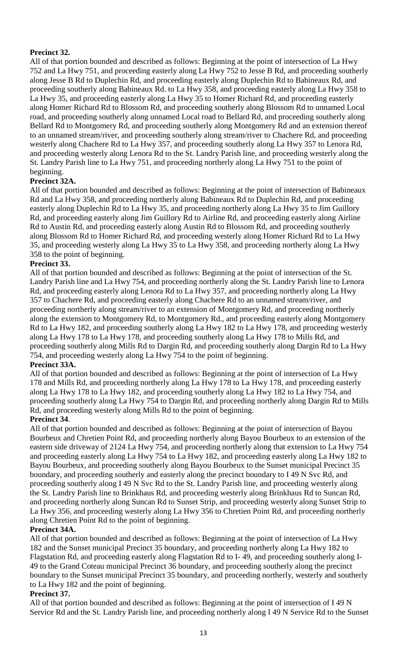# **Precinct 32.**

All of that portion bounded and described as follows: Beginning at the point of intersection of La Hwy 752 and La Hwy 751, and proceeding easterly along La Hwy 752 to Jesse B Rd, and proceeding southerly along Jesse B Rd to Duplechin Rd, and proceeding easterly along Duplechin Rd to Babineaux Rd, and proceeding southerly along Babineaux Rd. to La Hwy 358, and proceeding easterly along La Hwy 358 to La Hwy 35, and proceeding easterly along La Hwy 35 to Homer Richard Rd, and proceeding easterly along Homer Richard Rd to Blossom Rd, and proceeding southerly along Blossom Rd to unnamed Local road, and proceeding southerly along unnamed Local road to Bellard Rd, and proceeding southerly along Bellard Rd to Montgomery Rd, and proceeding southerly along Montgomery Rd and an extension thereof to an unnamed stream/river, and proceeding southerly along stream/river to Chachere Rd, and proceeding westerly along Chachere Rd to La Hwy 357, and proceeding southerly along La Hwy 357 to Lenora Rd, and proceeding westerly along Lenora Rd to the St. Landry Parish line, and proceeding westerly along the St. Landry Parish line to La Hwy 751, and proceeding northerly along La Hwy 751 to the point of beginning.

# **Precinct 32A.**

All of that portion bounded and described as follows: Beginning at the point of intersection of Babineaux Rd and La Hwy 358, and proceeding northerly along Babineaux Rd to Duplechin Rd, and proceeding easterly along Duplechin Rd to La Hwy 35, and proceeding northerly along La Hwy 35 to Jim Guillory Rd, and proceeding easterly along Jim Guillory Rd to Airline Rd, and proceeding easterly along Airline Rd to Austin Rd, and proceeding easterly along Austin Rd to Blossom Rd, and proceeding southerly along Blossom Rd to Homer Richard Rd, and proceeding westerly along Homer Richard Rd to La Hwy 35, and proceeding westerly along La Hwy 35 to La Hwy 358, and proceeding northerly along La Hwy 358 to the point of beginning.

## **Precinct 33.**

All of that portion bounded and described as follows: Beginning at the point of intersection of the St. Landry Parish line and La Hwy 754, and proceeding northerly along the St. Landry Parish line to Lenora Rd, and proceeding easterly along Lenora Rd to La Hwy 357, and proceeding northerly along La Hwy 357 to Chachere Rd, and proceeding easterly along Chachere Rd to an unnamed stream/river, and proceeding northerly along stream/river to an extension of Montgomery Rd, and proceeding northerly along the extension to Montgomery Rd, to Montgomery Rd., and proceeding easterly along Montgomery Rd to La Hwy 182, and proceeding southerly along La Hwy 182 to La Hwy 178, and proceeding westerly along La Hwy 178 to La Hwy 178, and proceeding southerly along La Hwy 178 to Mills Rd, and proceeding southerly along Mills Rd to Dargin Rd, and proceeding southerly along Dargin Rd to La Hwy 754, and proceeding westerly along La Hwy 754 to the point of beginning.

# **Precinct 33A.**

All of that portion bounded and described as follows: Beginning at the point of intersection of La Hwy 178 and Mills Rd, and proceeding northerly along La Hwy 178 to La Hwy 178, and proceeding easterly along La Hwy 178 to La Hwy 182, and proceeding southerly along La Hwy 182 to La Hwy 754, and proceeding southerly along La Hwy 754 to Dargin Rd, and proceeding northerly along Dargin Rd to Mills Rd, and proceeding westerly along Mills Rd to the point of beginning.

#### **Precinct 34**.

All of that portion bounded and described as follows: Beginning at the point of intersection of Bayou Bourbeux and Chretien Point Rd, and proceeding northerly along Bayou Bourbeux to an extension of the eastern side driveway of 2124 La Hwy 754, and proceeding northerly along that extension to La Hwy 754 and proceeding easterly along La Hwy 754 to La Hwy 182, and proceeding easterly along La Hwy 182 to Bayou Bourbeux, and proceeding southerly along Bayou Bourbeux to the Sunset municipal Precinct 35 boundary, and proceeding southerly and easterly along the precinct boundary to I 49 N Svc Rd, and proceeding southerly along I 49 N Svc Rd to the St. Landry Parish line, and proceeding westerly along the St. Landry Parish line to Brinkhaus Rd, and proceeding westerly along Brinkhaus Rd to Suncan Rd, and proceeding northerly along Suncan Rd to Sunset Strip, and proceeding westerly along Sunset Strip to La Hwy 356, and proceeding westerly along La Hwy 356 to Chretien Point Rd, and proceeding northerly along Chretien Point Rd to the point of beginning.

#### **Precinct 34A.**

All of that portion bounded and described as follows: Beginning at the point of intersection of La Hwy 182 and the Sunset municipal Precinct 35 boundary, and proceeding northerly along La Hwy 182 to Flagstation Rd, and proceeding easterly along Flagstation Rd to I- 49, and proceeding southerly along I-49 to the Grand Coteau municipal Precinct 36 boundary, and proceeding southerly along the precinct boundary to the Sunset municipal Precinct 35 boundary, and proceeding northerly, westerly and southerly to La Hwy 182 and the point of beginning.

#### **Precinct 37.**

All of that portion bounded and described as follows: Beginning at the point of intersection of I 49 N Service Rd and the St. Landry Parish line, and proceeding northerly along I 49 N Service Rd to the Sunset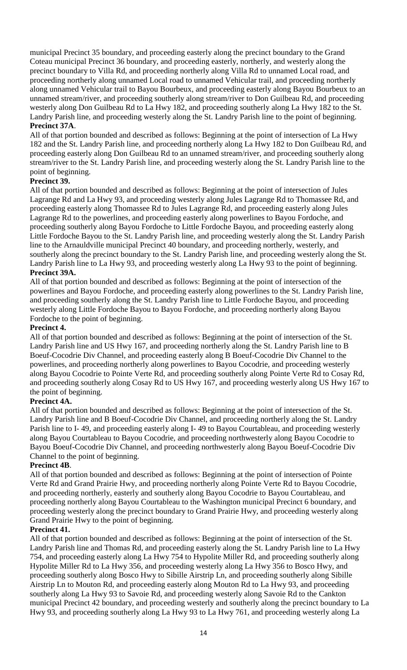municipal Precinct 35 boundary, and proceeding easterly along the precinct boundary to the Grand Coteau municipal Precinct 36 boundary, and proceeding easterly, northerly, and westerly along the precinct boundary to Villa Rd, and proceeding northerly along Villa Rd to unnamed Local road, and proceeding northerly along unnamed Local road to unnamed Vehicular trail, and proceeding northerly along unnamed Vehicular trail to Bayou Bourbeux, and proceeding easterly along Bayou Bourbeux to an unnamed stream/river, and proceeding southerly along stream/river to Don Guilbeau Rd, and proceeding westerly along Don Guilbeau Rd to La Hwy 182, and proceeding southerly along La Hwy 182 to the St. Landry Parish line, and proceeding westerly along the St. Landry Parish line to the point of beginning. **Precinct 37A**.

All of that portion bounded and described as follows: Beginning at the point of intersection of La Hwy 182 and the St. Landry Parish line, and proceeding northerly along La Hwy 182 to Don Guilbeau Rd, and proceeding easterly along Don Guilbeau Rd to an unnamed stream/river, and proceeding southerly along stream/river to the St. Landry Parish line, and proceeding westerly along the St. Landry Parish line to the point of beginning.

#### **Precinct 39.**

All of that portion bounded and described as follows: Beginning at the point of intersection of Jules Lagrange Rd and La Hwy 93, and proceeding westerly along Jules Lagrange Rd to Thomassee Rd, and proceeding easterly along Thomassee Rd to Jules Lagrange Rd, and proceeding easterly along Jules Lagrange Rd to the powerlines, and proceeding easterly along powerlines to Bayou Fordoche, and proceeding southerly along Bayou Fordoche to Little Fordoche Bayou, and proceeding easterly along Little Fordoche Bayou to the St. Landry Parish line, and proceeding westerly along the St. Landry Parish line to the Arnauldville municipal Precinct 40 boundary, and proceeding northerly, westerly, and southerly along the precinct boundary to the St. Landry Parish line, and proceeding westerly along the St. Landry Parish line to La Hwy 93, and proceeding westerly along La Hwy 93 to the point of beginning. **Precinct 39A.**

All of that portion bounded and described as follows: Beginning at the point of intersection of the powerlines and Bayou Fordoche, and proceeding easterly along powerlines to the St. Landry Parish line, and proceeding southerly along the St. Landry Parish line to Little Fordoche Bayou, and proceeding westerly along Little Fordoche Bayou to Bayou Fordoche, and proceeding northerly along Bayou Fordoche to the point of beginning.

## **Precinct 4.**

All of that portion bounded and described as follows: Beginning at the point of intersection of the St. Landry Parish line and US Hwy 167, and proceeding northerly along the St. Landry Parish line to B Boeuf-Cocodrie Div Channel, and proceeding easterly along B Boeuf-Cocodrie Div Channel to the powerlines, and proceeding northerly along powerlines to Bayou Cocodrie, and proceeding westerly along Bayou Cocodrie to Pointe Verte Rd, and proceeding southerly along Pointe Verte Rd to Cosay Rd, and proceeding southerly along Cosay Rd to US Hwy 167, and proceeding westerly along US Hwy 167 to the point of beginning.

# **Precinct 4A.**

All of that portion bounded and described as follows: Beginning at the point of intersection of the St. Landry Parish line and B Boeuf-Cocodrie Div Channel, and proceeding northerly along the St. Landry Parish line to I- 49, and proceeding easterly along I- 49 to Bayou Courtableau, and proceeding westerly along Bayou Courtableau to Bayou Cocodrie, and proceeding northwesterly along Bayou Cocodrie to Bayou Boeuf-Cocodrie Div Channel, and proceeding northwesterly along Bayou Boeuf-Cocodrie Div Channel to the point of beginning.

#### **Precinct 4B**.

All of that portion bounded and described as follows: Beginning at the point of intersection of Pointe Verte Rd and Grand Prairie Hwy, and proceeding northerly along Pointe Verte Rd to Bayou Cocodrie, and proceeding northerly, easterly and southerly along Bayou Cocodrie to Bayou Courtableau, and proceeding northerly along Bayou Courtableau to the Washington municipal Precinct 6 boundary, and proceeding westerly along the precinct boundary to Grand Prairie Hwy, and proceeding westerly along Grand Prairie Hwy to the point of beginning.

#### **Precinct 41.**

All of that portion bounded and described as follows: Beginning at the point of intersection of the St. Landry Parish line and Thomas Rd, and proceeding easterly along the St. Landry Parish line to La Hwy 754, and proceeding easterly along La Hwy 754 to Hypolite Miller Rd, and proceeding southerly along Hypolite Miller Rd to La Hwy 356, and proceeding westerly along La Hwy 356 to Bosco Hwy, and proceeding southerly along Bosco Hwy to Sibille Airstrip Ln, and proceeding southerly along Sibille Airstrip Ln to Mouton Rd, and proceeding easterly along Mouton Rd to La Hwy 93, and proceeding southerly along La Hwy 93 to Savoie Rd, and proceeding westerly along Savoie Rd to the Cankton municipal Precinct 42 boundary, and proceeding westerly and southerly along the precinct boundary to La Hwy 93, and proceeding southerly along La Hwy 93 to La Hwy 761, and proceeding westerly along La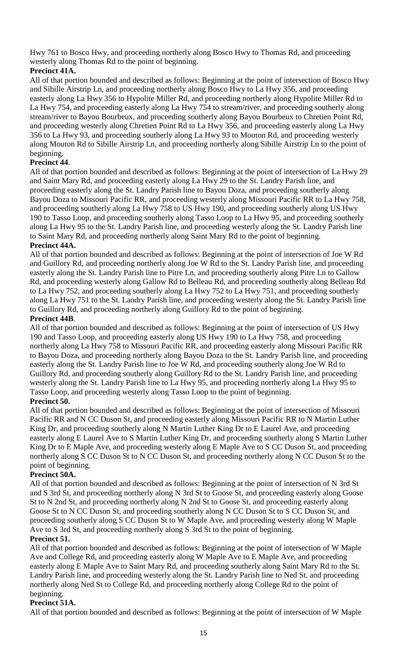Hwy 761 to Bosco Hwy, and proceeding northerly along Bosco Hwy to Thomas Rd, and proceeding westerly along Thomas Rd to the point of beginning.

# **Precinct 41A.**

All of that portion bounded and described as follows: Beginning at the point of intersection of Bosco Hwy and Sibille Airstrip Ln, and proceeding northerly along Bosco Hwy to La Hwy 356, and proceeding easterly along La Hwy 356 to Hypolite Miller Rd, and proceeding northerly along Hypolite Miller Rd to La Hwy 754, and proceeding easterly along La Hwy 754 to stream/river, and proceeding southerly along stream/river to Bayou Bourbeux, and proceeding southerly along Bayou Bourbeux to Chretien Point Rd, and proceeding westerly along Chretien Point Rd to La Hwy 356, and proceeding easterly along La Hwy 356 to La Hwy 93, and proceeding southerly along La Hwy 93 to Mouton Rd, and proceeding westerly along Mouton Rd to Sibille Airstrip Ln, and proceeding northerly along Sibille Airstrip Ln to the point of beginning.

# **Precinct 44**.

All of that portion bounded and described as follows: Beginning at the point of intersection of La Hwy 29 and Saint Mary Rd, and proceeding easterly along La Hwy 29 to the St. Landry Parish line, and proceeding easterly along the St. Landry Parish line to Bayou Doza, and proceeding southerly along Bayou Doza to Missouri Pacific RR, and proceeding westerly along Missouri Pacific RR to La Hwy 758, and proceeding southerly along La Hwy 758 to US Hwy 190, and proceeding southerly along US Hwy 190 to Tasso Loop, and proceeding southerly along Tasso Loop to La Hwy 95, and proceeding southerly along La Hwy 95 to the St. Landry Parish line, and proceeding westerly along the St. Landry Parish line to Saint Mary Rd, and proceeding northerly along Saint Mary Rd to the point of beginning. **Precinct 44A.**

All of that portion bounded and described as follows: Beginning at the point of intersection of Joe W Rd and Guillory Rd, and proceeding northerly along Joe W Rd to the St. Landry Parish line, and proceeding easterly along the St. Landry Parish line to Pitre Ln, and proceeding southerly along Pitre Ln to Gallow Rd, and proceeding westerly along Gallow Rd to Belleau Rd, and proceeding southerly along Belleau Rd to La Hwy 752, and proceeding southerly along La Hwy 752 to La Hwy 751, and proceeding southerly along La Hwy 751 to the St. Landry Parish line, and proceeding westerly along the St. Landry Parish line to Guillory Rd, and proceeding northerly along Guillory Rd to the point of beginning.

# **Precinct 44B**.

All of that portion bounded and described as follows: Beginning at the point of intersection of US Hwy 190 and Tasso Loop, and proceeding easterly along US Hwy 190 to La Hwy 758, and proceeding northerly along La Hwy 758 to Missouri Pacific RR, and proceeding easterly along Missouri Pacific RR to Bayou Doza, and proceeding northerly along Bayou Doza to the St. Landry Parish line, and proceeding easterly along the St. Landry Parish line to Joe W Rd, and proceeding southerly along Joe W Rd to Guillory Rd, and proceeding southerly along Guillory Rd to the St. Landry Parish line, and proceeding westerly along the St. Landry Parish line to La Hwy 95, and proceeding northerly along La Hwy 95 to Tasso Loop, and proceeding westerly along Tasso Loop to the point of beginning.

# **Precinct 50.**

All of that portion bounded and described as follows: Beginning at the point of intersection of Missouri Pacific RR and N CC Duson St, and proceeding easterly along Missouri Pacific RR to N Martin Luther King Dr, and proceeding southerly along N Martin Luther King Dr to E Laurel Ave, and proceeding easterly along E Laurel Ave to S Martin Luther King Dr, and proceeding southerly along S Martin Luther King Dr to E Maple Ave, and proceeding westerly along E Maple Ave to S CC Duson St, and proceeding northerly along S CC Duson St to N CC Duson St, and proceeding northerly along N CC Duson St to the point of beginning.

# **Precinct 50A.**

All of that portion bounded and described as follows: Beginning at the point of intersection of N 3rd St and S 3rd St, and proceeding northerly along N 3rd St to Goose St, and proceeding easterly along Goose St to N 2nd St, and proceeding northerly along N 2nd St to Goose St, and proceeding easterly along Goose St to N CC Duson St, and proceeding southerly along N CC Duson St to S CC Duson St, and proceeding southerly along S CC Duson St to W Maple Ave, and proceeding westerly along W Maple Ave to S 3rd St, and proceeding northerly along S 3rd St to the point of beginning.

# **Precinct 51.**

All of that portion bounded and described as follows: Beginning at the point of intersection of W Maple Ave and College Rd, and proceeding easterly along W Maple Ave to E Maple Ave, and proceeding easterly along E Maple Ave to Saint Mary Rd, and proceeding southerly along Saint Mary Rd to the St. Landry Parish line, and proceeding westerly along the St. Landry Parish line to Ned St, and proceeding northerly along Ned St to College Rd, and proceeding northerly along College Rd to the point of beginning.

#### **Precinct 51A.**

All of that portion bounded and described as follows: Beginning at the point of intersection of W Maple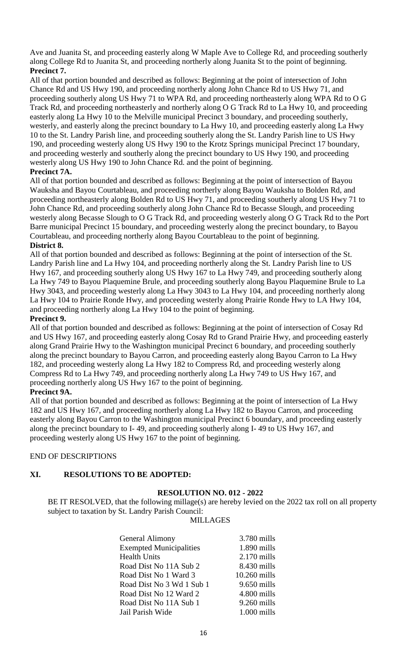Ave and Juanita St, and proceeding easterly along W Maple Ave to College Rd, and proceeding southerly along College Rd to Juanita St, and proceeding northerly along Juanita St to the point of beginning. **Precinct 7.**

All of that portion bounded and described as follows: Beginning at the point of intersection of John Chance Rd and US Hwy 190, and proceeding northerly along John Chance Rd to US Hwy 71, and proceeding southerly along US Hwy 71 to WPA Rd, and proceeding northeasterly along WPA Rd to O G Track Rd, and proceeding northeasterly and northerly along O G Track Rd to La Hwy 10, and proceeding easterly along La Hwy 10 to the Melville municipal Precinct 3 boundary, and proceeding southerly, westerly, and easterly along the precinct boundary to La Hwy 10, and proceeding easterly along La Hwy 10 to the St. Landry Parish line, and proceeding southerly along the St. Landry Parish line to US Hwy 190, and proceeding westerly along US Hwy 190 to the Krotz Springs municipal Precinct 17 boundary, and proceeding westerly and southerly along the precinct boundary to US Hwy 190, and proceeding westerly along US Hwy 190 to John Chance Rd. and the point of beginning.

## **Precinct 7A.**

All of that portion bounded and described as follows: Beginning at the point of intersection of Bayou Wauksha and Bayou Courtableau, and proceeding northerly along Bayou Wauksha to Bolden Rd, and proceeding northeasterly along Bolden Rd to US Hwy 71, and proceeding southerly along US Hwy 71 to John Chance Rd, and proceeding southerly along John Chance Rd to Becasse Slough, and proceeding westerly along Becasse Slough to O G Track Rd, and proceeding westerly along O G Track Rd to the Port Barre municipal Precinct 15 boundary, and proceeding westerly along the precinct boundary, to Bayou Courtableau, and proceeding northerly along Bayou Courtableau to the point of beginning. **District 8.**

All of that portion bounded and described as follows: Beginning at the point of intersection of the St. Landry Parish line and La Hwy 104, and proceeding northerly along the St. Landry Parish line to US Hwy 167, and proceeding southerly along US Hwy 167 to La Hwy 749, and proceeding southerly along La Hwy 749 to Bayou Plaquemine Brule, and proceeding southerly along Bayou Plaquemine Brule to La Hwy 3043, and proceeding westerly along La Hwy 3043 to La Hwy 104, and proceeding northerly along La Hwy 104 to Prairie Ronde Hwy, and proceeding westerly along Prairie Ronde Hwy to LA Hwy 104, and proceeding northerly along La Hwy 104 to the point of beginning.

## **Precinct 9.**

All of that portion bounded and described as follows: Beginning at the point of intersection of Cosay Rd and US Hwy 167, and proceeding easterly along Cosay Rd to Grand Prairie Hwy, and proceeding easterly along Grand Prairie Hwy to the Washington municipal Precinct 6 boundary, and proceeding southerly along the precinct boundary to Bayou Carron, and proceeding easterly along Bayou Carron to La Hwy 182, and proceeding westerly along La Hwy 182 to Compress Rd, and proceeding westerly along Compress Rd to La Hwy 749, and proceeding northerly along La Hwy 749 to US Hwy 167, and proceeding northerly along US Hwy 167 to the point of beginning.

# **Precinct 9A.**

All of that portion bounded and described as follows: Beginning at the point of intersection of La Hwy 182 and US Hwy 167, and proceeding northerly along La Hwy 182 to Bayou Carron, and proceeding easterly along Bayou Carron to the Washington municipal Precinct 6 boundary, and proceeding easterly along the precinct boundary to I- 49, and proceeding southerly along I- 49 to US Hwy 167, and proceeding westerly along US Hwy 167 to the point of beginning.

# END OF DESCRIPTIONS

# **XI. RESOLUTIONS TO BE ADOPTED:**

#### **RESOLUTION NO. 012 - 2022**

BE IT RESOLVED, that the following millage(s) are hereby levied on the 2022 tax roll on all property subject to taxation by St. Landry Parish Council:

#### MILLAGES

| General Alimony                | 3.780 mills   |
|--------------------------------|---------------|
| <b>Exempted Municipalities</b> | $1.890$ mills |
| <b>Health Units</b>            | $2.170$ mills |
| Road Dist No 11A Sub 2         | 8.430 mills   |
| Road Dist No 1 Ward 3          | 10.260 mills  |
| Road Dist No 3 Wd 1 Sub 1      | $9.650$ mills |
| Road Dist No 12 Ward 2         | 4.800 mills   |
| Road Dist No 11A Sub 1         | $9.260$ mills |
| Jail Parish Wide               | $1.000$ mills |
|                                |               |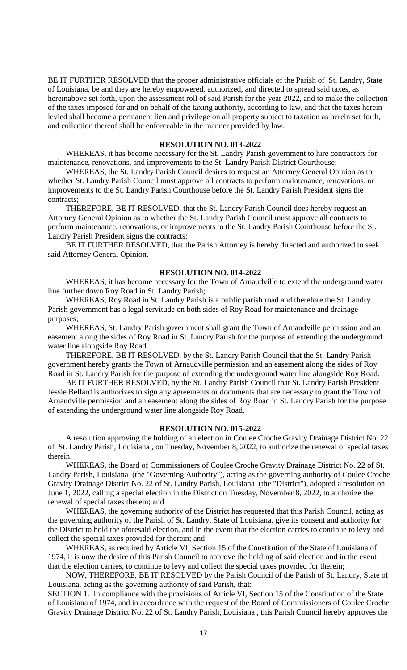BE IT FURTHER RESOLVED that the proper administrative officials of the Parish of St. Landry, State of Louisiana, be and they are hereby empowered, authorized, and directed to spread said taxes, as hereinabove set forth, upon the assessment roll of said Parish for the year 2022, and to make the collection of the taxes imposed for and on behalf of the taxing authority, according to law, and that the taxes herein levied shall become a permanent lien and privilege on all property subject to taxation as herein set forth, and collection thereof shall be enforceable in the manner provided by law.

#### **RESOLUTION NO. 013-2022**

WHEREAS, it has become necessary for the St. Landry Parish government to hire contractors for maintenance, renovations, and improvements to the St. Landry Parish District Courthouse;

WHEREAS, the St. Landry Parish Council desires to request an Attorney General Opinion as to whether St. Landry Parish Council must approve all contracts to perform maintenance, renovations, or improvements to the St. Landry Parish Courthouse before the St. Landry Parish President signs the contracts;

THEREFORE, BE IT RESOLVED, that the St. Landry Parish Council does hereby request an Attorney General Opinion as to whether the St. Landry Parish Council must approve all contracts to perform maintenance, renovations, or improvements to the St. Landry Parish Courthouse before the St. Landry Parish President signs the contracts;

BE IT FURTHER RESOLVED, that the Parish Attorney is hereby directed and authorized to seek said Attorney General Opinion.

#### **RESOLUTION NO. 014-2022**

WHEREAS, it has become necessary for the Town of Arnaudville to extend the underground water line further down Roy Road in St. Landry Parish;

WHEREAS, Roy Road in St. Landry Parish is a public parish road and therefore the St. Landry Parish government has a legal servitude on both sides of Roy Road for maintenance and drainage purposes;

WHEREAS, St. Landry Parish government shall grant the Town of Arnaudville permission and an easement along the sides of Roy Road in St. Landry Parish for the purpose of extending the underground water line alongside Roy Road.

THEREFORE, BE IT RESOLVED, by the St. Landry Parish Council that the St. Landry Parish government hereby grants the Town of Arnaudville permission and an easement along the sides of Roy Road in St. Landry Parish for the purpose of extending the underground water line alongside Roy Road.

BE IT FURTHER RESOLVED, by the St. Landry Parish Council that St. Landry Parish President Jessie Bellard is authorizes to sign any agreements or documents that are necessary to grant the Town of Arnaudville permission and an easement along the sides of Roy Road in St. Landry Parish for the purpose of extending the underground water line alongside Roy Road.

#### **RESOLUTION NO. 015-2022**

A resolution approving the holding of an election in Coulee Croche Gravity Drainage District No. 22 of St. Landry Parish, Louisiana , on Tuesday, November 8, 2022, to authorize the renewal of special taxes therein.

WHEREAS, the Board of Commissioners of Coulee Croche Gravity Drainage District No. 22 of St. Landry Parish, Louisiana (the "Governing Authority"), acting as the governing authority of Coulee Croche Gravity Drainage District No. 22 of St. Landry Parish, Louisiana (the "District"), adopted a resolution on June 1, 2022, calling a special election in the District on Tuesday, November 8, 2022, to authorize the renewal of special taxes therein; and

WHEREAS, the governing authority of the District has requested that this Parish Council, acting as the governing authority of the Parish of St. Landry, State of Louisiana, give its consent and authority for the District to hold the aforesaid election, and in the event that the election carries to continue to levy and collect the special taxes provided for therein; and

WHEREAS, as required by Article VI, Section 15 of the Constitution of the State of Louisiana of 1974, it is now the desire of this Parish Council to approve the holding of said election and in the event that the election carries, to continue to levy and collect the special taxes provided for therein;

NOW, THEREFORE, BE IT RESOLVED by the Parish Council of the Parish of St. Landry, State of Louisiana, acting as the governing authority of said Parish, that:

SECTION 1. In compliance with the provisions of Article VI, Section 15 of the Constitution of the State of Louisiana of 1974, and in accordance with the request of the Board of Commissioners of Coulee Croche Gravity Drainage District No. 22 of St. Landry Parish, Louisiana , this Parish Council hereby approves the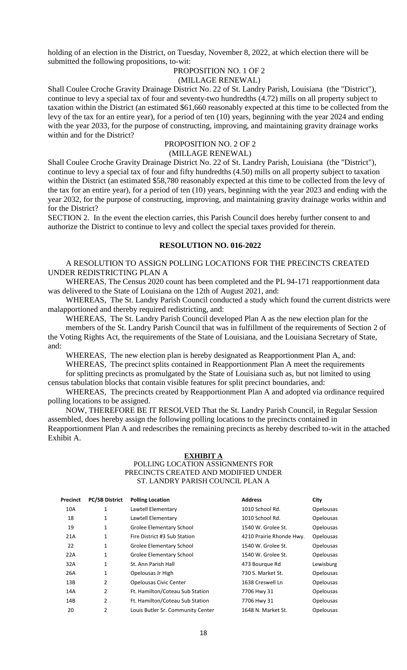holding of an election in the District, on Tuesday, November 8, 2022, at which election there will be submitted the following propositions, to-wit:

#### PROPOSITION NO. 1 OF 2 (MILLAGE RENEWAL)

Shall Coulee Croche Gravity Drainage District No. 22 of St. Landry Parish, Louisiana (the "District"), continue to levy a special tax of four and seventy-two hundredths (4.72) mills on all property subject to taxation within the District (an estimated \$61,660 reasonably expected at this time to be collected from the levy of the tax for an entire year), for a period of ten (10) years, beginning with the year 2024 and ending with the year 2033, for the purpose of constructing, improving, and maintaining gravity drainage works within and for the District?

# PROPOSITION NO. 2 OF 2

# (MILLAGE RENEWAL)

Shall Coulee Croche Gravity Drainage District No. 22 of St. Landry Parish, Louisiana (the "District"), continue to levy a special tax of four and fifty hundredths (4.50) mills on all property subject to taxation within the District (an estimated \$58,780 reasonably expected at this time to be collected from the levy of the tax for an entire year), for a period of ten (10) years, beginning with the year 2023 and ending with the year 2032, for the purpose of constructing, improving, and maintaining gravity drainage works within and for the District?

SECTION 2. In the event the election carries, this Parish Council does hereby further consent to and authorize the District to continue to levy and collect the special taxes provided for therein.

#### **RESOLUTION NO. 016-2022**

A RESOLUTION TO ASSIGN POLLING LOCATIONS FOR THE PRECINCTS CREATED UNDER REDISTRICTING PLAN A

WHEREAS, The Census 2020 count has been completed and the PL 94-171 reapportionment data was delivered to the State of Louisiana on the 12th of August 2021, and:

WHEREAS, The St. Landry Parish Council conducted a study which found the current districts were malapportioned and thereby required redistricting, and:

WHEREAS, The St. Landry Parish Council developed Plan A as the new election plan for the members of the St. Landry Parish Council that was in fulfillment of the requirements of Section 2 of the Voting Rights Act, the requirements of the State of Louisiana, and the Louisiana Secretary of State, and:

WHEREAS, The new election plan is hereby designated as Reapportionment Plan A, and:

WHEREAS, The precinct splits contained in Reapportionment Plan A meet the requirements for splitting precincts as promulgated by the State of Louisiana such as, but not limited to using census tabulation blocks that contain visible features for split precinct boundaries, and:

WHEREAS, The precincts created by Reapportionment Plan A and adopted via ordinance required polling locations to be assigned.

NOW, THEREFORE BE IT RESOLVED That the St. Landry Parish Council, in Regular Session assembled, does hereby assign the following polling locations to the precincts contained in Reapportionment Plan A and redescribes the remaining precincts as hereby described to-wit in the attached Exhibit A.

#### **EXHIBIT A** POLLING LOCATION ASSIGNMENTS FOR PRECINCTS CREATED AND MODIFIED UNDER ST. LANDRY PARISH COUNCIL PLAN A

| Precinct | <b>PC/SB District</b> | <b>Polling Location</b>           | <b>Address</b>           | City             |
|----------|-----------------------|-----------------------------------|--------------------------|------------------|
| 10A      | 1                     | Lawtell Elementary                | 1010 School Rd.          | Opelousas        |
| 18       | 1                     | Lawtell Elementary                | 1010 School Rd.          | <b>Opelousas</b> |
| 19       | 1                     | Grolee Elementary School          | 1540 W. Grolee St.       | <b>Opelousas</b> |
| 21A      | 1                     | Fire District #3 Sub Station      | 4210 Prairie Rhonde Hwy. | <b>Opelousas</b> |
| 22       | 1                     | Grolee Elementary School          | 1540 W. Grolee St.       | <b>Opelousas</b> |
| 22A      | 1                     | Grolee Elementary School          | 1540 W. Grolee St.       | <b>Opelousas</b> |
| 32A      | 1                     | St. Ann Parish Hall               | 473 Bourgue Rd           | Lewisburg        |
| 26A      | 1                     | Opelousas Jr High                 | 730 S. Market St.        | <b>Opelousas</b> |
| 13B      | 2                     | <b>Opelousas Civic Center</b>     | 1638 Creswell Ln         | <b>Opelousas</b> |
| 14A      | 2                     | Ft. Hamilton/Coteau Sub Station   | 7706 Hwy 31              | <b>Opelousas</b> |
| 14B      | 2                     | Ft. Hamilton/Coteau Sub Station   | 7706 Hwy 31              | <b>Opelousas</b> |
| 20       | 2                     | Louis Butler Sr. Community Center | 1648 N. Market St.       | <b>Opelousas</b> |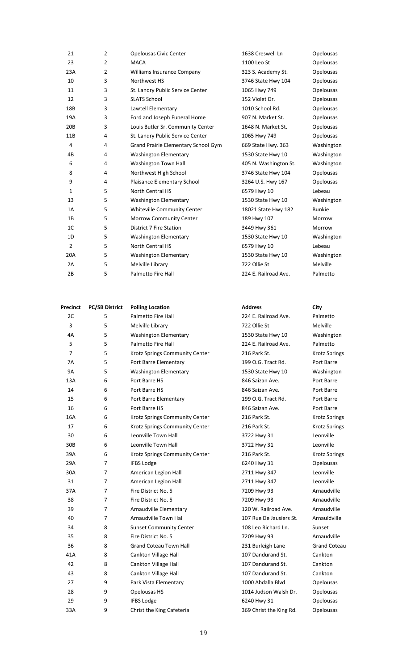| 21              | $\overline{2}$ | Opelousas Civic Center              | 1638 Creswell Ln      | <b>Opelousas</b> |
|-----------------|----------------|-------------------------------------|-----------------------|------------------|
| 23              | $\overline{2}$ | <b>MACA</b>                         | 1100 Leo St           | Opelousas        |
| 23A             | $\overline{2}$ | Williams Insurance Company          | 323 S. Academy St.    | <b>Opelousas</b> |
| 10              | 3              | Northwest HS                        | 3746 State Hwy 104    | Opelousas        |
| 11              | 3              | St. Landry Public Service Center    | 1065 Hwy 749          | Opelousas        |
| 12              | 3              | <b>SLATS School</b>                 | 152 Violet Dr.        | Opelousas        |
| 18B             | 3              | Lawtell Elementary                  | 1010 School Rd.       | Opelousas        |
| 19A             | 3              | Ford and Joseph Funeral Home        | 907 N. Market St.     | Opelousas        |
| 20 <sub>B</sub> | 3              | Louis Butler Sr. Community Center   | 1648 N. Market St.    | Opelousas        |
| 11B             | 4              | St. Landry Public Service Center    | 1065 Hwy 749          | <b>Opelousas</b> |
| 4               | 4              | Grand Prairie Elementary School Gym | 669 State Hwy. 363    | Washington       |
| 4B              | 4              | <b>Washington Elementary</b>        | 1530 State Hwy 10     | Washington       |
| 6               | 4              | Washington Town Hall                | 405 N. Washington St. | Washington       |
| 8               | 4              | Northwest High School               | 3746 State Hwy 104    | Opelousas        |
| 9               | 4              | Plaisance Elementary School         | 3264 U.S. Hwy 167     | <b>Opelousas</b> |
| $\mathbf{1}$    | 5              | <b>North Central HS</b>             | 6579 Hwy 10           | Lebeau           |
| 13              | 5              | <b>Washington Elementary</b>        | 1530 State Hwy 10     | Washington       |
| 1A              | 5              | Whiteville Community Center         | 18021 State Hwy 182   | <b>Bunkie</b>    |
| 1B              | 5              | Morrow Community Center             | 189 Hwy 107           | Morrow           |
| 1 <sup>C</sup>  | 5              | <b>District 7 Fire Station</b>      | 3449 Hwy 361          | Morrow           |
| 1D              | 5              | <b>Washington Elementary</b>        | 1530 State Hwy 10     | Washington       |
| $\overline{2}$  | 5              | North Central HS                    | 6579 Hwy 10           | Lebeau           |
| 20A             | 5              | <b>Washington Elementary</b>        | 1530 State Hwy 10     | Washington       |
| 2A              | 5              | Melville Library                    | 722 Ollie St          | Melville         |
| 2B              | 5              | Palmetto Fire Hall                  | 224 E. Railroad Ave.  | Palmetto         |

| Precinct        | <b>PC/SB District</b> | <b>Polling Location</b>        | <b>Address</b>          | City        |
|-----------------|-----------------------|--------------------------------|-------------------------|-------------|
| 2C              | 5                     | Palmetto Fire Hall             | 224 E. Railroad Ave.    | Palmetto    |
| 3               | 5                     | Melville Library               | 722 Ollie St            | Melville    |
| 4A              | 5                     | <b>Washington Elementary</b>   | 1530 State Hwy 10       | Washingto   |
| 5               | 5                     | Palmetto Fire Hall             | 224 E. Railroad Ave.    | Palmetto    |
| 7               | 5                     | Krotz Springs Community Center | 216 Park St.            | Krotz Sprir |
| 7A              | 5                     | Port Barre Elementary          | 199 O.G. Tract Rd.      | Port Barre  |
| <b>9A</b>       | 5                     | <b>Washington Elementary</b>   | 1530 State Hwy 10       | Washingtc   |
| 13A             | 6                     | Port Barre HS                  | 846 Saizan Ave.         | Port Barre  |
| 14              | 6                     | Port Barre HS                  | 846 Saizan Ave.         | Port Barre  |
| 15              | 6                     | Port Barre Elementary          | 199 O.G. Tract Rd.      | Port Barre  |
| 16              | 6                     | Port Barre HS                  | 846 Saizan Ave.         | Port Barre  |
| 16A             | 6                     | Krotz Springs Community Center | 216 Park St.            | Krotz Sprir |
| 17              | 6                     | Krotz Springs Community Center | 216 Park St.            | Krotz Sprir |
| 30              | 6                     | Leonville Town Hall            | 3722 Hwy 31             | Leonville   |
| 30 <sub>B</sub> | 6                     | Leonville Town Hall            | 3722 Hwy 31             | Leonville   |
| 39A             | 6                     | Krotz Springs Community Center | 216 Park St.            | Krotz Sprir |
| 29A             | 7                     | <b>IFBS Lodge</b>              | 6240 Hwy 31             | Opelousas   |
| 30A             | $\overline{7}$        | American Legion Hall           | 2711 Hwy 347            | Leonville   |
| 31              | 7                     | American Legion Hall           | 2711 Hwy 347            | Leonville   |
| 37A             | 7                     | Fire District No. 5            | 7209 Hwy 93             | Arnaudvill  |
| 38              | 7                     | Fire District No. 5            | 7209 Hwy 93             | Arnaudvill  |
| 39              | $\overline{7}$        | Arnaudville Elementary         | 120 W. Railroad Ave.    | Arnaudvill  |
| 40              | 7                     | Arnaudville Town Hall          | 107 Rue De Jausiers St. | Arnauldvill |
| 34              | 8                     | <b>Sunset Community Center</b> | 108 Leo Richard Ln.     | Sunset      |
| 35              | 8                     | Fire District No. 5            | 7209 Hwy 93             | Arnaudvill  |
| 36              | 8                     | <b>Grand Coteau Town Hall</b>  | 231 Burleigh Lane       | Grand Cot   |
| 41A             | 8                     | Cankton Village Hall           | 107 Dandurand St.       | Cankton     |
| 42              | 8                     | Cankton Village Hall           | 107 Dandurand St.       | Cankton     |
| 43              | 8                     | Cankton Village Hall           | 107 Dandurand St.       | Cankton     |
| 27              | 9                     | Park Vista Elementary          | 1000 Abdalla Blvd       | Opelousas   |
| 28              | 9                     | Opelousas HS                   | 1014 Judson Walsh Dr.   | Opelousas   |
| 29              | 9                     | <b>IFBS Lodge</b>              | 6240 Hwy 31             | Opelousas   |
| 33A             | 9                     | Christ the King Cafeteria      | 369 Christ the King Rd. | Opelousas   |

 $44$  4 Washington Krotz Springs  $94$  10 Washington Krotz Springs Krotz Springs Krotz Springs Arnaudville Arnaudville ad Ave. Arnaudville usiers St. Arnauldville Arnaudville ane Grand Coteau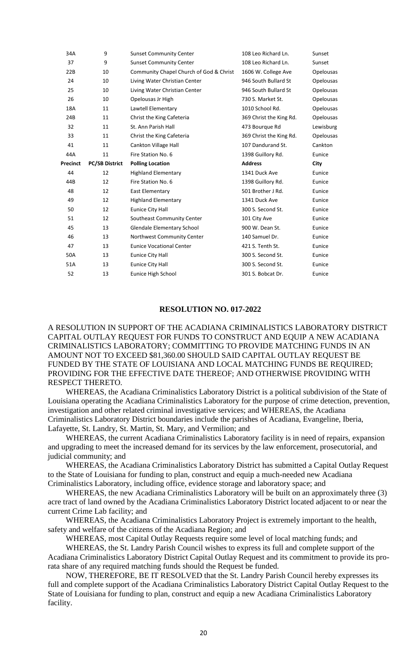| 34A             | 9                     | <b>Sunset Community Center</b>          | 108 Leo Richard Ln.     | Sunset           |
|-----------------|-----------------------|-----------------------------------------|-------------------------|------------------|
| 37              | 9                     | <b>Sunset Community Center</b>          | 108 Leo Richard Ln.     | Sunset           |
| 22B             | 10                    | Community Chapel Church of God & Christ | 1606 W. College Ave     | Opelousas        |
| 24              | 10                    | Living Water Christian Center           | 946 South Bullard St    | Opelousas        |
| 25              | 10                    | Living Water Christian Center           | 946 South Bullard St    | <b>Opelousas</b> |
| 26              | 10                    | Opelousas Jr High                       | 730 S. Market St.       | <b>Opelousas</b> |
| 18A             | 11                    | Lawtell Elementary                      | 1010 School Rd.         | <b>Opelousas</b> |
| 24B             | 11                    | Christ the King Cafeteria               | 369 Christ the King Rd. | Opelousas        |
| 32              | 11                    | St. Ann Parish Hall                     | 473 Bourgue Rd          | Lewisburg        |
| 33              | 11                    | Christ the King Cafeteria               | 369 Christ the King Rd. | Opelousas        |
| 41              | 11                    | Cankton Village Hall                    | 107 Dandurand St.       | Cankton          |
| 44A             | 11                    | Fire Station No. 6                      | 1398 Guillory Rd.       | Eunice           |
|                 |                       |                                         | <b>Address</b>          |                  |
| <b>Precinct</b> | <b>PC/SB District</b> | <b>Polling Location</b>                 |                         | City             |
| 44              | 12                    | <b>Highland Elementary</b>              | 1341 Duck Ave           | Eunice           |
| 44B             | 12                    | Fire Station No. 6                      | 1398 Guillory Rd.       | Eunice           |
| 48              | 12                    | East Elementary                         | 501 Brother J Rd.       | Eunice           |
| 49              | 12                    | <b>Highland Elementary</b>              | 1341 Duck Ave           | Eunice           |
| 50              | 12                    | Eunice City Hall                        | 300 S. Second St.       | Eunice           |
| 51              | 12                    | Southeast Community Center              | 101 City Ave            | Eunice           |
| 45              | 13                    | Glendale Elementary School              | 900 W. Dean St.         | Eunice           |
| 46              | 13                    | Northwest Community Center              | 140 Samuel Dr.          | Eunice           |
| 47              | 13                    | <b>Eunice Vocational Center</b>         | 421 S. Tenth St.        | Eunice           |
| 50A             | 13                    | Eunice City Hall                        | 300 S. Second St.       | Eunice           |
| 51A             | 13                    | Eunice City Hall                        | 300 S. Second St.       | Eunice           |

#### **RESOLUTION NO. 017-2022**

A RESOLUTION IN SUPPORT OF THE ACADIANA CRIMINALISTICS LABORATORY DISTRICT CAPITAL OUTLAY REQUEST FOR FUNDS TO CONSTRUCT AND EQUIP A NEW ACADIANA CRIMINALISTICS LABORATORY; COMMITTING TO PROVIDE MATCHING FUNDS IN AN AMOUNT NOT TO EXCEED \$81,360.00 SHOULD SAID CAPITAL OUTLAY REQUEST BE FUNDED BY THE STATE OF LOUISIANA AND LOCAL MATCHING FUNDS BE REQUIRED; PROVIDING FOR THE EFFECTIVE DATE THEREOF; AND OTHERWISE PROVIDING WITH RESPECT THERETO.

WHEREAS, the Acadiana Criminalistics Laboratory District is a political subdivision of the State of Louisiana operating the Acadiana Criminalistics Laboratory for the purpose of crime detection, prevention, investigation and other related criminal investigative services; and WHEREAS, the Acadiana Criminalistics Laboratory District boundaries include the parishes of Acadiana, Evangeline, Iberia, Lafayette, St. Landry, St. Martin, St. Mary, and Vermilion; and

WHEREAS, the current Acadiana Criminalistics Laboratory facility is in need of repairs, expansion and upgrading to meet the increased demand for its services by the law enforcement, prosecutorial, and judicial community; and

WHEREAS, the Acadiana Criminalistics Laboratory District has submitted a Capital Outlay Request to the State of Louisiana for funding to plan, construct and equip a much-needed new Acadiana Criminalistics Laboratory, including office, evidence storage and laboratory space; and

WHEREAS, the new Acadiana Criminalistics Laboratory will be built on an approximately three (3) acre tract of land owned by the Acadiana Criminalistics Laboratory District located adjacent to or near the current Crime Lab facility; and

WHEREAS, the Acadiana Criminalistics Laboratory Project is extremely important to the health, safety and welfare of the citizens of the Acadiana Region; and

WHEREAS, most Capital Outlay Requests require some level of local matching funds; and

WHEREAS, the St. Landry Parish Council wishes to express its full and complete support of the Acadiana Criminalistics Laboratory District Capital Outlay Request and its commitment to provide its prorata share of any required matching funds should the Request be funded.

NOW, THEREFORE, BE IT RESOLVED that the St. Landry Parish Council hereby expresses its full and complete support of the Acadiana Criminalistics Laboratory District Capital Outlay Request to the State of Louisiana for funding to plan, construct and equip a new Acadiana Criminalistics Laboratory facility.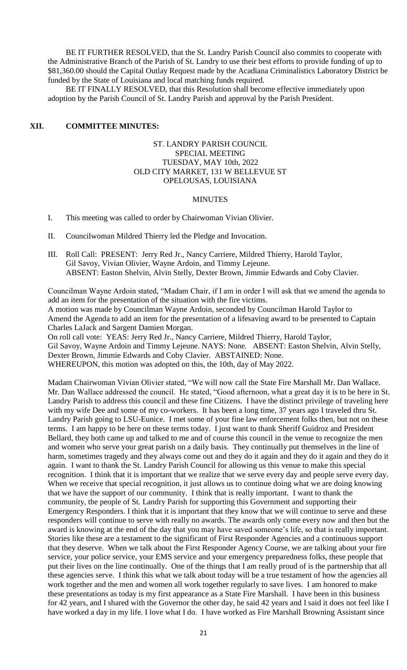BE IT FURTHER RESOLVED, that the St. Landry Parish Council also commits to cooperate with the Administrative Branch of the Parish of St. Landry to use their best efforts to provide funding of up to \$81,360.00 should the Capital Outlay Request made by the Acadiana Criminalistics Laboratory District be funded by the State of Louisiana and local matching funds required.

BE IT FINALLY RESOLVED, that this Resolution shall become effective immediately upon adoption by the Parish Council of St. Landry Parish and approval by the Parish President.

#### **XII. COMMITTEE MINUTES:**

#### ST. LANDRY PARISH COUNCIL SPECIAL MEETING TUESDAY, MAY 10th, 2022 OLD CITY MARKET, 131 W BELLEVUE ST OPELOUSAS, LOUISIANA

#### MINUTES

- I. This meeting was called to order by Chairwoman Vivian Olivier.
- II. Councilwoman Mildred Thierry led the Pledge and Invocation.
- III. Roll Call: PRESENT: Jerry Red Jr., Nancy Carriere, Mildred Thierry, Harold Taylor, Gil Savoy, Vivian Olivier, Wayne Ardoin, and Timmy Lejeune. ABSENT: Easton Shelvin, Alvin Stelly, Dexter Brown, Jimmie Edwards and Coby Clavier.

Councilman Wayne Ardoin stated, "Madam Chair, if I am in order I will ask that we amend the agenda to add an item for the presentation of the situation with the fire victims. A motion was made by Councilman Wayne Ardoin, seconded by Councilman Harold Taylor to Amend the Agenda to add an item for the presentation of a lifesaving award to be presented to Captain Charles LaJack and Sargent Damien Morgan.

On roll call vote: YEAS: Jerry Red Jr., Nancy Carriere, Mildred Thierry, Harold Taylor, Gil Savoy, Wayne Ardoin and Timmy Lejeune. NAYS: None. ABSENT: Easton Shelvin, Alvin Stelly, Dexter Brown, Jimmie Edwards and Coby Clavier. ABSTAINED: None. WHEREUPON, this motion was adopted on this, the 10th, day of May 2022.

Madam Chairwoman Vivian Olivier stated, "We will now call the State Fire Marshall Mr. Dan Wallace. Mr. Dan Wallace addressed the council. He stated, "Good afternoon, what a great day it is to be here in St. Landry Parish to address this council and these fine Citizens. I have the distinct privilege of traveling here with my wife Dee and some of my co-workers. It has been a long time, 37 years ago I traveled thru St. Landry Parish going to LSU-Eunice. I met some of your fine law enforcement folks then, but not on these terms. I am happy to be here on these terms today. I just want to thank Sheriff Guidroz and President Bellard, they both came up and talked to me and of course this council in the venue to recognize the men and women who serve your great parish on a daily basis. They continually put themselves in the line of harm, sometimes tragedy and they always come out and they do it again and they do it again and they do it again. I want to thank the St. Landry Parish Council for allowing us this venue to make this special recognition. I think that it is important that we realize that we serve every day and people serve every day. When we receive that special recognition, it just allows us to continue doing what we are doing knowing that we have the support of our community. I think that is really important. I want to thank the community, the people of St. Landry Parish for supporting this Government and supporting their Emergency Responders. I think that it is important that they know that we will continue to serve and these responders will continue to serve with really no awards. The awards only come every now and then but the award is knowing at the end of the day that you may have saved someone's life, so that is really important. Stories like these are a testament to the significant of First Responder Agencies and a continuous support that they deserve. When we talk about the First Responder Agency Course, we are talking about your fire service, your police service, your EMS service and your emergency preparedness folks, these people that put their lives on the line continually. One of the things that I am really proud of is the partnership that all these agencies serve. I think this what we talk about today will be a true testament of how the agencies all work together and the men and women all work together regularly to save lives. I am honored to make these presentations as today is my first appearance as a State Fire Marshall. I have been in this business for 42 years, and I shared with the Governor the other day, he said 42 years and I said it does not feel like I have worked a day in my life. I love what I do. I have worked as Fire Marshall Browning Assistant since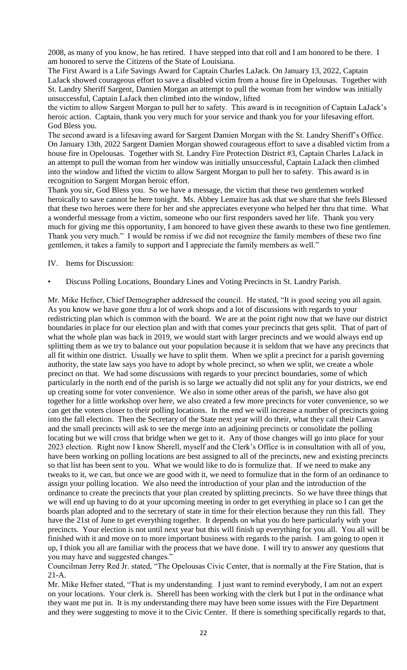2008, as many of you know, he has retired. I have stepped into that roll and I am honored to be there. I am honored to serve the Citizens of the State of Louisiana.

The First Award is a Life Savings Award for Captain Charles LaJack. On January 13, 2022, Captain LaJack showed courageous effort to save a disabled victim from a house fire in Opelousas. Together with St. Landry Sheriff Sargent, Damien Morgan an attempt to pull the woman from her window was initially unsuccessful, Captain LaJack then climbed into the window, lifted

the victim to allow Sargent Morgan to pull her to safety. This award is in recognition of Captain LaJack's heroic action. Captain, thank you very much for your service and thank you for your lifesaving effort. God Bless you.

The second award is a lifesaving award for Sargent Damien Morgan with the St. Landry Sheriff's Office. On January 13th, 2022 Sargent Damien Morgan showed courageous effort to save a disabled victim from a house fire in Opelousas. Together with St. Landry Fire Protection District #3, Captain Charles LaJack in an attempt to pull the woman from her window was initially unsuccessful, Captain LaJack then climbed into the window and lifted the victim to allow Sargent Morgan to pull her to safety. This award is in recognition to Sargent Morgan heroic effort.

Thank you sir, God Bless you. So we have a message, the victim that these two gentlemen worked heroically to save cannot be here tonight. Ms. Abbey Lemaire has ask that we share that she feels Blessed that these two heroes were there for her and she appreciates everyone who helped her thru that time. What a wonderful message from a victim, someone who our first responders saved her life. Thank you very much for giving me this opportunity, I am honored to have given these awards to these two fine gentlemen. Thank you very much." I would be remiss if we did not recognize the family members of these two fine gentlemen, it takes a family to support and I appreciate the family members as well."

- IV. Items for Discussion:
- Discuss Polling Locations, Boundary Lines and Voting Precincts in St. Landry Parish.

Mr. Mike Hefner, Chief Demographer addressed the council. He stated, "It is good seeing you all again. As you know we have gone thru a lot of work shops and a lot of discussions with regards to your redistricting plan which is common with the board. We are at the point right now that we have our district boundaries in place for our election plan and with that comes your precincts that gets split. That of part of what the whole plan was back in 2019, we would start with larger precincts and we would always end up splitting them as we try to balance out your population because it is seldom that we have any precincts that all fit within one district. Usually we have to split them. When we split a precinct for a parish governing authority, the state law says you have to adopt by whole precinct, so when we split, we create a whole precinct on that. We had some discussions with regards to your precinct boundaries, some of which particularly in the north end of the parish is so large we actually did not split any for your districts, we end up creating some for voter convenience. We also in some other areas of the parish, we have also got together for a little workshop over here, we also created a few more precincts for voter convenience, so we can get the voters closer to their polling locations. In the end we will increase a number of precincts going into the fall election. Then the Secretary of the State next year will do their, what they call their Canvas and the small precincts will ask to see the merge into an adjoining precincts or consolidate the polling locating but we will cross that bridge when we get to it. Any of those changes will go into place for your 2023 election. Right now I know Sherell, myself and the Clerk's Office is in consultation with all of you, have been working on polling locations are best assigned to all of the precincts, new and existing precincts so that list has been sent to you. What we would like to do is formulize that. If we need to make any tweaks to it, we can, but once we are good with it, we need to formulize that in the form of an ordinance to assign your polling location. We also need the introduction of your plan and the introduction of the ordinance to create the precincts that your plan created by splitting precincts. So we have three things that we will end up having to do at your upcoming meeting in order to get everything in place so I can get the boards plan adopted and to the secretary of state in time for their election because they run this fall. They have the 21st of June to get everything together. It depends on what you do here particularly with your precincts. Your election is not until next year but this will finish up everything for you all. You all will be finished with it and move on to more important business with regards to the parish. I am going to open it up, I think you all are familiar with the process that we have done. I will try to answer any questions that you may have and suggested changes."

Councilman Jerry Red Jr. stated, "The Opelousas Civic Center, that is normally at the Fire Station, that is 21-A.

Mr. Mike Hefner stated, "That is my understanding. I just want to remind everybody, I am not an expert on your locations. Your clerk is. Sherell has been working with the clerk but I put in the ordinance what they want me put in. It is my understanding there may have been some issues with the Fire Department and they were suggesting to move it to the Civic Center. If there is something specifically regards to that,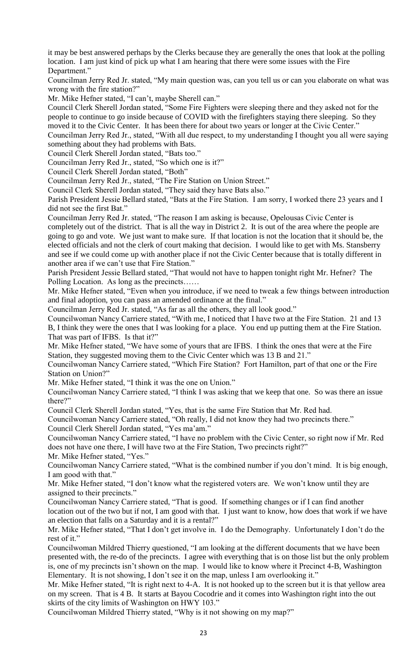it may be best answered perhaps by the Clerks because they are generally the ones that look at the polling location. I am just kind of pick up what I am hearing that there were some issues with the Fire Department."

Councilman Jerry Red Jr. stated, "My main question was, can you tell us or can you elaborate on what was wrong with the fire station?"

Mr. Mike Hefner stated, "I can't, maybe Sherell can."

Council Clerk Sherell Jordan stated, "Some Fire Fighters were sleeping there and they asked not for the people to continue to go inside because of COVID with the firefighters staying there sleeping. So they moved it to the Civic Center. It has been there for about two years or longer at the Civic Center."

Councilman Jerry Red Jr., stated, "With all due respect, to my understanding I thought you all were saying something about they had problems with Bats.

Council Clerk Sherell Jordan stated, "Bats too."

Councilman Jerry Red Jr., stated, "So which one is it?"

Council Clerk Sherell Jordan stated, "Both"

Councilman Jerry Red Jr., stated, "The Fire Station on Union Street."

Council Clerk Sherell Jordan stated, "They said they have Bats also."

Parish President Jessie Bellard stated, "Bats at the Fire Station. I am sorry, I worked there 23 years and I did not see the first Bat."

Councilman Jerry Red Jr. stated, "The reason I am asking is because, Opelousas Civic Center is completely out of the district. That is all the way in District 2. It is out of the area where the people are going to go and vote. We just want to make sure. If that location is not the location that it should be, the elected officials and not the clerk of court making that decision. I would like to get with Ms. Stansberry and see if we could come up with another place if not the Civic Center because that is totally different in another area if we can't use that Fire Station."

Parish President Jessie Bellard stated, "That would not have to happen tonight right Mr. Hefner? The Polling Location. As long as the precincts……

Mr. Mike Hefner stated, "Even when you introduce, if we need to tweak a few things between introduction and final adoption, you can pass an amended ordinance at the final."

Councilman Jerry Red Jr. stated, "As far as all the others, they all look good."

Councilwoman Nancy Carriere stated, "With me, I noticed that I have two at the Fire Station. 21 and 13 B, I think they were the ones that I was looking for a place. You end up putting them at the Fire Station. That was part of IFBS. Is that it?"

Mr. Mike Hefner stated, "We have some of yours that are IFBS. I think the ones that were at the Fire Station, they suggested moving them to the Civic Center which was 13 B and 21."

Councilwoman Nancy Carriere stated, "Which Fire Station? Fort Hamilton, part of that one or the Fire Station on Union?"

Mr. Mike Hefner stated, "I think it was the one on Union."

Councilwoman Nancy Carriere stated, "I think I was asking that we keep that one. So was there an issue there?"

Council Clerk Sherell Jordan stated, "Yes, that is the same Fire Station that Mr. Red had.

Councilwoman Nancy Carriere stated, "Oh really, I did not know they had two precincts there." Council Clerk Sherell Jordan stated, "Yes ma'am."

Councilwoman Nancy Carriere stated, "I have no problem with the Civic Center, so right now if Mr. Red does not have one there, I will have two at the Fire Station, Two precincts right?"

Mr. Mike Hefner stated, "Yes."

Councilwoman Nancy Carriere stated, "What is the combined number if you don't mind. It is big enough, I am good with that."

Mr. Mike Hefner stated, "I don't know what the registered voters are. We won't know until they are assigned to their precincts."

Councilwoman Nancy Carriere stated, "That is good. If something changes or if I can find another location out of the two but if not, I am good with that. I just want to know, how does that work if we have an election that falls on a Saturday and it is a rental?"

Mr. Mike Hefner stated, "That I don't get involve in. I do the Demography. Unfortunately I don't do the rest of it."

Councilwoman Mildred Thierry questioned, "I am looking at the different documents that we have been presented with, the re-do of the precincts. I agree with everything that is on those list but the only problem is, one of my precincts isn't shown on the map. I would like to know where it Precinct 4-B, Washington Elementary. It is not showing, I don't see it on the map, unless I am overlooking it."

Mr. Mike Hefner stated, "It is right next to 4-A. It is not hooked up to the screen but it is that yellow area on my screen. That is 4 B. It starts at Bayou Cocodrie and it comes into Washington right into the out skirts of the city limits of Washington on HWY 103."

Councilwoman Mildred Thierry stated, "Why is it not showing on my map?"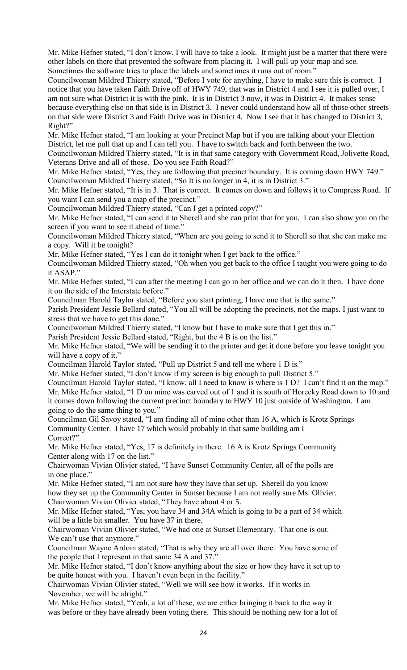Mr. Mike Hefner stated, "I don't know, I will have to take a look. It might just be a matter that there were other labels on there that prevented the software from placing it. I will pull up your map and see. Sometimes the software tries to place the labels and sometimes it runs out of room."

Councilwoman Mildred Thierry stated, "Before I vote for anything, I have to make sure this is correct. I notice that you have taken Faith Drive off of HWY 749, that was in District 4 and I see it is pulled over, I am not sure what District it is with the pink. It is in District 3 now, it was in District 4. It makes sense because everything else on that side is in District 3. I never could understand how all of those other streets on that side were District 3 and Faith Drive was in District 4. Now I see that it has changed to District 3, Right?"

Mr. Mike Hefner stated, "I am looking at your Precinct Map but if you are talking about your Election District, let me pull that up and I can tell you. I have to switch back and forth between the two.

Councilwoman Mildred Thierry stated, "It is in that same category with Government Road, Jolivette Road, Veterans Drive and all of those. Do you see Faith Road?"

Mr. Mike Hefner stated, "Yes, they are following that precinct boundary. It is coming down HWY 749." Councilwoman Mildred Thierry stated, "So It is no longer in 4, it is in District 3."

Mr. Mike Hefner stated, "It is in 3. That is correct. It comes on down and follows it to Compress Road. If you want I can send you a map of the precinct."

Councilwoman Mildred Thierry stated, "Can I get a printed copy?"

Mr. Mike Hefner stated, "I can send it to Sherell and she can print that for you. I can also show you on the screen if you want to see it ahead of time."

Councilwoman Mildred Thierry stated, "When are you going to send it to Sherell so that she can make me a copy. Will it be tonight?

Mr. Mike Hefner stated, "Yes I can do it tonight when I get back to the office."

Councilwoman Mildred Thierry stated, "Oh when you get back to the office I taught you were going to do it ASAP."

Mr. Mike Hefner stated, "I can after the meeting I can go in her office and we can do it then. I have done it on the side of the Interstate before."

Councilman Harold Taylor stated, "Before you start printing, I have one that is the same."

Parish President Jessie Bellard stated, "You all will be adopting the precincts, not the maps. I just want to stress that we have to get this done."

Councilwoman Mildred Thierry stated, "I know but I have to make sure that I get this in."

Parish President Jessie Bellard stated, "Right, but the 4 B is on the list."

Mr. Mike Hefner stated, "We will be sending it to the printer and get it done before you leave tonight you will have a copy of it."

Councilman Harold Taylor stated, "Pull up District 5 and tell me where 1 D is."

Mr. Mike Hefner stated, "I don't know if my screen is big enough to pull District 5."

Councilman Harold Taylor stated, "I know, all I need to know is where is 1 D? I can't find it on the map." Mr. Mike Hefner stated, "1 D on mine was carved out of 1 and it is south of Horecky Road down to 10 and it comes down following the current precinct boundary to HWY 10 just outside of Washington. I am going to do the same thing to you."

Councilman Gil Savoy stated, "I am finding all of mine other than 16 A, which is Krotz Springs Community Center. I have 17 which would probably in that same building am I Correct?"

Mr. Mike Hefner stated, "Yes, 17 is definitely in there. 16 A is Krotz Springs Community Center along with 17 on the list."

Chairwoman Vivian Olivier stated, "I have Sunset Community Center, all of the polls are in one place."

Mr. Mike Hefner stated, "I am not sure how they have that set up. Sherell do you know how they set up the Community Center in Sunset because I am not really sure Ms. Olivier. Chairwoman Vivian Olivier stated, "They have about 4 or 5.

Mr. Mike Hefner stated, "Yes, you have 34 and 34A which is going to be a part of 34 which will be a little bit smaller. You have 37 in there.

Chairwoman Vivian Olivier stated, "We had one at Sunset Elementary. That one is out. We can't use that anymore."

Councilman Wayne Ardoin stated, "That is why they are all over there. You have some of the people that I represent in that same 34 A and 37."

Mr. Mike Hefner stated, "I don't know anything about the size or how they have it set up to be quite honest with you. I haven't even been in the facility."

Chairwoman Vivian Olivier stated, "Well we will see how it works. If it works in November, we will be alright."

Mr. Mike Hefner stated, "Yeah, a lot of these, we are either bringing it back to the way it was before or they have already been voting there. This should be nothing new for a lot of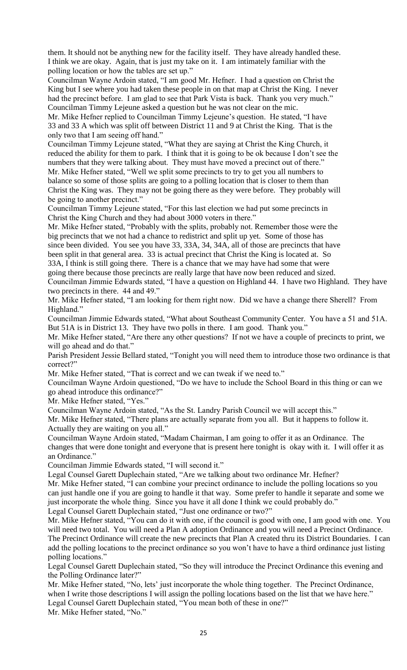them. It should not be anything new for the facility itself. They have already handled these. I think we are okay. Again, that is just my take on it. I am intimately familiar with the polling location or how the tables are set up."

Councilman Wayne Ardoin stated, "I am good Mr. Hefner. I had a question on Christ the King but I see where you had taken these people in on that map at Christ the King. I never had the precinct before. I am glad to see that Park Vista is back. Thank you very much." Councilman Timmy Lejeune asked a question but he was not clear on the mic.

Mr. Mike Hefner replied to Councilman Timmy Lejeune's question. He stated, "I have 33 and 33 A which was split off between District 11 and 9 at Christ the King. That is the only two that I am seeing off hand."

Councilman Timmy Lejeune stated, "What they are saying at Christ the King Church, it reduced the ability for them to park. I think that it is going to be ok because I don't see the numbers that they were talking about. They must have moved a precinct out of there." Mr. Mike Hefner stated, "Well we split some precincts to try to get you all numbers to balance so some of those splits are going to a polling location that is closer to them than Christ the King was. They may not be going there as they were before. They probably will be going to another precinct."

Councilman Timmy Lejeune stated, "For this last election we had put some precincts in Christ the King Church and they had about 3000 voters in there."

Mr. Mike Hefner stated, "Probably with the splits, probably not. Remember those were the big precincts that we not had a chance to redistrict and split up yet. Some of those has since been divided. You see you have 33, 33A, 34, 34A, all of those are precincts that have been split in that general area. 33 is actual precinct that Christ the King is located at. So 33A, I think is still going there. There is a chance that we may have had some that were going there because those precincts are really large that have now been reduced and sized.

Councilman Jimmie Edwards stated, "I have a question on Highland 44. I have two Highland. They have two precincts in there. 44 and 49."

Mr. Mike Hefner stated, "I am looking for them right now. Did we have a change there Sherell? From Highland."

Councilman Jimmie Edwards stated, "What about Southeast Community Center. You have a 51 and 51A. But 51A is in District 13. They have two polls in there. I am good. Thank you."

Mr. Mike Hefner stated, "Are there any other questions? If not we have a couple of precincts to print, we will go ahead and do that."

Parish President Jessie Bellard stated, "Tonight you will need them to introduce those two ordinance is that correct?"

Mr. Mike Hefner stated, "That is correct and we can tweak if we need to."

Councilman Wayne Ardoin questioned, "Do we have to include the School Board in this thing or can we go ahead introduce this ordinance?"

Mr. Mike Hefner stated, "Yes."

Councilman Wayne Ardoin stated, "As the St. Landry Parish Council we will accept this."

Mr. Mike Hefner stated, "There plans are actually separate from you all. But it happens to follow it. Actually they are waiting on you all."

Councilman Wayne Ardoin stated, "Madam Chairman, I am going to offer it as an Ordinance. The changes that were done tonight and everyone that is present here tonight is okay with it. I will offer it as an Ordinance."

Councilman Jimmie Edwards stated, "I will second it."

Legal Counsel Garett Duplechain stated, "Are we talking about two ordinance Mr. Hefner?

Mr. Mike Hefner stated, "I can combine your precinct ordinance to include the polling locations so you can just handle one if you are going to handle it that way. Some prefer to handle it separate and some we just incorporate the whole thing. Since you have it all done I think we could probably do." Legal Counsel Garett Duplechain stated, "Just one ordinance or two?"

Mr. Mike Hefner stated, "You can do it with one, if the council is good with one, I am good with one. You will need two total. You will need a Plan A adoption Ordinance and you will need a Precinct Ordinance. The Precinct Ordinance will create the new precincts that Plan A created thru its District Boundaries. I can add the polling locations to the precinct ordinance so you won't have to have a third ordinance just listing polling locations."

Legal Counsel Garett Duplechain stated, "So they will introduce the Precinct Ordinance this evening and the Polling Ordinance later?"

Mr. Mike Hefner stated, "No, lets' just incorporate the whole thing together. The Precinct Ordinance, when I write those descriptions I will assign the polling locations based on the list that we have here." Legal Counsel Garett Duplechain stated, "You mean both of these in one?" Mr. Mike Hefner stated, "No."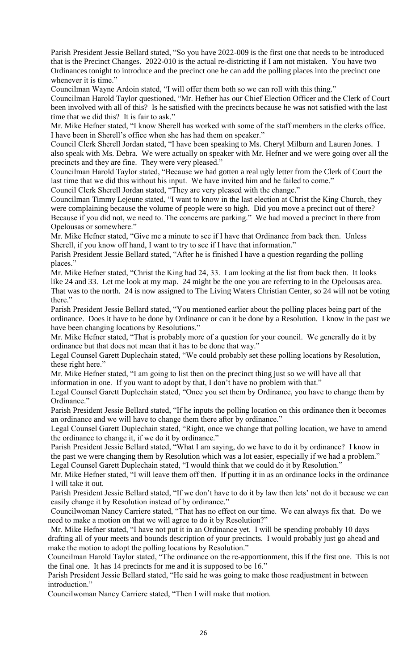Parish President Jessie Bellard stated, "So you have 2022-009 is the first one that needs to be introduced that is the Precinct Changes. 2022-010 is the actual re-districting if I am not mistaken. You have two Ordinances tonight to introduce and the precinct one he can add the polling places into the precinct one whenever it is time."

Councilman Wayne Ardoin stated, "I will offer them both so we can roll with this thing."

Councilman Harold Taylor questioned, "Mr. Hefner has our Chief Election Officer and the Clerk of Court been involved with all of this? Is he satisfied with the precincts because he was not satisfied with the last time that we did this? It is fair to ask."

Mr. Mike Hefner stated, "I know Sherell has worked with some of the staff members in the clerks office. I have been in Sherell's office when she has had them on speaker."

Council Clerk Sherell Jordan stated, "I have been speaking to Ms. Cheryl Milburn and Lauren Jones. I also speak with Ms. Debra. We were actually on speaker with Mr. Hefner and we were going over all the precincts and they are fine. They were very pleased."

Councilman Harold Taylor stated, "Because we had gotten a real ugly letter from the Clerk of Court the last time that we did this without his input. We have invited him and he failed to come." Council Clerk Sherell Jordan stated, "They are very pleased with the change."

Councilman Timmy Lejeune stated, "I want to know in the last election at Christ the King Church, they were complaining because the volume of people were so high. Did you move a precinct out of there? Because if you did not, we need to. The concerns are parking." We had moved a precinct in there from Opelousas or somewhere."

Mr. Mike Hefner stated, "Give me a minute to see if I have that Ordinance from back then. Unless Sherell, if you know off hand, I want to try to see if I have that information."

Parish President Jessie Bellard stated, "After he is finished I have a question regarding the polling places."

Mr. Mike Hefner stated, "Christ the King had 24, 33. I am looking at the list from back then. It looks like 24 and 33. Let me look at my map. 24 might be the one you are referring to in the Opelousas area. That was to the north. 24 is now assigned to The Living Waters Christian Center, so 24 will not be voting there."

Parish President Jessie Bellard stated, "You mentioned earlier about the polling places being part of the ordinance. Does it have to be done by Ordinance or can it be done by a Resolution. I know in the past we have been changing locations by Resolutions."

Mr. Mike Hefner stated, "That is probably more of a question for your council. We generally do it by ordinance but that does not mean that it has to be done that way."

Legal Counsel Garett Duplechain stated, "We could probably set these polling locations by Resolution, these right here."

Mr. Mike Hefner stated, "I am going to list then on the precinct thing just so we will have all that information in one. If you want to adopt by that, I don't have no problem with that."

Legal Counsel Garett Duplechain stated, "Once you set them by Ordinance, you have to change them by Ordinance."

Parish President Jessie Bellard stated, "If he inputs the polling location on this ordinance then it becomes an ordinance and we will have to change them there after by ordinance."

Legal Counsel Garett Duplechain stated, "Right, once we change that polling location, we have to amend the ordinance to change it, if we do it by ordinance."

Parish President Jessie Bellard stated, "What I am saying, do we have to do it by ordinance? I know in the past we were changing them by Resolution which was a lot easier, especially if we had a problem." Legal Counsel Garett Duplechain stated, "I would think that we could do it by Resolution."

Mr. Mike Hefner stated, "I will leave them off then. If putting it in as an ordinance locks in the ordinance I will take it out.

Parish President Jessie Bellard stated, "If we don't have to do it by law then lets' not do it because we can easily change it by Resolution instead of by ordinance."

Councilwoman Nancy Carriere stated, "That has no effect on our time. We can always fix that. Do we need to make a motion on that we will agree to do it by Resolution?"

Mr. Mike Hefner stated, "I have not put it in an Ordinance yet. I will be spending probably 10 days drafting all of your meets and bounds description of your precincts. I would probably just go ahead and make the motion to adopt the polling locations by Resolution."

Councilman Harold Taylor stated, "The ordinance on the re-apportionment, this if the first one. This is not the final one. It has 14 precincts for me and it is supposed to be 16."

Parish President Jessie Bellard stated, "He said he was going to make those readjustment in between introduction."

Councilwoman Nancy Carriere stated, "Then I will make that motion.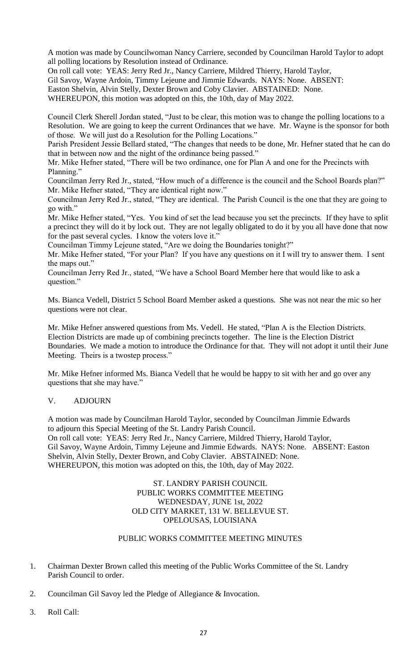A motion was made by Councilwoman Nancy Carriere, seconded by Councilman Harold Taylor to adopt all polling locations by Resolution instead of Ordinance.

On roll call vote: YEAS: Jerry Red Jr., Nancy Carriere, Mildred Thierry, Harold Taylor,

Gil Savoy, Wayne Ardoin, Timmy Lejeune and Jimmie Edwards. NAYS: None. ABSENT:

Easton Shelvin, Alvin Stelly, Dexter Brown and Coby Clavier. ABSTAINED: None.

WHEREUPON, this motion was adopted on this, the 10th, day of May 2022.

Council Clerk Sherell Jordan stated, "Just to be clear, this motion was to change the polling locations to a Resolution. We are going to keep the current Ordinances that we have. Mr. Wayne is the sponsor for both of those. We will just do a Resolution for the Polling Locations."

Parish President Jessie Bellard stated, "The changes that needs to be done, Mr. Hefner stated that he can do that in between now and the night of the ordinance being passed."

Mr. Mike Hefner stated, "There will be two ordinance, one for Plan A and one for the Precincts with Planning."

Councilman Jerry Red Jr., stated, "How much of a difference is the council and the School Boards plan?" Mr. Mike Hefner stated, "They are identical right now."

Councilman Jerry Red Jr., stated, "They are identical. The Parish Council is the one that they are going to go with."

Mr. Mike Hefner stated, "Yes. You kind of set the lead because you set the precincts. If they have to split a precinct they will do it by lock out. They are not legally obligated to do it by you all have done that now for the past several cycles. I know the voters love it."

Councilman Timmy Lejeune stated, "Are we doing the Boundaries tonight?"

Mr. Mike Hefner stated, "For your Plan? If you have any questions on it I will try to answer them. I sent the maps out."

Councilman Jerry Red Jr., stated, "We have a School Board Member here that would like to ask a question."

Ms. Bianca Vedell, District 5 School Board Member asked a questions. She was not near the mic so her questions were not clear.

Mr. Mike Hefner answered questions from Ms. Vedell. He stated, "Plan A is the Election Districts. Election Districts are made up of combining precincts together. The line is the Election District Boundaries. We made a motion to introduce the Ordinance for that. They will not adopt it until their June Meeting. Theirs is a twostep process."

Mr. Mike Hefner informed Ms. Bianca Vedell that he would be happy to sit with her and go over any questions that she may have."

#### V. ADJOURN

A motion was made by Councilman Harold Taylor, seconded by Councilman Jimmie Edwards to adjourn this Special Meeting of the St. Landry Parish Council. On roll call vote: YEAS: Jerry Red Jr., Nancy Carriere, Mildred Thierry, Harold Taylor, Gil Savoy, Wayne Ardoin, Timmy Lejeune and Jimmie Edwards. NAYS: None. ABSENT: Easton Shelvin, Alvin Stelly, Dexter Brown, and Coby Clavier. ABSTAINED: None. WHEREUPON, this motion was adopted on this, the 10th, day of May 2022.

> ST. LANDRY PARISH COUNCIL PUBLIC WORKS COMMITTEE MEETING WEDNESDAY, JUNE 1st, 2022 OLD CITY MARKET, 131 W. BELLEVUE ST. OPELOUSAS, LOUISIANA

## PUBLIC WORKS COMMITTEE MEETING MINUTES

- 1. Chairman Dexter Brown called this meeting of the Public Works Committee of the St. Landry Parish Council to order.
- 2. Councilman Gil Savoy led the Pledge of Allegiance & Invocation.
- 3. Roll Call: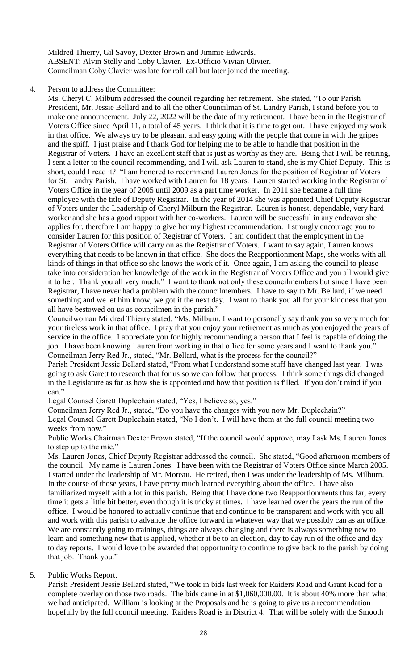Mildred Thierry, Gil Savoy, Dexter Brown and Jimmie Edwards. ABSENT: Alvin Stelly and Coby Clavier. Ex-Officio Vivian Olivier. Councilman Coby Clavier was late for roll call but later joined the meeting.

#### 4. Person to address the Committee:

Ms. Cheryl C. Milburn addressed the council regarding her retirement. She stated, "To our Parish President, Mr. Jessie Bellard and to all the other Councilman of St. Landry Parish, I stand before you to make one announcement. July 22, 2022 will be the date of my retirement. I have been in the Registrar of Voters Office since April 11, a total of 45 years. I think that it is time to get out. I have enjoyed my work in that office. We always try to be pleasant and easy going with the people that come in with the gripes and the spiff. I just praise and I thank God for helping me to be able to handle that position in the Registrar of Voters. I have an excellent staff that is just as worthy as they are. Being that I will be retiring, I sent a letter to the council recommending, and I will ask Lauren to stand, she is my Chief Deputy. This is short, could I read it? "I am honored to recommend Lauren Jones for the position of Registrar of Voters for St. Landry Parish. I have worked with Lauren for 18 years. Lauren started working in the Registrar of Voters Office in the year of 2005 until 2009 as a part time worker. In 2011 she became a full time employee with the title of Deputy Registrar. In the year of 2014 she was appointed Chief Deputy Registrar of Voters under the Leadership of Cheryl Milburn the Registrar. Lauren is honest, dependable, very hard worker and she has a good rapport with her co-workers. Lauren will be successful in any endeavor she applies for, therefore I am happy to give her my highest recommendation. I strongly encourage you to consider Lauren for this position of Registrar of Voters. I am confident that the employment in the Registrar of Voters Office will carry on as the Registrar of Voters. I want to say again, Lauren knows everything that needs to be known in that office. She does the Reapportionment Maps, she works with all kinds of things in that office so she knows the work of it. Once again, I am asking the council to please take into consideration her knowledge of the work in the Registrar of Voters Office and you all would give it to her. Thank you all very much." I want to thank not only these councilmembers but since I have been Registrar, I have never had a problem with the councilmembers. I have to say to Mr. Bellard, if we need something and we let him know, we got it the next day. I want to thank you all for your kindness that you all have bestowed on us as councilmen in the parish."

Councilwoman Mildred Thierry stated, "Ms. Milburn, I want to personally say thank you so very much for your tireless work in that office. I pray that you enjoy your retirement as much as you enjoyed the years of service in the office. I appreciate you for highly recommending a person that I feel is capable of doing the job. I have been knowing Lauren from working in that office for some years and I want to thank you." Councilman Jerry Red Jr., stated, "Mr. Bellard, what is the process for the council?"

Parish President Jessie Bellard stated, "From what I understand some stuff have changed last year. I was going to ask Garett to research that for us so we can follow that process. I think some things did changed in the Legislature as far as how she is appointed and how that position is filled. If you don't mind if you can."

Legal Counsel Garett Duplechain stated, "Yes, I believe so, yes."

Councilman Jerry Red Jr., stated, "Do you have the changes with you now Mr. Duplechain?"

Legal Counsel Garett Duplechain stated, "No I don't. I will have them at the full council meeting two weeks from now."

Public Works Chairman Dexter Brown stated, "If the council would approve, may I ask Ms. Lauren Jones to step up to the mic."

Ms. Lauren Jones, Chief Deputy Registrar addressed the council. She stated, "Good afternoon members of the council. My name is Lauren Jones. I have been with the Registrar of Voters Office since March 2005. I started under the leadership of Mr. Moreau. He retired, then I was under the leadership of Ms. Milburn. In the course of those years, I have pretty much learned everything about the office. I have also familiarized myself with a lot in this parish. Being that I have done two Reapportionments thus far, every time it gets a little bit better, even though it is tricky at times. I have learned over the years the run of the office. I would be honored to actually continue that and continue to be transparent and work with you all and work with this parish to advance the office forward in whatever way that we possibly can as an office. We are constantly going to trainings, things are always changing and there is always something new to learn and something new that is applied, whether it be to an election, day to day run of the office and day to day reports. I would love to be awarded that opportunity to continue to give back to the parish by doing that job. Thank you."

#### 5. Public Works Report.

Parish President Jessie Bellard stated, "We took in bids last week for Raiders Road and Grant Road for a complete overlay on those two roads. The bids came in at \$1,060,000.00. It is about 40% more than what we had anticipated. William is looking at the Proposals and he is going to give us a recommendation hopefully by the full council meeting. Raiders Road is in District 4. That will be solely with the Smooth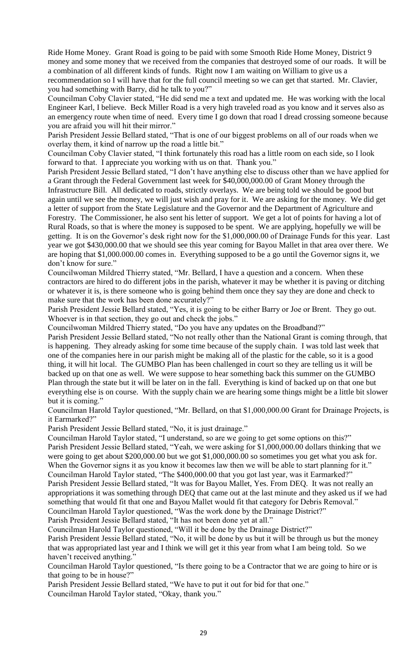Ride Home Money. Grant Road is going to be paid with some Smooth Ride Home Money, District 9 money and some money that we received from the companies that destroyed some of our roads. It will be a combination of all different kinds of funds. Right now I am waiting on William to give us a recommendation so I will have that for the full council meeting so we can get that started. Mr. Clavier, you had something with Barry, did he talk to you?"

Councilman Coby Clavier stated, "He did send me a text and updated me. He was working with the local Engineer Karl, I believe. Beck Miller Road is a very high traveled road as you know and it serves also as an emergency route when time of need. Every time I go down that road I dread crossing someone because you are afraid you will hit their mirror."

Parish President Jessie Bellard stated, "That is one of our biggest problems on all of our roads when we overlay them, it kind of narrow up the road a little bit."

Councilman Coby Clavier stated, "I think fortunately this road has a little room on each side, so I look forward to that. I appreciate you working with us on that. Thank you."

Parish President Jessie Bellard stated, "I don't have anything else to discuss other than we have applied for a Grant through the Federal Government last week for \$40,000,000.00 of Grant Money through the Infrastructure Bill. All dedicated to roads, strictly overlays. We are being told we should be good but again until we see the money, we will just wish and pray for it. We are asking for the money. We did get a letter of support from the State Legislature and the Governor and the Department of Agriculture and Forestry. The Commissioner, he also sent his letter of support. We get a lot of points for having a lot of Rural Roads, so that is where the money is supposed to be spent. We are applying, hopefully we will be getting. It is on the Governor's desk right now for the \$1,000,000.00 of Drainage Funds for this year. Last year we got \$430,000.00 that we should see this year coming for Bayou Mallet in that area over there. We are hoping that \$1,000.000.00 comes in. Everything supposed to be a go until the Governor signs it, we don't know for sure."

Councilwoman Mildred Thierry stated, "Mr. Bellard, I have a question and a concern. When these contractors are hired to do different jobs in the parish, whatever it may be whether it is paving or ditching or whatever it is, is there someone who is going behind them once they say they are done and check to make sure that the work has been done accurately?"

Parish President Jessie Bellard stated, "Yes, it is going to be either Barry or Joe or Brent. They go out. Whoever is in that section, they go out and check the jobs."

Councilwoman Mildred Thierry stated, "Do you have any updates on the Broadband?"

Parish President Jessie Bellard stated, "No not really other than the National Grant is coming through, that is happening. They already asking for some time because of the supply chain. I was told last week that one of the companies here in our parish might be making all of the plastic for the cable, so it is a good thing, it will hit local. The GUMBO Plan has been challenged in court so they are telling us it will be backed up on that one as well. We were suppose to hear something back this summer on the GUMBO Plan through the state but it will be later on in the fall. Everything is kind of backed up on that one but everything else is on course. With the supply chain we are hearing some things might be a little bit slower but it is coming."

Councilman Harold Taylor questioned, "Mr. Bellard, on that \$1,000,000.00 Grant for Drainage Projects, is it Earmarked?"

Parish President Jessie Bellard stated, "No, it is just drainage."

Councilman Harold Taylor stated, "I understand, so are we going to get some options on this?" Parish President Jessie Bellard stated, "Yeah, we were asking for \$1,000,000.00 dollars thinking that we were going to get about \$200,000.00 but we got \$1,000,000.00 so sometimes you get what you ask for. When the Governor signs it as you know it becomes law then we will be able to start planning for it." Councilman Harold Taylor stated, "The \$400,000.00 that you got last year, was it Earmarked?"

Parish President Jessie Bellard stated, "It was for Bayou Mallet, Yes. From DEQ. It was not really an appropriations it was something through DEQ that came out at the last minute and they asked us if we had something that would fit that one and Bayou Mallet would fit that category for Debris Removal." Councilman Harold Taylor questioned, "Was the work done by the Drainage District?"

Parish President Jessie Bellard stated, "It has not been done yet at all."

Councilman Harold Taylor questioned, "Will it be done by the Drainage District?"

Parish President Jessie Bellard stated, "No, it will be done by us but it will be through us but the money that was appropriated last year and I think we will get it this year from what I am being told. So we haven't received anything."

Councilman Harold Taylor questioned, "Is there going to be a Contractor that we are going to hire or is that going to be in house?"

Parish President Jessie Bellard stated, "We have to put it out for bid for that one." Councilman Harold Taylor stated, "Okay, thank you."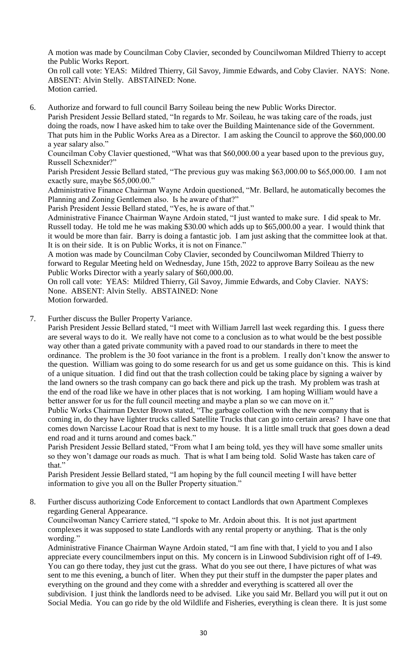A motion was made by Councilman Coby Clavier, seconded by Councilwoman Mildred Thierry to accept the Public Works Report. On roll call vote: YEAS: Mildred Thierry, Gil Savoy, Jimmie Edwards, and Coby Clavier. NAYS: None.

ABSENT: Alvin Stelly. ABSTAINED: None. Motion carried.

6. Authorize and forward to full council Barry Soileau being the new Public Works Director. Parish President Jessie Bellard stated, "In regards to Mr. Soileau, he was taking care of the roads, just doing the roads, now I have asked him to take over the Building Maintenance side of the Government. That puts him in the Public Works Area as a Director. I am asking the Council to approve the \$60,000.00 a year salary also."

Councilman Coby Clavier questioned, "What was that \$60,000.00 a year based upon to the previous guy, Russell Schexnider?"

Parish President Jessie Bellard stated, "The previous guy was making \$63,000.00 to \$65,000.00. I am not exactly sure, maybe \$65,000.00."

Administrative Finance Chairman Wayne Ardoin questioned, "Mr. Bellard, he automatically becomes the Planning and Zoning Gentlemen also. Is he aware of that?"

Parish President Jessie Bellard stated, "Yes, he is aware of that."

Administrative Finance Chairman Wayne Ardoin stated, "I just wanted to make sure. I did speak to Mr. Russell today. He told me he was making \$30.00 which adds up to \$65,000.00 a year. I would think that it would be more than fair. Barry is doing a fantastic job. I am just asking that the committee look at that. It is on their side. It is on Public Works, it is not on Finance."

A motion was made by Councilman Coby Clavier, seconded by Councilwoman Mildred Thierry to forward to Regular Meeting held on Wednesday, June 15th, 2022 to approve Barry Soileau as the new Public Works Director with a yearly salary of \$60,000.00.

On roll call vote: YEAS: Mildred Thierry, Gil Savoy, Jimmie Edwards, and Coby Clavier. NAYS: None. ABSENT: Alvin Stelly. ABSTAINED: None Motion forwarded.

7. Further discuss the Buller Property Variance.

Parish President Jessie Bellard stated, "I meet with William Jarrell last week regarding this. I guess there are several ways to do it. We really have not come to a conclusion as to what would be the best possible way other than a gated private community with a paved road to our standards in there to meet the ordinance. The problem is the 30 foot variance in the front is a problem. I really don't know the answer to the question. William was going to do some research for us and get us some guidance on this. This is kind of a unique situation. I did find out that the trash collection could be taking place by signing a waiver by the land owners so the trash company can go back there and pick up the trash. My problem was trash at the end of the road like we have in other places that is not working. I am hoping William would have a better answer for us for the full council meeting and maybe a plan so we can move on it."

Public Works Chairman Dexter Brown stated, "The garbage collection with the new company that is coming in, do they have lighter trucks called Satellite Trucks that can go into certain areas? I have one that comes down Narcisse Lacour Road that is next to my house. It is a little small truck that goes down a dead end road and it turns around and comes back."

Parish President Jessie Bellard stated, "From what I am being told, yes they will have some smaller units so they won't damage our roads as much. That is what I am being told. Solid Waste has taken care of that."

Parish President Jessie Bellard stated, "I am hoping by the full council meeting I will have better information to give you all on the Buller Property situation."

8. Further discuss authorizing Code Enforcement to contact Landlords that own Apartment Complexes regarding General Appearance.

Councilwoman Nancy Carriere stated, "I spoke to Mr. Ardoin about this. It is not just apartment complexes it was supposed to state Landlords with any rental property or anything. That is the only wording."

Administrative Finance Chairman Wayne Ardoin stated, "I am fine with that, I yield to you and I also appreciate every councilmembers input on this. My concern is in Linwood Subdivision right off of I-49. You can go there today, they just cut the grass. What do you see out there, I have pictures of what was sent to me this evening, a bunch of liter. When they put their stuff in the dumpster the paper plates and everything on the ground and they come with a shredder and everything is scattered all over the subdivision. I just think the landlords need to be advised. Like you said Mr. Bellard you will put it out on Social Media. You can go ride by the old Wildlife and Fisheries, everything is clean there. It is just some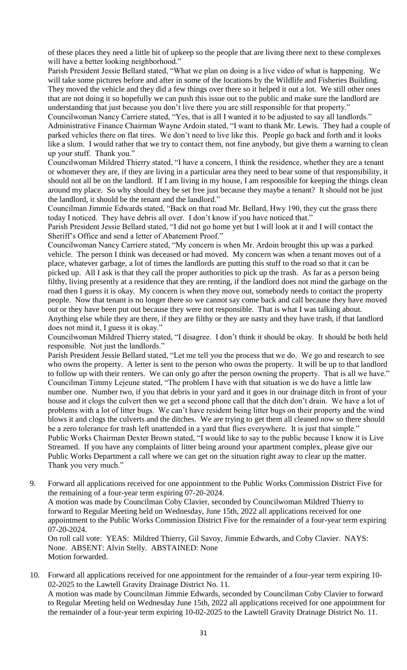of these places they need a little bit of upkeep so the people that are living there next to these complexes will have a better looking neighborhood."

Parish President Jessie Bellard stated, "What we plan on doing is a live video of what is happening. We will take some pictures before and after in some of the locations by the Wildlife and Fisheries Building. They moved the vehicle and they did a few things over there so it helped it out a lot. We still other ones that are not doing it so hopefully we can push this issue out to the public and make sure the landlord are understanding that just because you don't live there you are still responsible for that property."

Councilwoman Nancy Carriere stated, "Yes, that is all I wanted it to be adjusted to say all landlords." Administrative Finance Chairman Wayne Ardoin stated, "I want to thank Mr. Lewis. They had a couple of parked vehicles there on flat tires. We don't need to live like this. People go back and forth and it looks like a slum. I would rather that we try to contact them, not fine anybody, but give them a warning to clean up your stuff. Thank you."

Councilwoman Mildred Thierry stated, "I have a concern, I think the residence, whether they are a tenant or whomever they are, if they are living in a particular area they need to bear some of that responsibility, it should not all be on the landlord. If I am living in my house, I am responsible for keeping the things clean around my place. So why should they be set free just because they maybe a tenant? It should not be just the landlord, it should be the tenant and the landlord."

Councilman Jimmie Edwards stated, "Back on that road Mr. Bellard, Hwy 190, they cut the grass there today I noticed. They have debris all over. I don't know if you have noticed that."

Parish President Jessie Bellard stated, "I did not go home yet but I will look at it and I will contact the Sheriff's Office and send a letter of Abatement Proof."

Councilwoman Nancy Carriere stated, "My concern is when Mr. Ardoin brought this up was a parked vehicle. The person I think was deceased or had moved. My concern was when a tenant moves out of a place, whatever garbage, a lot of times the landlords are putting this stuff to the road so that it can be picked up. All I ask is that they call the proper authorities to pick up the trash. As far as a person being filthy, living presently at a residence that they are renting, if the landlord does not mind the garbage on the road then I guess it is okay. My concern is when they move out, somebody needs to contact the property people. Now that tenant is no longer there so we cannot say come back and call because they have moved out or they have been put out because they were not responsible. That is what I was talking about. Anything else while they are there, if they are filthy or they are nasty and they have trash, if that landlord does not mind it, I guess it is okay."

Councilwoman Mildred Thierry stated, "I disagree. I don't think it should be okay. It should be both held responsible. Not just the landlords."

Parish President Jessie Bellard stated, "Let me tell you the process that we do. We go and research to see who owns the property. A letter is sent to the person who owns the property. It will be up to that landlord to follow up with their renters. We can only go after the person owning the property. That is all we have." Councilman Timmy Lejeune stated, "The problem I have with that situation is we do have a little law number one. Number two, if you that debris in your yard and it goes in our drainage ditch in front of your house and it clogs the culvert then we get a second phone call that the ditch don't drain. We have a lot of problems with a lot of litter bugs. We can't have resident being litter bugs on their property and the wind blows it and clogs the culverts and the ditches. We are trying to get them all cleaned now so there should be a zero tolerance for trash left unattended in a yard that flies everywhere. It is just that simple." Public Works Chairman Dexter Brown stated, "I would like to say to the public because I know it is Live Streamed. If you have any complaints of litter being around your apartment complex, please give our Public Works Department a call where we can get on the situation right away to clear up the matter. Thank you very much."

9. Forward all applications received for one appointment to the Public Works Commission District Five for the remaining of a four-year term expiring 07-20-2024. A motion was made by Councilman Coby Clavier, seconded by Councilwoman Mildred Thierry to forward to Regular Meeting held on Wednesday, June 15th, 2022 all applications received for one appointment to the Public Works Commission District Five for the remainder of a four-year term expiring 07-20-2024.

On roll call vote: YEAS: Mildred Thierry, Gil Savoy, Jimmie Edwards, and Coby Clavier. NAYS: None. ABSENT: Alvin Stelly. ABSTAINED: None Motion forwarded.

10. Forward all applications received for one appointment for the remainder of a four-year term expiring 10- 02-2025 to the Lawtell Gravity Drainage District No. 11. A motion was made by Councilman Jimmie Edwards, seconded by Councilman Coby Clavier to forward to Regular Meeting held on Wednesday June 15th, 2022 all applications received for one appointment for the remainder of a four-year term expiring 10-02-2025 to the Lawtell Gravity Drainage District No. 11.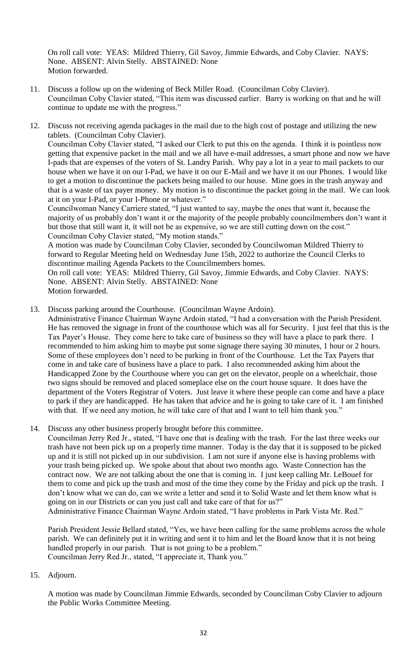On roll call vote: YEAS: Mildred Thierry, Gil Savoy, Jimmie Edwards, and Coby Clavier. NAYS: None. ABSENT: Alvin Stelly. ABSTAINED: None Motion forwarded.

- 11. Discuss a follow up on the widening of Beck Miller Road. (Councilman Coby Clavier). Councilman Coby Clavier stated, "This item was discussed earlier. Barry is working on that and he will continue to update me with the progress."
- 12. Discuss not receiving agenda packages in the mail due to the high cost of postage and utilizing the new tablets. (Councilman Coby Clavier). Councilman Coby Clavier stated, "I asked our Clerk to put this on the agenda. I think it is pointless now getting that expensive packet in the mail and we all have e-mail addresses, a smart phone and now we have I-pads that are expenses of the voters of St. Landry Parish. Why pay a lot in a year to mail packets to our house when we have it on our I-Pad, we have it on our E-Mail and we have it on our Phones. I would like to get a motion to discontinue the packets being mailed to our house. Mine goes in the trash anyway and that is a waste of tax payer money. My motion is to discontinue the packet going in the mail. We can look at it on your I-Pad, or your I-Phone or whatever."

Councilwoman Nancy Carriere stated, "I just wanted to say, maybe the ones that want it, because the majority of us probably don't want it or the majority of the people probably councilmembers don't want it but those that still want it, it will not be as expensive, so we are still cutting down on the cost." Councilman Coby Clavier stated, "My motion stands."

A motion was made by Councilman Coby Clavier, seconded by Councilwoman Mildred Thierry to forward to Regular Meeting held on Wednesday June 15th, 2022 to authorize the Council Clerks to discontinue mailing Agenda Packets to the Councilmembers homes.

On roll call vote: YEAS: Mildred Thierry, Gil Savoy, Jimmie Edwards, and Coby Clavier. NAYS: None. ABSENT: Alvin Stelly. ABSTAINED: None Motion forwarded.

13. Discuss parking around the Courthouse. (Councilman Wayne Ardoin).

Administrative Finance Chairman Wayne Ardoin stated, "I had a conversation with the Parish President. He has removed the signage in front of the courthouse which was all for Security. I just feel that this is the Tax Payer's House. They come here to take care of business so they will have a place to park there. I recommended to him asking him to maybe put some signage there saying 30 minutes, 1 hour or 2 hours. Some of these employees don't need to be parking in front of the Courthouse. Let the Tax Payers that come in and take care of business have a place to park. I also recommended asking him about the Handicapped Zone by the Courthouse where you can get on the elevator, people on a wheelchair, those two signs should be removed and placed someplace else on the court house square. It does have the department of the Voters Registrar of Voters. Just leave it where these people can come and have a place to park if they are handicapped. He has taken that advice and he is going to take care of it. I am finished with that. If we need any motion, he will take care of that and I want to tell him thank you."

14. Discuss any other business properly brought before this committee.

Councilman Jerry Red Jr., stated, "I have one that is dealing with the trash. For the last three weeks our trash have not been pick up on a properly time manner. Today is the day that it is supposed to be picked up and it is still not picked up in our subdivision. I am not sure if anyone else is having problems with your trash being picked up. We spoke about that about two months ago. Waste Connection has the contract now. We are not talking about the one that is coming in. I just keep calling Mr. LeBouef for them to come and pick up the trash and most of the time they come by the Friday and pick up the trash. I don't know what we can do, can we write a letter and send it to Solid Waste and let them know what is going on in our Districts or can you just call and take care of that for us?"

Administrative Finance Chairman Wayne Ardoin stated, "I have problems in Park Vista Mr. Red."

Parish President Jessie Bellard stated, "Yes, we have been calling for the same problems across the whole parish. We can definitely put it in writing and sent it to him and let the Board know that it is not being handled properly in our parish. That is not going to be a problem." Councilman Jerry Red Jr., stated, "I appreciate it, Thank you."

15. Adjourn.

A motion was made by Councilman Jimmie Edwards, seconded by Councilman Coby Clavier to adjourn the Public Works Committee Meeting.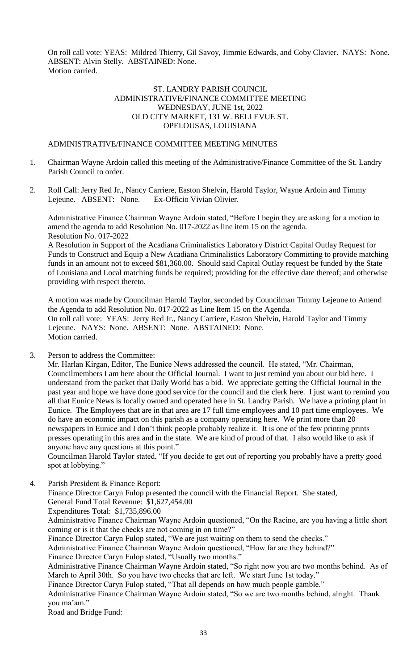On roll call vote: YEAS: Mildred Thierry, Gil Savoy, Jimmie Edwards, and Coby Clavier. NAYS: None. ABSENT: Alvin Stelly. ABSTAINED: None. Motion carried.

#### ST. LANDRY PARISH COUNCIL ADMINISTRATIVE/FINANCE COMMITTEE MEETING WEDNESDAY, JUNE 1st, 2022 OLD CITY MARKET, 131 W. BELLEVUE ST. OPELOUSAS, LOUISIANA

## ADMINISTRATIVE/FINANCE COMMITTEE MEETING MINUTES

- 1. Chairman Wayne Ardoin called this meeting of the Administrative/Finance Committee of the St. Landry Parish Council to order.
- 2. Roll Call: Jerry Red Jr., Nancy Carriere, Easton Shelvin, Harold Taylor, Wayne Ardoin and Timmy Lejeune. ABSENT: None. Ex-Officio Vivian Olivier.

Administrative Finance Chairman Wayne Ardoin stated, "Before I begin they are asking for a motion to amend the agenda to add Resolution No. 017-2022 as line item 15 on the agenda. Resolution No. 017-2022

A Resolution in Support of the Acadiana Criminalistics Laboratory District Capital Outlay Request for Funds to Construct and Equip a New Acadiana Criminalistics Laboratory Committing to provide matching funds in an amount not to exceed \$81,360.00. Should said Capital Outlay request be funded by the State of Louisiana and Local matching funds be required; providing for the effective date thereof; and otherwise providing with respect thereto.

A motion was made by Councilman Harold Taylor, seconded by Councilman Timmy Lejeune to Amend the Agenda to add Resolution No. 017-2022 as Line Item 15 on the Agenda. On roll call vote: YEAS: Jerry Red Jr., Nancy Carriere, Easton Shelvin, Harold Taylor and Timmy Lejeune. NAYS: None. ABSENT: None. ABSTAINED: None. Motion carried.

3. Person to address the Committee:

Mr. Harlan Kirgan, Editor, The Eunice News addressed the council. He stated, "Mr. Chairman, Councilmembers I am here about the Official Journal. I want to just remind you about our bid here. I understand from the packet that Daily World has a bid. We appreciate getting the Official Journal in the past year and hope we have done good service for the council and the clerk here. I just want to remind you all that Eunice News is locally owned and operated here in St. Landry Parish. We have a printing plant in Eunice. The Employees that are in that area are 17 full time employees and 10 part time employees. We do have an economic impact on this parish as a company operating here. We print more than 20 newspapers in Eunice and I don't think people probably realize it. It is one of the few printing prints presses operating in this area and in the state. We are kind of proud of that. I also would like to ask if anyone have any questions at this point."

Councilman Harold Taylor stated, "If you decide to get out of reporting you probably have a pretty good spot at lobbying."

4. Parish President & Finance Report:

Finance Director Caryn Fulop presented the council with the Financial Report. She stated, General Fund Total Revenue: \$1,627,454.00 Expenditures Total: \$1,735,896.00 Administrative Finance Chairman Wayne Ardoin questioned, "On the Racino, are you having a little short coming or is it that the checks are not coming in on time?" Finance Director Caryn Fulop stated, "We are just waiting on them to send the checks." Administrative Finance Chairman Wayne Ardoin questioned, "How far are they behind?" Finance Director Caryn Fulop stated, "Usually two months." Administrative Finance Chairman Wayne Ardoin stated, "So right now you are two months behind. As of March to April 30th. So you have two checks that are left. We start June 1st today." Finance Director Caryn Fulop stated, "That all depends on how much people gamble." Administrative Finance Chairman Wayne Ardoin stated, "So we are two months behind, alright. Thank you ma'am." Road and Bridge Fund: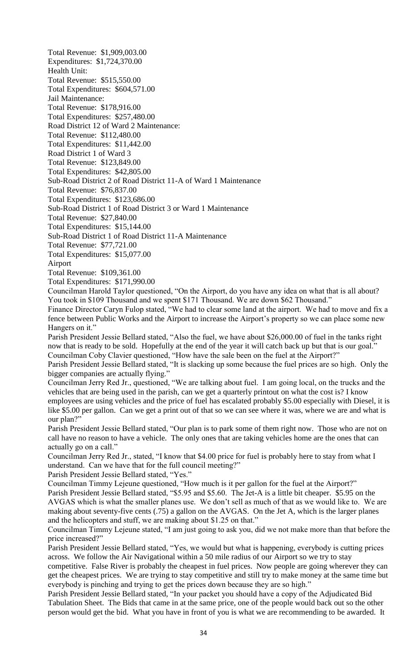Total Revenue: \$1,909,003.00 Expenditures: \$1,724,370.00 Health Unit: Total Revenue: \$515,550.00 Total Expenditures: \$604,571.00 Jail Maintenance: Total Revenue: \$178,916.00 Total Expenditures: \$257,480.00 Road District 12 of Ward 2 Maintenance: Total Revenue: \$112,480.00 Total Expenditures: \$11,442.00 Road District 1 of Ward 3 Total Revenue: \$123,849.00 Total Expenditures: \$42,805.00 Sub-Road District 2 of Road District 11-A of Ward 1 Maintenance Total Revenue: \$76,837.00 Total Expenditures: \$123,686.00 Sub-Road District 1 of Road District 3 or Ward 1 Maintenance Total Revenue: \$27,840.00 Total Expenditures: \$15,144.00 Sub-Road District 1 of Road District 11-A Maintenance Total Revenue: \$77,721.00 Total Expenditures: \$15,077.00 Airport Total Revenue: \$109,361.00 Total Expenditures: \$171,990.00 Councilman Harold Taylor questioned, "On the Airport, do you have any idea on what that is all about? You took in \$109 Thousand and we spent \$171 Thousand. We are down \$62 Thousand." Finance Director Caryn Fulop stated, "We had to clear some land at the airport. We had to move and fix a fence between Public Works and the Airport to increase the Airport's property so we can place some new Hangers on it." Parish President Jessie Bellard stated, "Also the fuel, we have about \$26,000.00 of fuel in the tanks right now that is ready to be sold. Hopefully at the end of the year it will catch back up but that is our goal." Councilman Coby Clavier questioned, "How have the sale been on the fuel at the Airport?" Parish President Jessie Bellard stated, "It is slacking up some because the fuel prices are so high. Only the bigger companies are actually flying." Councilman Jerry Red Jr., questioned, "We are talking about fuel. I am going local, on the trucks and the vehicles that are being used in the parish, can we get a quarterly printout on what the cost is? I know employees are using vehicles and the price of fuel has escalated probably \$5.00 especially with Diesel, it is like \$5.00 per gallon. Can we get a print out of that so we can see where it was, where we are and what is our plan?" Parish President Jessie Bellard stated, "Our plan is to park some of them right now. Those who are not on call have no reason to have a vehicle. The only ones that are taking vehicles home are the ones that can actually go on a call." Councilman Jerry Red Jr., stated, "I know that \$4.00 price for fuel is probably here to stay from what I understand. Can we have that for the full council meeting?" Parish President Jessie Bellard stated, "Yes." Councilman Timmy Lejeune questioned, "How much is it per gallon for the fuel at the Airport?" Parish President Jessie Bellard stated, "\$5.95 and \$5.60. The Jet-A is a little bit cheaper. \$5.95 on the AVGAS which is what the smaller planes use. We don't sell as much of that as we would like to. We are making about seventy-five cents (.75) a gallon on the AVGAS. On the Jet A, which is the larger planes and the helicopters and stuff, we are making about \$1.25 on that." Councilman Timmy Lejeune stated, "I am just going to ask you, did we not make more than that before the price increased?" Parish President Jessie Bellard stated, "Yes, we would but what is happening, everybody is cutting prices across. We follow the Air Navigational within a 50 mile radius of our Airport so we try to stay competitive. False River is probably the cheapest in fuel prices. Now people are going wherever they can get the cheapest prices. We are trying to stay competitive and still try to make money at the same time but

everybody is pinching and trying to get the prices down because they are so high." Parish President Jessie Bellard stated, "In your packet you should have a copy of the Adjudicated Bid Tabulation Sheet. The Bids that came in at the same price, one of the people would back out so the other

person would get the bid. What you have in front of you is what we are recommending to be awarded. It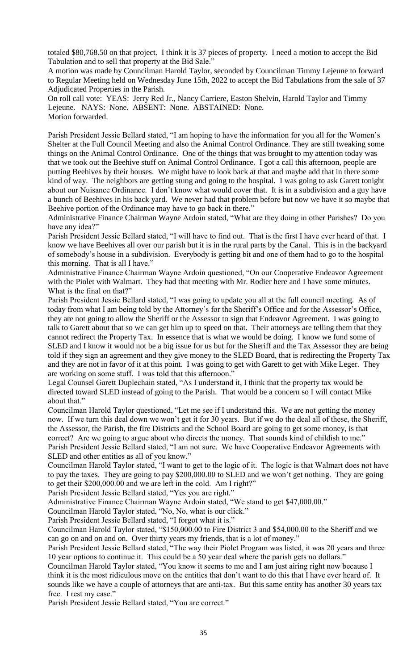totaled \$80,768.50 on that project. I think it is 37 pieces of property. I need a motion to accept the Bid Tabulation and to sell that property at the Bid Sale."

A motion was made by Councilman Harold Taylor, seconded by Councilman Timmy Lejeune to forward to Regular Meeting held on Wednesday June 15th, 2022 to accept the Bid Tabulations from the sale of 37 Adjudicated Properties in the Parish.

On roll call vote: YEAS: Jerry Red Jr., Nancy Carriere, Easton Shelvin, Harold Taylor and Timmy Lejeune. NAYS: None. ABSENT: None. ABSTAINED: None. Motion forwarded.

Parish President Jessie Bellard stated, "I am hoping to have the information for you all for the Women's Shelter at the Full Council Meeting and also the Animal Control Ordinance. They are still tweaking some things on the Animal Control Ordinance. One of the things that was brought to my attention today was that we took out the Beehive stuff on Animal Control Ordinance. I got a call this afternoon, people are putting Beehives by their houses. We might have to look back at that and maybe add that in there some kind of way. The neighbors are getting stung and going to the hospital. I was going to ask Garett tonight about our Nuisance Ordinance. I don't know what would cover that. It is in a subdivision and a guy have a bunch of Beehives in his back yard. We never had that problem before but now we have it so maybe that Beehive portion of the Ordinance may have to go back in there."

Administrative Finance Chairman Wayne Ardoin stated, "What are they doing in other Parishes? Do you have any idea?"

Parish President Jessie Bellard stated, "I will have to find out. That is the first I have ever heard of that. I know we have Beehives all over our parish but it is in the rural parts by the Canal. This is in the backyard of somebody's house in a subdivision. Everybody is getting bit and one of them had to go to the hospital this morning. That is all I have."

Administrative Finance Chairman Wayne Ardoin questioned, "On our Cooperative Endeavor Agreement with the Piolet with Walmart. They had that meeting with Mr. Rodier here and I have some minutes. What is the final on that?"

Parish President Jessie Bellard stated, "I was going to update you all at the full council meeting. As of today from what I am being told by the Attorney's for the Sheriff's Office and for the Assessor's Office, they are not going to allow the Sheriff or the Assessor to sign that Endeavor Agreement. I was going to talk to Garett about that so we can get him up to speed on that. Their attorneys are telling them that they cannot redirect the Property Tax. In essence that is what we would be doing. I know we fund some of SLED and I know it would not be a big issue for us but for the Sheriff and the Tax Assessor they are being told if they sign an agreement and they give money to the SLED Board, that is redirecting the Property Tax and they are not in favor of it at this point. I was going to get with Garett to get with Mike Leger. They are working on some stuff. I was told that this afternoon."

Legal Counsel Garett Duplechain stated, "As I understand it, I think that the property tax would be directed toward SLED instead of going to the Parish. That would be a concern so I will contact Mike about that."

Councilman Harold Taylor questioned, "Let me see if I understand this. We are not getting the money now. If we turn this deal down we won't get it for 30 years. But if we do the deal all of these, the Sheriff, the Assessor, the Parish, the fire Districts and the School Board are going to get some money, is that correct? Are we going to argue about who directs the money. That sounds kind of childish to me." Parish President Jessie Bellard stated, "I am not sure. We have Cooperative Endeavor Agreements with SLED and other entities as all of you know."

Councilman Harold Taylor stated, "I want to get to the logic of it. The logic is that Walmart does not have to pay the taxes. They are going to pay \$200,000.00 to SLED and we won't get nothing. They are going to get their \$200,000.00 and we are left in the cold. Am I right?"

Parish President Jessie Bellard stated, "Yes you are right."

Administrative Finance Chairman Wayne Ardoin stated, "We stand to get \$47,000.00."

Councilman Harold Taylor stated, "No, No, what is our click."

Parish President Jessie Bellard stated, "I forgot what it is."

Councilman Harold Taylor stated, "\$150,000.00 to Fire District 3 and \$54,000.00 to the Sheriff and we can go on and on and on. Over thirty years my friends, that is a lot of money."

Parish President Jessie Bellard stated, "The way their Piolet Program was listed, it was 20 years and three 10 year options to continue it. This could be a 50 year deal where the parish gets no dollars."

Councilman Harold Taylor stated, "You know it seems to me and I am just airing right now because I think it is the most ridiculous move on the entities that don't want to do this that I have ever heard of. It sounds like we have a couple of attorneys that are anti-tax. But this same entity has another 30 years tax free. I rest my case."

Parish President Jessie Bellard stated, "You are correct."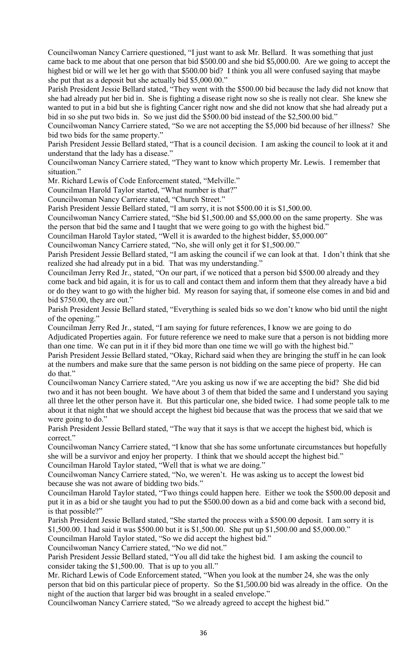Councilwoman Nancy Carriere questioned, "I just want to ask Mr. Bellard. It was something that just came back to me about that one person that bid \$500.00 and she bid \$5,000.00. Are we going to accept the highest bid or will we let her go with that \$500.00 bid? I think you all were confused saying that maybe she put that as a deposit but she actually bid \$5,000.00."

Parish President Jessie Bellard stated, "They went with the \$500.00 bid because the lady did not know that she had already put her bid in. She is fighting a disease right now so she is really not clear. She knew she wanted to put in a bid but she is fighting Cancer right now and she did not know that she had already put a bid in so she put two bids in. So we just did the \$500.00 bid instead of the \$2,500.00 bid."

Councilwoman Nancy Carriere stated, "So we are not accepting the \$5,000 bid because of her illness? She bid two bids for the same property."

Parish President Jessie Bellard stated, "That is a council decision. I am asking the council to look at it and understand that the lady has a disease."

Councilwoman Nancy Carriere stated, "They want to know which property Mr. Lewis. I remember that situation."

Mr. Richard Lewis of Code Enforcement stated, "Melville."

Councilman Harold Taylor started, "What number is that?"

Councilwoman Nancy Carriere stated, "Church Street."

Parish President Jessie Bellard stated, "I am sorry, it is not \$500.00 it is \$1,500.00.

Councilwoman Nancy Carriere stated, "She bid \$1,500.00 and \$5,000.00 on the same property. She was the person that bid the same and I taught that we were going to go with the highest bid."

Councilman Harold Taylor stated, "Well it is awarded to the highest bidder, \$5,000.00"

Councilwoman Nancy Carriere stated, "No, she will only get it for \$1,500.00."

Parish President Jessie Bellard stated, "I am asking the council if we can look at that. I don't think that she realized she had already put in a bid. That was my understanding."

Councilman Jerry Red Jr., stated, "On our part, if we noticed that a person bid \$500.00 already and they come back and bid again, it is for us to call and contact them and inform them that they already have a bid or do they want to go with the higher bid. My reason for saying that, if someone else comes in and bid and bid \$750.00, they are out."

Parish President Jessie Bellard stated, "Everything is sealed bids so we don't know who bid until the night of the opening."

Councilman Jerry Red Jr., stated, "I am saying for future references, I know we are going to do Adjudicated Properties again. For future reference we need to make sure that a person is not bidding more than one time. We can put in it if they bid more than one time we will go with the highest bid."

Parish President Jessie Bellard stated, "Okay, Richard said when they are bringing the stuff in he can look at the numbers and make sure that the same person is not bidding on the same piece of property. He can do that."

Councilwoman Nancy Carriere stated, "Are you asking us now if we are accepting the bid? She did bid two and it has not been bought. We have about 3 of them that bided the same and I understand you saying all three let the other person have it. But this particular one, she bided twice. I had some people talk to me about it that night that we should accept the highest bid because that was the process that we said that we were going to do."

Parish President Jessie Bellard stated, "The way that it says is that we accept the highest bid, which is correct."

Councilwoman Nancy Carriere stated, "I know that she has some unfortunate circumstances but hopefully she will be a survivor and enjoy her property. I think that we should accept the highest bid."

Councilman Harold Taylor stated, "Well that is what we are doing."

Councilwoman Nancy Carriere stated, "No, we weren't. He was asking us to accept the lowest bid because she was not aware of bidding two bids."

Councilman Harold Taylor stated, "Two things could happen here. Either we took the \$500.00 deposit and put it in as a bid or she taught you had to put the \$500.00 down as a bid and come back with a second bid, is that possible?"

Parish President Jessie Bellard stated, "She started the process with a \$500.00 deposit. I am sorry it is \$1,500.00. I had said it was \$500.00 but it is \$1,500.00. She put up \$1,500.00 and \$5,000.00."

Councilman Harold Taylor stated, "So we did accept the highest bid."

Councilwoman Nancy Carriere stated, "No we did not."

Parish President Jessie Bellard stated, "You all did take the highest bid. I am asking the council to consider taking the \$1,500.00. That is up to you all."

Mr. Richard Lewis of Code Enforcement stated, "When you look at the number 24, she was the only person that bid on this particular piece of property. So the \$1,500.00 bid was already in the office. On the night of the auction that larger bid was brought in a sealed envelope."

Councilwoman Nancy Carriere stated, "So we already agreed to accept the highest bid."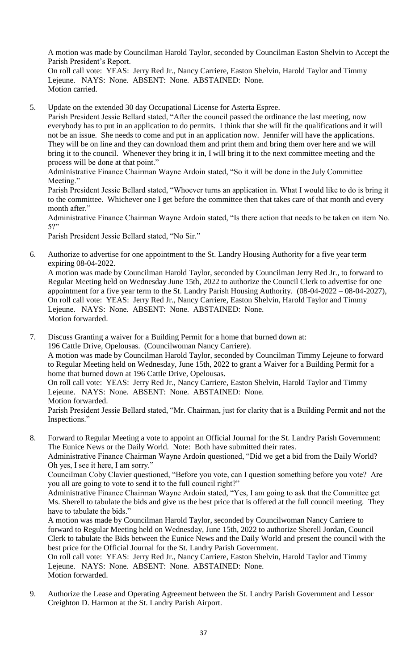A motion was made by Councilman Harold Taylor, seconded by Councilman Easton Shelvin to Accept the Parish President's Report.

On roll call vote: YEAS: Jerry Red Jr., Nancy Carriere, Easton Shelvin, Harold Taylor and Timmy Lejeune. NAYS: None. ABSENT: None. ABSTAINED: None. Motion carried.

5. Update on the extended 30 day Occupational License for Asterta Espree.

Parish President Jessie Bellard stated, "After the council passed the ordinance the last meeting, now everybody has to put in an application to do permits. I think that she will fit the qualifications and it will not be an issue. She needs to come and put in an application now. Jennifer will have the applications. They will be on line and they can download them and print them and bring them over here and we will bring it to the council. Whenever they bring it in, I will bring it to the next committee meeting and the process will be done at that point."

Administrative Finance Chairman Wayne Ardoin stated, "So it will be done in the July Committee Meeting."

Parish President Jessie Bellard stated, "Whoever turns an application in. What I would like to do is bring it to the committee. Whichever one I get before the committee then that takes care of that month and every month after."

Administrative Finance Chairman Wayne Ardoin stated, "Is there action that needs to be taken on item No. 5?"

Parish President Jessie Bellard stated, "No Sir."

6. Authorize to advertise for one appointment to the St. Landry Housing Authority for a five year term expiring 08-04-2022.

A motion was made by Councilman Harold Taylor, seconded by Councilman Jerry Red Jr., to forward to Regular Meeting held on Wednesday June 15th, 2022 to authorize the Council Clerk to advertise for one appointment for a five year term to the St. Landry Parish Housing Authority. (08-04-2022 – 08-04-2027), On roll call vote: YEAS: Jerry Red Jr., Nancy Carriere, Easton Shelvin, Harold Taylor and Timmy Lejeune. NAYS: None. ABSENT: None. ABSTAINED: None. Motion forwarded.

7. Discuss Granting a waiver for a Building Permit for a home that burned down at: 196 Cattle Drive, Opelousas. (Councilwoman Nancy Carriere). A motion was made by Councilman Harold Taylor, seconded by Councilman Timmy Lejeune to forward to Regular Meeting held on Wednesday, June 15th, 2022 to grant a Waiver for a Building Permit for a home that burned down at 196 Cattle Drive, Opelousas. On roll call vote: YEAS: Jerry Red Jr., Nancy Carriere, Easton Shelvin, Harold Taylor and Timmy Lejeune. NAYS: None. ABSENT: None. ABSTAINED: None. Motion forwarded. Parish President Jessie Bellard stated, "Mr. Chairman, just for clarity that is a Building Permit and not the Inspections."

- 8. Forward to Regular Meeting a vote to appoint an Official Journal for the St. Landry Parish Government: The Eunice News or the Daily World. Note: Both have submitted their rates. Administrative Finance Chairman Wayne Ardoin questioned, "Did we get a bid from the Daily World? Oh yes, I see it here, I am sorry." Councilman Coby Clavier questioned, "Before you vote, can I question something before you vote? Are you all are going to vote to send it to the full council right?" Administrative Finance Chairman Wayne Ardoin stated, "Yes, I am going to ask that the Committee get Ms. Sherell to tabulate the bids and give us the best price that is offered at the full council meeting. They have to tabulate the bids." A motion was made by Councilman Harold Taylor, seconded by Councilwoman Nancy Carriere to forward to Regular Meeting held on Wednesday, June 15th, 2022 to authorize Sherell Jordan, Council Clerk to tabulate the Bids between the Eunice News and the Daily World and present the council with the best price for the Official Journal for the St. Landry Parish Government. On roll call vote: YEAS: Jerry Red Jr., Nancy Carriere, Easton Shelvin, Harold Taylor and Timmy Lejeune. NAYS: None. ABSENT: None. ABSTAINED: None.
	- Motion forwarded.
- 9. Authorize the Lease and Operating Agreement between the St. Landry Parish Government and Lessor Creighton D. Harmon at the St. Landry Parish Airport.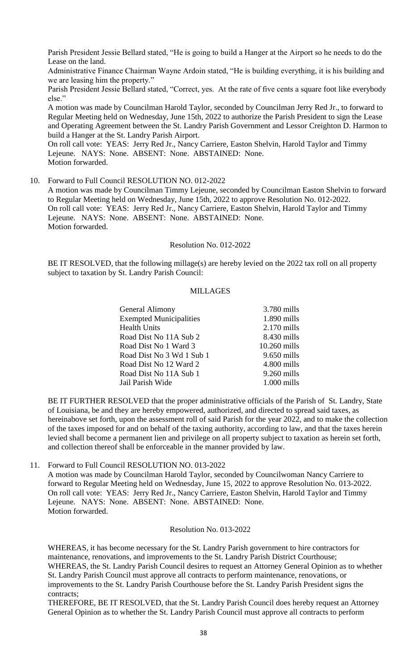Parish President Jessie Bellard stated, "He is going to build a Hanger at the Airport so he needs to do the Lease on the land.

Administrative Finance Chairman Wayne Ardoin stated, "He is building everything, it is his building and we are leasing him the property."

Parish President Jessie Bellard stated, "Correct, yes. At the rate of five cents a square foot like everybody else."

A motion was made by Councilman Harold Taylor, seconded by Councilman Jerry Red Jr., to forward to Regular Meeting held on Wednesday, June 15th, 2022 to authorize the Parish President to sign the Lease and Operating Agreement between the St. Landry Parish Government and Lessor Creighton D. Harmon to build a Hanger at the St. Landry Parish Airport.

On roll call vote: YEAS: Jerry Red Jr., Nancy Carriere, Easton Shelvin, Harold Taylor and Timmy Lejeune. NAYS: None. ABSENT: None. ABSTAINED: None. Motion forwarded.

10. Forward to Full Council RESOLUTION NO. 012-2022

A motion was made by Councilman Timmy Lejeune, seconded by Councilman Easton Shelvin to forward to Regular Meeting held on Wednesday, June 15th, 2022 to approve Resolution No. 012-2022. On roll call vote: YEAS: Jerry Red Jr., Nancy Carriere, Easton Shelvin, Harold Taylor and Timmy Lejeune. NAYS: None. ABSENT: None. ABSTAINED: None. Motion forwarded.

#### Resolution No. 012-2022

BE IT RESOLVED, that the following millage(s) are hereby levied on the 2022 tax roll on all property subject to taxation by St. Landry Parish Council:

#### MILLAGES

| General Alimony                | 3.780 mills   |
|--------------------------------|---------------|
| <b>Exempted Municipalities</b> | $1.890$ mills |
| <b>Health Units</b>            | $2.170$ mills |
| Road Dist No 11A Sub 2         | 8.430 mills   |
| Road Dist No 1 Ward 3          | 10.260 mills  |
| Road Dist No 3 Wd 1 Sub 1      | $9.650$ mills |
| Road Dist No 12 Ward 2         | 4.800 mills   |
| Road Dist No 11A Sub 1         | $9.260$ mills |
| Jail Parish Wide               | $1.000$ mills |

BE IT FURTHER RESOLVED that the proper administrative officials of the Parish of St. Landry, State of Louisiana, be and they are hereby empowered, authorized, and directed to spread said taxes, as hereinabove set forth, upon the assessment roll of said Parish for the year 2022, and to make the collection of the taxes imposed for and on behalf of the taxing authority, according to law, and that the taxes herein levied shall become a permanent lien and privilege on all property subject to taxation as herein set forth, and collection thereof shall be enforceable in the manner provided by law.

11. Forward to Full Council RESOLUTION NO. 013-2022

A motion was made by Councilman Harold Taylor, seconded by Councilwoman Nancy Carriere to forward to Regular Meeting held on Wednesday, June 15, 2022 to approve Resolution No. 013-2022. On roll call vote: YEAS: Jerry Red Jr., Nancy Carriere, Easton Shelvin, Harold Taylor and Timmy Lejeune. NAYS: None. ABSENT: None. ABSTAINED: None. Motion forwarded.

#### Resolution No. 013-2022

WHEREAS, it has become necessary for the St. Landry Parish government to hire contractors for maintenance, renovations, and improvements to the St. Landry Parish District Courthouse; WHEREAS, the St. Landry Parish Council desires to request an Attorney General Opinion as to whether St. Landry Parish Council must approve all contracts to perform maintenance, renovations, or improvements to the St. Landry Parish Courthouse before the St. Landry Parish President signs the contracts;

THEREFORE, BE IT RESOLVED, that the St. Landry Parish Council does hereby request an Attorney General Opinion as to whether the St. Landry Parish Council must approve all contracts to perform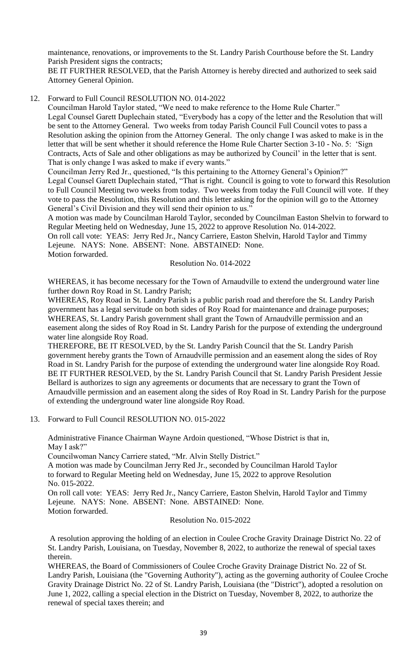maintenance, renovations, or improvements to the St. Landry Parish Courthouse before the St. Landry Parish President signs the contracts;

BE IT FURTHER RESOLVED, that the Parish Attorney is hereby directed and authorized to seek said Attorney General Opinion.

#### 12. Forward to Full Council RESOLUTION NO. 014-2022

Councilman Harold Taylor stated, "We need to make reference to the Home Rule Charter." Legal Counsel Garett Duplechain stated, "Everybody has a copy of the letter and the Resolution that will be sent to the Attorney General. Two weeks from today Parish Council Full Council votes to pass a Resolution asking the opinion from the Attorney General. The only change I was asked to make is in the letter that will be sent whether it should reference the Home Rule Charter Section 3-10 - No. 5: 'Sign Contracts, Acts of Sale and other obligations as may be authorized by Council' in the letter that is sent. That is only change I was asked to make if every wants."

Councilman Jerry Red Jr., questioned, "Is this pertaining to the Attorney General's Opinion?" Legal Counsel Garett Duplechain stated, "That is right. Council is going to vote to forward this Resolution to Full Council Meeting two weeks from today. Two weeks from today the Full Council will vote. If they vote to pass the Resolution, this Resolution and this letter asking for the opinion will go to the Attorney General's Civil Division and they will send their opinion to us."

A motion was made by Councilman Harold Taylor, seconded by Councilman Easton Shelvin to forward to Regular Meeting held on Wednesday, June 15, 2022 to approve Resolution No. 014-2022.

On roll call vote: YEAS: Jerry Red Jr., Nancy Carriere, Easton Shelvin, Harold Taylor and Timmy Lejeune. NAYS: None. ABSENT: None. ABSTAINED: None.

Motion forwarded.

#### Resolution No. 014-2022

WHEREAS, it has become necessary for the Town of Arnaudville to extend the underground water line further down Roy Road in St. Landry Parish;

WHEREAS, Roy Road in St. Landry Parish is a public parish road and therefore the St. Landry Parish government has a legal servitude on both sides of Roy Road for maintenance and drainage purposes; WHEREAS, St. Landry Parish government shall grant the Town of Arnaudville permission and an easement along the sides of Roy Road in St. Landry Parish for the purpose of extending the underground water line alongside Roy Road.

THEREFORE, BE IT RESOLVED, by the St. Landry Parish Council that the St. Landry Parish government hereby grants the Town of Arnaudville permission and an easement along the sides of Roy Road in St. Landry Parish for the purpose of extending the underground water line alongside Roy Road. BE IT FURTHER RESOLVED, by the St. Landry Parish Council that St. Landry Parish President Jessie Bellard is authorizes to sign any agreements or documents that are necessary to grant the Town of Arnaudville permission and an easement along the sides of Roy Road in St. Landry Parish for the purpose of extending the underground water line alongside Roy Road.

#### 13. Forward to Full Council RESOLUTION NO. 015-2022

Administrative Finance Chairman Wayne Ardoin questioned, "Whose District is that in, May I ask?"

Councilwoman Nancy Carriere stated, "Mr. Alvin Stelly District."

A motion was made by Councilman Jerry Red Jr., seconded by Councilman Harold Taylor to forward to Regular Meeting held on Wednesday, June 15, 2022 to approve Resolution No. 015-2022.

On roll call vote: YEAS: Jerry Red Jr., Nancy Carriere, Easton Shelvin, Harold Taylor and Timmy Lejeune. NAYS: None. ABSENT: None. ABSTAINED: None. Motion forwarded.

Resolution No. 015-2022

A resolution approving the holding of an election in Coulee Croche Gravity Drainage District No. 22 of St. Landry Parish, Louisiana, on Tuesday, November 8, 2022, to authorize the renewal of special taxes therein.

WHEREAS, the Board of Commissioners of Coulee Croche Gravity Drainage District No. 22 of St. Landry Parish, Louisiana (the "Governing Authority"), acting as the governing authority of Coulee Croche Gravity Drainage District No. 22 of St. Landry Parish, Louisiana (the "District"), adopted a resolution on June 1, 2022, calling a special election in the District on Tuesday, November 8, 2022, to authorize the renewal of special taxes therein; and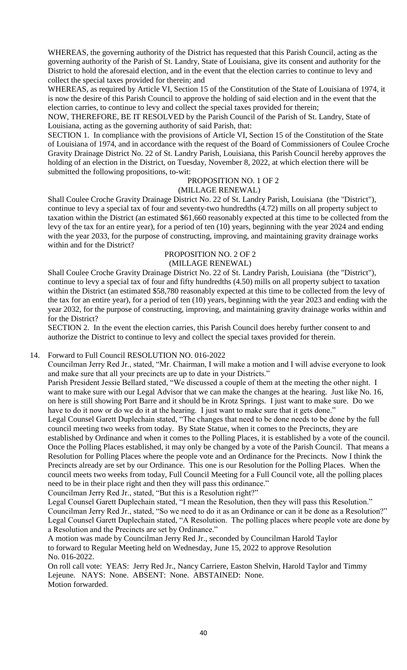WHEREAS, the governing authority of the District has requested that this Parish Council, acting as the governing authority of the Parish of St. Landry, State of Louisiana, give its consent and authority for the District to hold the aforesaid election, and in the event that the election carries to continue to levy and collect the special taxes provided for therein; and

WHEREAS, as required by Article VI, Section 15 of the Constitution of the State of Louisiana of 1974, it is now the desire of this Parish Council to approve the holding of said election and in the event that the election carries, to continue to levy and collect the special taxes provided for therein;

NOW, THEREFORE, BE IT RESOLVED by the Parish Council of the Parish of St. Landry, State of Louisiana, acting as the governing authority of said Parish, that:

SECTION 1. In compliance with the provisions of Article VI, Section 15 of the Constitution of the State of Louisiana of 1974, and in accordance with the request of the Board of Commissioners of Coulee Croche Gravity Drainage District No. 22 of St. Landry Parish, Louisiana, this Parish Council hereby approves the holding of an election in the District, on Tuesday, November 8, 2022, at which election there will be submitted the following propositions, to-wit:

#### PROPOSITION NO. 1 OF 2

#### (MILLAGE RENEWAL)

Shall Coulee Croche Gravity Drainage District No. 22 of St. Landry Parish, Louisiana (the "District"), continue to levy a special tax of four and seventy-two hundredths (4.72) mills on all property subject to taxation within the District (an estimated \$61,660 reasonably expected at this time to be collected from the levy of the tax for an entire year), for a period of ten (10) years, beginning with the year 2024 and ending with the year 2033, for the purpose of constructing, improving, and maintaining gravity drainage works within and for the District?

# PROPOSITION NO. 2 OF 2

#### (MILLAGE RENEWAL)

Shall Coulee Croche Gravity Drainage District No. 22 of St. Landry Parish, Louisiana (the "District"), continue to levy a special tax of four and fifty hundredths (4.50) mills on all property subject to taxation within the District (an estimated \$58,780 reasonably expected at this time to be collected from the levy of the tax for an entire year), for a period of ten (10) years, beginning with the year 2023 and ending with the year 2032, for the purpose of constructing, improving, and maintaining gravity drainage works within and for the District?

SECTION 2. In the event the election carries, this Parish Council does hereby further consent to and authorize the District to continue to levy and collect the special taxes provided for therein.

#### 14. Forward to Full Council RESOLUTION NO. 016-2022

Councilman Jerry Red Jr., stated, "Mr. Chairman, I will make a motion and I will advise everyone to look and make sure that all your precincts are up to date in your Districts."

Parish President Jessie Bellard stated, "We discussed a couple of them at the meeting the other night. I want to make sure with our Legal Advisor that we can make the changes at the hearing. Just like No. 16, on here is still showing Port Barre and it should be in Krotz Springs. I just want to make sure. Do we have to do it now or do we do it at the hearing. I just want to make sure that it gets done."

Legal Counsel Garett Duplechain stated, "The changes that need to be done needs to be done by the full council meeting two weeks from today. By State Statue, when it comes to the Precincts, they are established by Ordinance and when it comes to the Polling Places, it is established by a vote of the council. Once the Polling Places established, it may only be changed by a vote of the Parish Council. That means a Resolution for Polling Places where the people vote and an Ordinance for the Precincts. Now I think the Precincts already are set by our Ordinance. This one is our Resolution for the Polling Places. When the council meets two weeks from today, Full Council Meeting for a Full Council vote, all the polling places need to be in their place right and then they will pass this ordinance."

Councilman Jerry Red Jr., stated, "But this is a Resolution right?"

Legal Counsel Garett Duplechain stated, "I mean the Resolution, then they will pass this Resolution." Councilman Jerry Red Jr., stated, "So we need to do it as an Ordinance or can it be done as a Resolution?" Legal Counsel Garett Duplechain stated, "A Resolution. The polling places where people vote are done by a Resolution and the Precincts are set by Ordinance."

A motion was made by Councilman Jerry Red Jr., seconded by Councilman Harold Taylor to forward to Regular Meeting held on Wednesday, June 15, 2022 to approve Resolution No. 016-2022.

On roll call vote: YEAS: Jerry Red Jr., Nancy Carriere, Easton Shelvin, Harold Taylor and Timmy Lejeune. NAYS: None. ABSENT: None. ABSTAINED: None. Motion forwarded.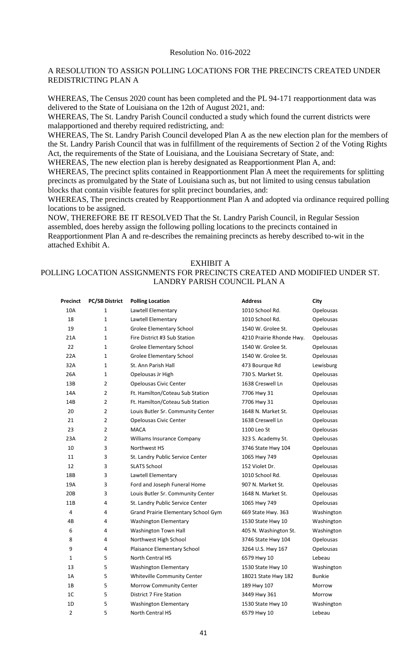#### A RESOLUTION TO ASSIGN POLLING LOCATIONS FOR THE PRECINCTS CREATED UNDER REDISTRICTING PLAN A

WHEREAS, The Census 2020 count has been completed and the PL 94-171 reapportionment data was delivered to the State of Louisiana on the 12th of August 2021, and:

WHEREAS, The St. Landry Parish Council conducted a study which found the current districts were malapportioned and thereby required redistricting, and:

WHEREAS, The St. Landry Parish Council developed Plan A as the new election plan for the members of the St. Landry Parish Council that was in fulfillment of the requirements of Section 2 of the Voting Rights Act, the requirements of the State of Louisiana, and the Louisiana Secretary of State, and:

WHEREAS, The new election plan is hereby designated as Reapportionment Plan A, and:

WHEREAS, The precinct splits contained in Reapportionment Plan A meet the requirements for splitting precincts as promulgated by the State of Louisiana such as, but not limited to using census tabulation blocks that contain visible features for split precinct boundaries, and:

WHEREAS, The precincts created by Reapportionment Plan A and adopted via ordinance required polling locations to be assigned.

NOW, THEREFORE BE IT RESOLVED That the St. Landry Parish Council, in Regular Session assembled, does hereby assign the following polling locations to the precincts contained in Reapportionment Plan A and re-describes the remaining precincts as hereby described to-wit in the attached Exhibit A.

#### EXHIBIT A

## POLLING LOCATION ASSIGNMENTS FOR PRECINCTS CREATED AND MODIFIED UNDER ST. LANDRY PARISH COUNCIL PLAN A

| Precinct       | <b>PC/SB District</b> | <b>Polling Location</b>             | <b>Address</b>           | City             |
|----------------|-----------------------|-------------------------------------|--------------------------|------------------|
| 10A            | $\mathbf{1}$          | Lawtell Elementary                  | 1010 School Rd.          | Opelousas        |
| 18             | 1                     | Lawtell Elementary                  | 1010 School Rd.          | <b>Opelousas</b> |
| 19             | $\mathbf{1}$          | Grolee Elementary School            | 1540 W. Grolee St.       | Opelousas        |
| 21A            | 1                     | Fire District #3 Sub Station        | 4210 Prairie Rhonde Hwy. | Opelousas        |
| 22             | 1                     | Grolee Elementary School            | 1540 W. Grolee St.       | Opelousas        |
| 22A            | 1                     | Grolee Elementary School            | 1540 W. Grolee St.       | <b>Opelousas</b> |
| 32A            | 1                     | St. Ann Parish Hall                 | 473 Bourque Rd           | Lewisburg        |
| 26A            | $\mathbf 1$           | Opelousas Jr High                   | 730 S. Market St.        | Opelousas        |
| 13B            | $\overline{2}$        | Opelousas Civic Center              | 1638 Creswell Ln         | Opelousas        |
| 14A            | 2                     | Ft. Hamilton/Coteau Sub Station     | 7706 Hwy 31              | Opelousas        |
| 14B            | $\overline{2}$        | Ft. Hamilton/Coteau Sub Station     | 7706 Hwy 31              | Opelousas        |
| 20             | $\overline{2}$        | Louis Butler Sr. Community Center   | 1648 N. Market St.       | <b>Opelousas</b> |
| 21             | $\overline{2}$        | <b>Opelousas Civic Center</b>       | 1638 Creswell Ln         | Opelousas        |
| 23             | $\overline{2}$        | <b>MACA</b>                         | 1100 Leo St              | Opelousas        |
| 23A            | 2                     | Williams Insurance Company          | 323 S. Academy St.       | Opelousas        |
| 10             | 3                     | Northwest HS                        | 3746 State Hwy 104       | Opelousas        |
| 11             | 3                     | St. Landry Public Service Center    | 1065 Hwy 749             | Opelousas        |
| 12             | 3                     | <b>SLATS School</b>                 | 152 Violet Dr.           | Opelousas        |
| 18B            | 3                     | Lawtell Elementary                  | 1010 School Rd.          | Opelousas        |
| 19A            | 3                     | Ford and Joseph Funeral Home        | 907 N. Market St.        | <b>Opelousas</b> |
| 20B            | 3                     | Louis Butler Sr. Community Center   | 1648 N. Market St.       | Opelousas        |
| 11B            | 4                     | St. Landry Public Service Center    | 1065 Hwy 749             | <b>Opelousas</b> |
| 4              | 4                     | Grand Prairie Elementary School Gym | 669 State Hwy. 363       | Washington       |
| 4B             | 4                     | <b>Washington Elementary</b>        | 1530 State Hwy 10        | Washington       |
| 6              | 4                     | Washington Town Hall                | 405 N. Washington St.    | Washington       |
| 8              | 4                     | Northwest High School               | 3746 State Hwy 104       | Opelousas        |
| 9              | 4                     | Plaisance Elementary School         | 3264 U.S. Hwy 167        | Opelousas        |
| 1              | 5                     | North Central HS                    | 6579 Hwy 10              | Lebeau           |
| 13             | 5                     | <b>Washington Elementary</b>        | 1530 State Hwy 10        | Washington       |
| 1A             | 5                     | Whiteville Community Center         | 18021 State Hwy 182      | <b>Bunkie</b>    |
| 1B             | 5                     | Morrow Community Center             | 189 Hwy 107              | Morrow           |
| 1 <sup>C</sup> | 5                     | District 7 Fire Station             | 3449 Hwy 361             | Morrow           |
| 1D             | 5                     | <b>Washington Elementary</b>        | 1530 State Hwy 10        | Washington       |
| $\mathbf 2$    | 5                     | North Central HS                    | 6579 Hwy 10              | Lebeau           |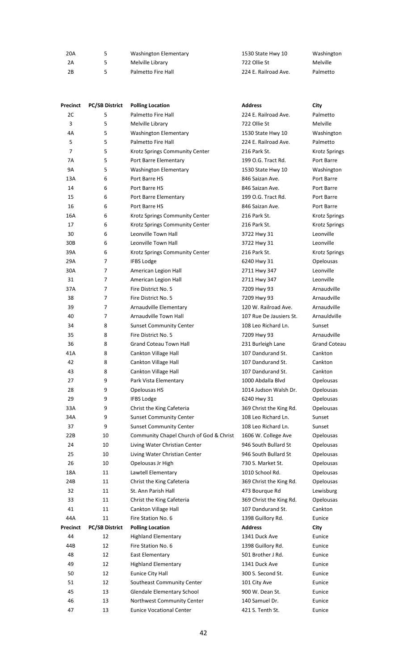| 20A   | Washington Elementary | 1530 State Hwy 10    | Washington |
|-------|-----------------------|----------------------|------------|
| - 2A  | Melville Library      | 722 Ollie St         | Melville   |
| - 2 B | Palmetto Fire Hall    | 224 E. Railroad Ave. | Palmetto   |

| Precinct  | <b>PC/SB District</b> | <b>Polling Location</b>                 | <b>Address</b>          | City                 |
|-----------|-----------------------|-----------------------------------------|-------------------------|----------------------|
| 2C        | 5                     | Palmetto Fire Hall                      | 224 E. Railroad Ave.    | Palmetto             |
| 3         | 5                     | Melville Library                        | 722 Ollie St            | <b>Melville</b>      |
| 4A        | 5                     | <b>Washington Elementary</b>            | 1530 State Hwy 10       | Washington           |
| 5         | 5                     | Palmetto Fire Hall                      | 224 E. Railroad Ave.    | Palmetto             |
| 7         | 5                     | Krotz Springs Community Center          | 216 Park St.            | <b>Krotz Springs</b> |
| 7A        | 5                     | Port Barre Elementary                   | 199 O.G. Tract Rd.      | Port Barre           |
| <b>9A</b> | 5                     | <b>Washington Elementary</b>            | 1530 State Hwy 10       | Washington           |
| 13A       | 6                     | Port Barre HS                           | 846 Saizan Ave.         | Port Barre           |
| 14        | 6                     | Port Barre HS                           | 846 Saizan Ave.         | Port Barre           |
| 15        | 6                     | Port Barre Elementary                   | 199 O.G. Tract Rd.      | Port Barre           |
| 16        | 6                     | Port Barre HS                           | 846 Saizan Ave.         | Port Barre           |
| 16A       | 6                     | Krotz Springs Community Center          | 216 Park St.            | Krotz Springs        |
| 17        | 6                     | Krotz Springs Community Center          | 216 Park St.            | Krotz Springs        |
| 30        | 6                     | Leonville Town Hall                     | 3722 Hwy 31             | Leonville            |
| 30B       | 6                     | Leonville Town Hall                     | 3722 Hwy 31             | Leonville            |
| 39A       | 6                     | Krotz Springs Community Center          | 216 Park St.            | Krotz Springs        |
| 29A       | 7                     | <b>IFBS Lodge</b>                       | 6240 Hwy 31             | Opelousas            |
| 30A       | 7                     | American Legion Hall                    | 2711 Hwy 347            | Leonville            |
| 31        | 7                     | American Legion Hall                    | 2711 Hwy 347            | Leonville            |
| 37A       | 7                     | Fire District No. 5                     | 7209 Hwy 93             | Arnaudville          |
| 38        | 7                     | Fire District No. 5                     | 7209 Hwy 93             | Arnaudville          |
| 39        | 7                     | Arnaudville Elementary                  | 120 W. Railroad Ave.    | Arnaudville          |
| 40        | 7                     | Arnaudville Town Hall                   | 107 Rue De Jausiers St. | Arnauldville         |
| 34        | 8                     | <b>Sunset Community Center</b>          | 108 Leo Richard Ln.     | Sunset               |
| 35        | 8                     | Fire District No. 5                     | 7209 Hwy 93             | Arnaudville          |
| 36        | 8                     | <b>Grand Coteau Town Hall</b>           | 231 Burleigh Lane       | <b>Grand Coteau</b>  |
| 41A       | 8                     | Cankton Village Hall                    | 107 Dandurand St.       | Cankton              |
| 42        | 8                     | Cankton Village Hall                    | 107 Dandurand St.       | Cankton              |
| 43        | 8                     | Cankton Village Hall                    | 107 Dandurand St.       | Cankton              |
| 27        | 9                     | Park Vista Elementary                   | 1000 Abdalla Blvd       | Opelousas            |
| 28        | 9                     | Opelousas HS                            | 1014 Judson Walsh Dr.   | Opelousas            |
| 29        | 9                     | <b>IFBS Lodge</b>                       | 6240 Hwy 31             | Opelousas            |
| 33A       | 9                     | Christ the King Cafeteria               | 369 Christ the King Rd. | Opelousas            |
| 34A       | 9                     | <b>Sunset Community Center</b>          | 108 Leo Richard Ln.     | Sunset               |
| 37        | 9                     | <b>Sunset Community Center</b>          | 108 Leo Richard Ln.     | Sunset               |
| 22B       | 10                    | Community Chapel Church of God & Christ | 1606 W. College Ave     | Opelousas            |
| 24        | 10                    | Living Water Christian Center           | 946 South Bullard St    | Opelousas            |
| 25        | 10                    | Living Water Christian Center           | 946 South Bullard St    | Opelousas            |
| 26        | 10                    | Opelousas Jr High                       | 730 S. Market St.       | <b>Opelousas</b>     |
| 18A       | 11                    | Lawtell Elementary                      | 1010 School Rd.         | Opelousas            |
| 24B       | 11                    | Christ the King Cafeteria               | 369 Christ the King Rd. | Opelousas            |
| 32        | 11                    | St. Ann Parish Hall                     | 473 Bourque Rd          | Lewisburg            |
| 33        | 11                    | Christ the King Cafeteria               | 369 Christ the King Rd. | Opelousas            |
| 41        | 11                    | Cankton Village Hall                    | 107 Dandurand St.       | Cankton              |
| 44A       | 11                    | Fire Station No. 6                      | 1398 Guillory Rd.       | Eunice               |
| Precinct  | <b>PC/SB District</b> | <b>Polling Location</b>                 | <b>Address</b>          | City                 |
| 44        | 12                    | <b>Highland Elementary</b>              | 1341 Duck Ave           | Eunice               |
| 44B       | 12                    | Fire Station No. 6                      | 1398 Guillory Rd.       | Eunice               |
| 48        | 12                    | East Elementary                         | 501 Brother J Rd.       | Eunice               |
| 49        | 12                    | <b>Highland Elementary</b>              | 1341 Duck Ave           | Eunice               |
| 50        | 12                    | Eunice City Hall                        | 300 S. Second St.       | Eunice               |
| 51        | 12                    |                                         |                         | Eunice               |
|           |                       | Southeast Community Center              | 101 City Ave            |                      |
| 45        | 13                    | Glendale Elementary School              | 900 W. Dean St.         | Eunice               |
| 46        | 13                    | Northwest Community Center              | 140 Samuel Dr.          | Eunice               |
| 47        | 13                    | <b>Eunice Vocational Center</b>         | 421 S. Tenth St.        | Eunice               |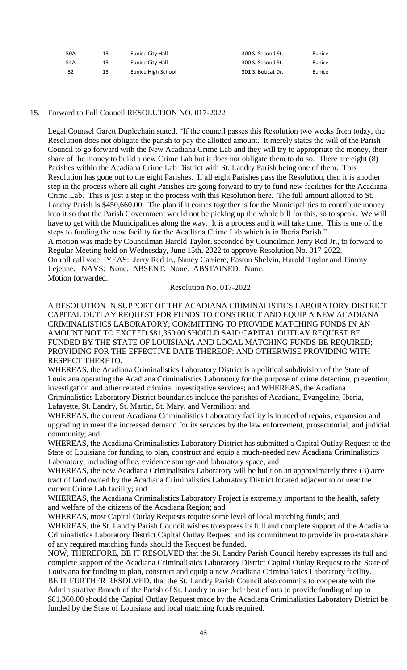| 50A  | 13 | Eunice City Hall   | 300 S. Second St. | Eunice |
|------|----|--------------------|-------------------|--------|
| 51A  | 13 | Eunice City Hall   | 300 S. Second St. | Eunice |
| - 52 | 13 | Eunice High School | 301 S. Bobcat Dr. | Eunice |

#### 15. Forward to Full Council RESOLUTION NO. 017-2022

Legal Counsel Garett Duplechain stated, "If the council passes this Resolution two weeks from today, the Resolution does not obligate the parish to pay the allotted amount. It merely states the will of the Parish Council to go forward with the New Acadiana Crime Lab and they will try to appropriate the money, their share of the money to build a new Crime Lab but it does not obligate them to do so. There are eight (8) Parishes within the Acadiana Crime Lab District with St. Landry Parish being one of them. This Resolution has gone out to the eight Parishes. If all eight Parishes pass the Resolution, then it is another step in the process where all eight Parishes are going forward to try to fund new facilities for the Acadiana Crime Lab. This is just a step in the process with this Resolution here. The full amount allotted to St. Landry Parish is \$450,660.00. The plan if it comes together is for the Municipalities to contribute money into it so that the Parish Government would not be picking up the whole bill for this, so to speak. We will have to get with the Municipalities along the way. It is a process and it will take time. This is one of the steps to funding the new facility for the Acadiana Crime Lab which is in Iberia Parish." A motion was made by Councilman Harold Taylor, seconded by Councilman Jerry Red Jr., to forward to Regular Meeting held on Wednesday, June 15th, 2022 to approve Resolution No. 017-2022. On roll call vote: YEAS: Jerry Red Jr., Nancy Carriere, Easton Shelvin, Harold Taylor and Timmy Lejeune. NAYS: None. ABSENT: None. ABSTAINED: None. Motion forwarded.

#### Resolution No. 017-2022

A RESOLUTION IN SUPPORT OF THE ACADIANA CRIMINALISTICS LABORATORY DISTRICT CAPITAL OUTLAY REQUEST FOR FUNDS TO CONSTRUCT AND EQUIP A NEW ACADIANA CRIMINALISTICS LABORATORY; COMMITTING TO PROVIDE MATCHING FUNDS IN AN AMOUNT NOT TO EXCEED \$81,360.00 SHOULD SAID CAPITAL OUTLAY REQUEST BE FUNDED BY THE STATE OF LOUISIANA AND LOCAL MATCHING FUNDS BE REQUIRED; PROVIDING FOR THE EFFECTIVE DATE THEREOF; AND OTHERWISE PROVIDING WITH RESPECT THERETO.

WHEREAS, the Acadiana Criminalistics Laboratory District is a political subdivision of the State of Louisiana operating the Acadiana Criminalistics Laboratory for the purpose of crime detection, prevention, investigation and other related criminal investigative services; and WHEREAS, the Acadiana Criminalistics Laboratory District boundaries include the parishes of Acadiana, Evangeline, Iberia, Lafayette, St. Landry, St. Martin, St. Mary, and Vermilion; and

WHEREAS, the current Acadiana Criminalistics Laboratory facility is in need of repairs, expansion and upgrading to meet the increased demand for its services by the law enforcement, prosecutorial, and judicial community; and

WHEREAS, the Acadiana Criminalistics Laboratory District has submitted a Capital Outlay Request to the State of Louisiana for funding to plan, construct and equip a much-needed new Acadiana Criminalistics Laboratory, including office, evidence storage and laboratory space; and

WHEREAS, the new Acadiana Criminalistics Laboratory will be built on an approximately three (3) acre tract of land owned by the Acadiana Criminalistics Laboratory District located adjacent to or near the current Crime Lab facility; and

WHEREAS, the Acadiana Criminalistics Laboratory Project is extremely important to the health, safety and welfare of the citizens of the Acadiana Region; and

WHEREAS, most Capital Outlay Requests require some level of local matching funds; and

WHEREAS, the St. Landry Parish Council wishes to express its full and complete support of the Acadiana Criminalistics Laboratory District Capital Outlay Request and its commitment to provide its pro-rata share of any required matching funds should the Request be funded.

NOW, THEREFORE, BE IT RESOLVED that the St. Landry Parish Council hereby expresses its full and complete support of the Acadiana Criminalistics Laboratory District Capital Outlay Request to the State of Louisiana for funding to plan, construct and equip a new Acadiana Criminalistics Laboratory facility. BE IT FURTHER RESOLVED, that the St. Landry Parish Council also commits to cooperate with the Administrative Branch of the Parish of St. Landry to use their best efforts to provide funding of up to \$81,360.00 should the Capital Outlay Request made by the Acadiana Criminalistics Laboratory District be funded by the State of Louisiana and local matching funds required.